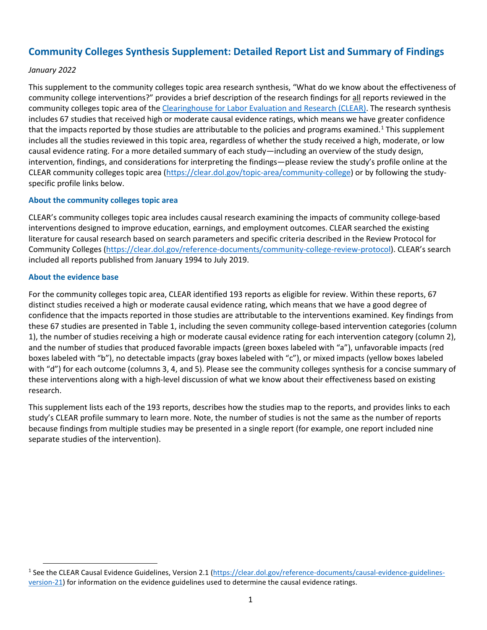# **Community Colleges Synthesis Supplement: Detailed Report List and Summary of Findings**

#### *January 2022*

This supplement to the community colleges topic area research synthesis, "What do we know about the effectiveness of community college interventions?" provides a brief description of the research findings for all reports reviewed in the community colleges topic area of the [Clearinghouse for Labor Evaluation and Research \(CLEAR\).](https://clear.dol.gov/) The research synthesis includes 67 studies that received high or moderate causal evidence ratings, which means we have greater confidence that the impacts reported by those studies are attributable to the policies and programs examined.<sup>[1](#page-0-0)</sup> This supplement includes all the studies reviewed in this topic area, regardless of whether the study received a high, moderate, or low causal evidence rating. For a more detailed summary of each study—including an overview of the study design, intervention, findings, and considerations for interpreting the findings—please review the study's profile online at the CLEAR community colleges topic area [\(https://clear.dol.gov/topic-area/community-college\)](https://clear.dol.gov/topic-area/community-college) or by following the studyspecific profile links below.

#### **About the community colleges topic area**

CLEAR's community colleges topic area includes causal research examining the impacts of community college-based interventions designed to improve education, earnings, and employment outcomes. CLEAR searched the existing literature for causal research based on search parameters and specific criteria described in the Review Protocol for Community Colleges [\(https://clear.dol.gov/reference-documents/community-college-review-protocol\)](https://clear.dol.gov/reference-documents/community-college-review-protocol). CLEAR's search included all reports published from January 1994 to July 2019.

#### **About the evidence base**

For the community colleges topic area, CLEAR identified 193 reports as eligible for review. Within these reports, 67 distinct studies received a high or moderate causal evidence rating, which means that we have a good degree of confidence that the impacts reported in those studies are attributable to the interventions examined. Key findings from these 67 studies are presented in Table 1, including the seven community college-based intervention categories (column 1), the number of studies receiving a high or moderate causal evidence rating for each intervention category (column 2), and the number of studies that produced favorable impacts (green boxes labeled with "a"), unfavorable impacts (red boxes labeled with "b"), no detectable impacts (gray boxes labeled with "c"), or mixed impacts (yellow boxes labeled with "d") for each outcome (columns 3, 4, and 5). Please see the community colleges synthesis for a concise summary of these interventions along with a high-level discussion of what we know about their effectiveness based on existing research.

This supplement lists each of the 193 reports, describes how the studies map to the reports, and provides links to each study's CLEAR profile summary to learn more. Note, the number of studies is not the same as the number of reports because findings from multiple studies may be presented in a single report (for example, one report included nine separate studies of the intervention).

<span id="page-0-0"></span><sup>&</sup>lt;sup>1</sup> See the CLEAR Causal Evidence Guidelines, Version 2.1 [\(https://clear.dol.gov/reference-documents/causal-evidence-guidelines](https://clear.dol.gov/reference-documents/causal-evidence-guidelines-version-21)[version-21\)](https://clear.dol.gov/reference-documents/causal-evidence-guidelines-version-21) for information on the evidence guidelines used to determine the causal evidence ratings.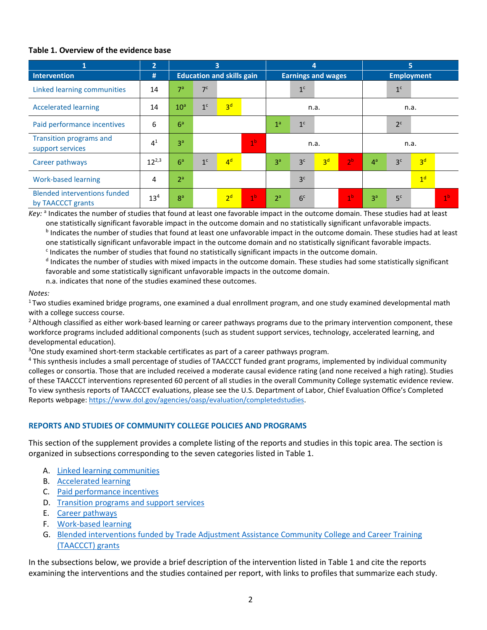#### **Table 1. Overview of the evidence base**

| 1                                                        | 2               | $\overline{\mathbf{3}}$          |                |                |                | 4                         |                |                |                | 5                 |                |                |                |
|----------------------------------------------------------|-----------------|----------------------------------|----------------|----------------|----------------|---------------------------|----------------|----------------|----------------|-------------------|----------------|----------------|----------------|
| <b>Intervention</b>                                      | #               | <b>Education and skills gain</b> |                |                |                | <b>Earnings and wages</b> |                |                |                | <b>Employment</b> |                |                |                |
| Linked learning communities                              | 14              | 7 <sup>a</sup>                   | 7 <sup>c</sup> |                |                |                           | 1 <sup>c</sup> |                |                |                   | 1 <sup>c</sup> |                |                |
| <b>Accelerated learning</b>                              | 14              | 10 <sup>a</sup>                  | $1^\mathrm{c}$ | 3 <sup>d</sup> |                | n.a.                      |                |                |                | n.a.              |                |                |                |
| Paid performance incentives                              | 6               | 6 <sup>a</sup>                   |                |                |                | 1 <sup>a</sup>            | 1 <sup>c</sup> |                |                |                   | 2 <sup>c</sup> |                |                |
| <b>Transition programs and</b><br>support services       | 4 <sup>1</sup>  | 3 <sup>a</sup>                   |                |                | 1 <sup>b</sup> | n.a.                      |                |                |                | n.a.              |                |                |                |
| Career pathways                                          | $12^{2,3}$      | 6 <sup>a</sup>                   | 1 <sup>c</sup> | 4 <sup>d</sup> |                | 3 <sup>a</sup>            | 3 <sup>c</sup> | 3 <sup>d</sup> | 2 <sup>b</sup> | 4 <sup>a</sup>    | 3 <sup>c</sup> | 3 <sup>d</sup> |                |
| <b>Work-based learning</b>                               | 4               | 2 <sup>a</sup>                   |                |                |                |                           | 3 <sup>c</sup> |                |                |                   |                | 1 <sup>d</sup> |                |
| <b>Blended interventions funded</b><br>by TAACCCT grants | 13 <sup>4</sup> | 8 <sup>a</sup>                   |                | 2 <sup>d</sup> | 1 <sup>b</sup> | 2 <sup>a</sup>            | 6 <sup>c</sup> |                | 1 <sup>b</sup> | 3 <sup>a</sup>    | 5 <sup>c</sup> |                | 1 <sup>b</sup> |

*Key:* a Indicates the number of studies that found at least one favorable impact in the outcome domain. These studies had at least one statistically significant favorable impact in the outcome domain and no statistically significant unfavorable impacts.<br><sup>b</sup> Indicates the number of studies that found at least one unfavorable impact in the outcome domai

one statistically significant unfavorable impact in the outcome domain and no statistically significant favorable impacts.

 $c$  Indicates the number of studies that found no statistically significant impacts in the outcome domain.

 $d$  Indicates the number of studies with mixed impacts in the outcome domain. These studies had some statistically significant favorable and some statistically significant unfavorable impacts in the outcome domain.

n.a. indicates that none of the studies examined these outcomes.

*Notes:*<br><sup>1</sup> Two studies examined bridge programs, one examined a dual enrollment program, and one study examined developmental math with a college success course.

<sup>2</sup> Although classified as either work-based learning or career pathways programs due to the primary intervention component, these workforce programs included additional components (such as student support services, technology, accelerated learning, and developmental education).

<sup>3</sup>One study examined short-term stackable certificates as part of a career pathways program.

<sup>4</sup> This synthesis includes a small percentage of studies of TAACCCT funded grant programs, implemented by individual community colleges or consortia. Those that are included received a moderate causal evidence rating (and none received a high rating). Studies of these TAACCCT interventions represented 60 percent of all studies in the overall Community College systematic evidence review. To view synthesis reports of TAACCCT evaluations, please see the U.S. Department of Labor, Chief Evaluation Office's Completed Reports webpage: [https://www.dol.gov/agencies/oasp/evaluation/completedstudies.](https://www.dol.gov/agencies/oasp/evaluation/completedstudies) 

## **REPORTS AND STUDIES OF COMMUNITY COLLEGE POLICIES AND PROGRAMS**

This section of the supplement provides a complete listing of the reports and studies in this topic area. The section is organized in subsections corresponding to the seven categories listed in Table 1.

- A. [Linked learning communities](#page-2-0)
- B. [Accelerated learning](#page-8-0)
- C. [Paid performance incentives](#page-13-0)
- D. [Transition programs and support services](#page-14-0)
- E. [Career pathways](#page-16-0)
- F. [Work-based learning](#page-19-0)
- G. [Blended interventions funded by Trade Adjustment Assistance Community College and Career Training](#page-20-0)  [\(TAACCCT\) grants](#page-20-0)

In the subsections below, we provide a brief description of the intervention listed in Table 1 and cite the reports examining the interventions and the studies contained per report, with links to profiles that summarize each study.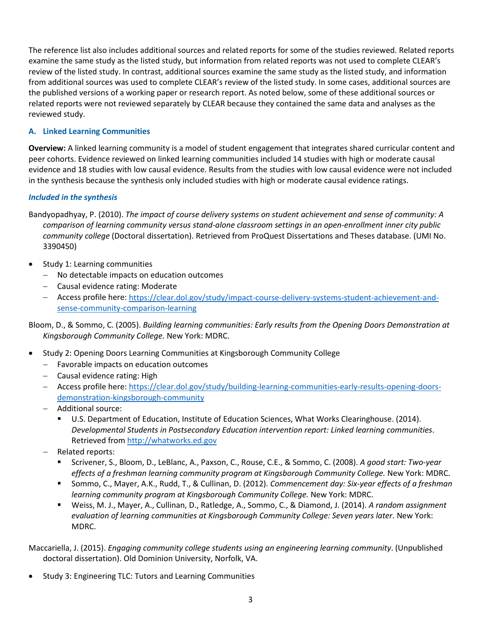The reference list also includes additional sources and related reports for some of the studies reviewed. Related reports examine the same study as the listed study, but information from related reports was not used to complete CLEAR's review of the listed study. In contrast, additional sources examine the same study as the listed study, and information from additional sources was used to complete CLEAR's review of the listed study. In some cases, additional sources are the published versions of a working paper or research report. As noted below, some of these additional sources or related reports were not reviewed separately by CLEAR because they contained the same data and analyses as the reviewed study.

## <span id="page-2-0"></span>**A. Linked Learning Communities**

**Overview:** A linked learning community is a model of student engagement that integrates shared curricular content and peer cohorts. Evidence reviewed on linked learning communities included 14 studies with high or moderate causal evidence and 18 studies with low causal evidence. Results from the studies with low causal evidence were not included in the synthesis because the synthesis only included studies with high or moderate causal evidence ratings.

## *Included in the synthesis*

Bandyopadhyay, P. (2010). *The impact of course delivery systems on student achievement and sense of community: A comparison of learning community versus stand-alone classroom settings in an open-enrollment inner city public community college* (Doctoral dissertation). Retrieved from ProQuest Dissertations and Theses database. (UMI No. 3390450)

- Study 1: Learning communities
	- − No detectable impacts on education outcomes
	- − Causal evidence rating: Moderate
	- − Access profile here: [https://clear.dol.gov/study/impact-course-delivery-systems-student-achievement-and](https://clear.dol.gov/study/impact-course-delivery-systems-student-achievement-and-sense-community-comparison-learning)[sense-community-comparison-learning](https://clear.dol.gov/study/impact-course-delivery-systems-student-achievement-and-sense-community-comparison-learning)

Bloom, D., & Sommo, C. (2005). *Building learning communities: Early results from the Opening Doors Demonstration at Kingsborough Community College.* New York: MDRC.

- Study 2: Opening Doors Learning Communities at Kingsborough Community College
	- − Favorable impacts on education outcomes
	- − Causal evidence rating: High
	- − Access profile here: [https://clear.dol.gov/study/building-learning-communities-early-results-opening-doors](https://clear.dol.gov/study/building-learning-communities-early-results-opening-doors-demonstration-kingsborough-community)[demonstration-kingsborough-community](https://clear.dol.gov/study/building-learning-communities-early-results-opening-doors-demonstration-kingsborough-community)
	- − Additional source:
		- U.S. Department of Education, Institute of Education Sciences, What Works Clearinghouse. (2014). *Developmental Students in Postsecondary Education intervention report: Linked learning communities*. Retrieved from [http://whatworks.ed.gov](http://whatworks.ed.gov/)
	- − Related reports:
		- Scrivener, S., Bloom, D., LeBlanc, A., Paxson, C., Rouse, C.E., & Sommo, C. (2008). *A good start: Two-year effects of a freshman learning community program at Kingsborough Community College.* New York: MDRC.
		- Sommo, C., Mayer, A.K., Rudd, T., & Cullinan, D. (2012). *Commencement day: Six-year effects of a freshman learning community program at Kingsborough Community College.* New York: MDRC.
		- Weiss, M. J., Mayer, A., Cullinan, D., Ratledge, A., Sommo, C., & Diamond, J. (2014). *A random assignment evaluation of learning communities at Kingsborough Community College: Seven years later.* New York: MDRC.

Maccariella, J. (2015). *Engaging community college students using an engineering learning community*. (Unpublished doctoral dissertation). Old Dominion University, Norfolk, VA.

• Study 3: Engineering TLC: Tutors and Learning Communities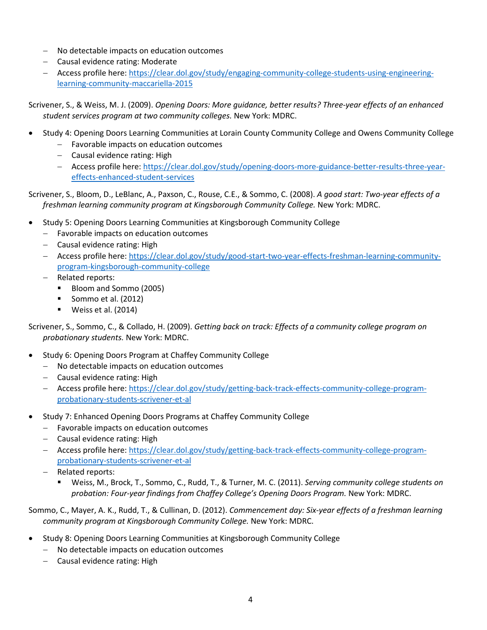- − No detectable impacts on education outcomes
- − Causal evidence rating: Moderate
- − Access profile here: [https://clear.dol.gov/study/engaging-community-college-students-using-engineering](https://clear.dol.gov/study/engaging-community-college-students-using-engineering-learning-community-maccariella-2015)[learning-community-maccariella-2015](https://clear.dol.gov/study/engaging-community-college-students-using-engineering-learning-community-maccariella-2015)

Scrivener, S., & Weiss, M. J. (2009). *Opening Doors: More guidance, better results? Three-year effects of an enhanced student services program at two community colleges.* New York: MDRC.

- Study 4: Opening Doors Learning Communities at Lorain County Community College and Owens Community College
	- − Favorable impacts on education outcomes
	- − Causal evidence rating: High
	- − Access profile here: [https://clear.dol.gov/study/opening-doors-more-guidance-better-results-three-year](https://clear.dol.gov/study/opening-doors-more-guidance-better-results-three-year-effects-enhanced-student-services)[effects-enhanced-student-services](https://clear.dol.gov/study/opening-doors-more-guidance-better-results-three-year-effects-enhanced-student-services)

Scrivener, S., Bloom, D., LeBlanc, A., Paxson, C., Rouse, C.E., & Sommo, C. (2008). *A good start: Two-year effects of a freshman learning community program at Kingsborough Community College.* New York: MDRC.

- Study 5: Opening Doors Learning Communities at Kingsborough Community College
	- − Favorable impacts on education outcomes
	- − Causal evidence rating: High
	- − Access profile here: [https://clear.dol.gov/study/good-start-two-year-effects-freshman-learning-community](https://clear.dol.gov/study/good-start-two-year-effects-freshman-learning-community-program-kingsborough-community-college)[program-kingsborough-community-college](https://clear.dol.gov/study/good-start-two-year-effects-freshman-learning-community-program-kingsborough-community-college)
	- − Related reports:
		- Bloom and Sommo (2005)
		- Sommo et al.  $(2012)$
		- Weiss et al. (2014)

Scrivener, S., Sommo, C., & Collado, H. (2009). *Getting back on track: Effects of a community college program on probationary students.* New York: MDRC.

- Study 6: Opening Doors Program at Chaffey Community College
	- − No detectable impacts on education outcomes
	- − Causal evidence rating: High
	- − Access profile here: [https://clear.dol.gov/study/getting-back-track-effects-community-college-program](https://clear.dol.gov/study/getting-back-track-effects-community-college-program-probationary-students-scrivener-et-al)[probationary-students-scrivener-et-al](https://clear.dol.gov/study/getting-back-track-effects-community-college-program-probationary-students-scrivener-et-al)
- Study 7: Enhanced Opening Doors Programs at Chaffey Community College
	- − Favorable impacts on education outcomes
	- − Causal evidence rating: High
	- − Access profile here: [https://clear.dol.gov/study/getting-back-track-effects-community-college-program](https://clear.dol.gov/study/getting-back-track-effects-community-college-program-probationary-students-scrivener-et-al)[probationary-students-scrivener-et-al](https://clear.dol.gov/study/getting-back-track-effects-community-college-program-probationary-students-scrivener-et-al)
	- − Related reports:
		- Weiss, M., Brock, T., Sommo, C., Rudd, T., & Turner, M. C. (2011). *Serving community college students on probation: Four-year findings from Chaffey College's Opening Doors Program.* New York: MDRC.

Sommo, C., Mayer, A. K., Rudd, T., & Cullinan, D. (2012). *Commencement day: Six-year effects of a freshman learning community program at Kingsborough Community College.* New York: MDRC.

- Study 8: Opening Doors Learning Communities at Kingsborough Community College
	- − No detectable impacts on education outcomes
	- − Causal evidence rating: High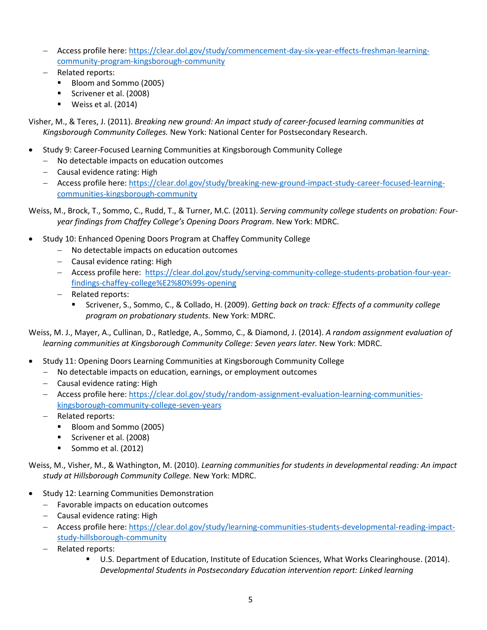- − Access profile here: [https://clear.dol.gov/study/commencement-day-six-year-effects-freshman-learning](https://clear.dol.gov/study/commencement-day-six-year-effects-freshman-learning-community-program-kingsborough-community)[community-program-kingsborough-community](https://clear.dol.gov/study/commencement-day-six-year-effects-freshman-learning-community-program-kingsborough-community)
- − Related reports:
	- Bloom and Sommo (2005)
	- Scrivener et al. (2008)
	- Weiss et al. (2014)

Visher, M., & Teres, J. (2011). *Breaking new ground: An impact study of career-focused learning communities at Kingsborough Community Colleges.* New York: National Center for Postsecondary Research.

- Study 9: Career-Focused Learning Communities at Kingsborough Community College
	- − No detectable impacts on education outcomes
	- − Causal evidence rating: High
	- − Access profile here: [https://clear.dol.gov/study/breaking-new-ground-impact-study-career-focused-learning](https://clear.dol.gov/study/breaking-new-ground-impact-study-career-focused-learning-communities-kingsborough-community)[communities-kingsborough-community](https://clear.dol.gov/study/breaking-new-ground-impact-study-career-focused-learning-communities-kingsborough-community)

Weiss, M., Brock, T., Sommo, C., Rudd, T., & Turner, M.C. (2011). *Serving community college students on probation: Fouryear findings from Chaffey College's Opening Doors Program*. New York: MDRC.

- Study 10: Enhanced Opening Doors Program at Chaffey Community College
	- − No detectable impacts on education outcomes
	- − Causal evidence rating: High
	- − Access profile here: [https://clear.dol.gov/study/serving-community-college-students-probation-four-year](https://clear.dol.gov/study/serving-community-college-students-probation-four-year-findings-chaffey-college%E2%80%99s-opening)[findings-chaffey-college%E2%80%99s-opening](https://clear.dol.gov/study/serving-community-college-students-probation-four-year-findings-chaffey-college%E2%80%99s-opening)
	- − Related reports:
		- Scrivener, S., Sommo, C., & Collado, H. (2009). *Getting back on track: Effects of a community college program on probationary students.* New York: MDRC.

Weiss, M. J., Mayer, A., Cullinan, D., Ratledge, A., Sommo, C., & Diamond, J. (2014). *A random assignment evaluation of learning communities at Kingsborough Community College: Seven years later.* New York: MDRC.

- Study 11: Opening Doors Learning Communities at Kingsborough Community College
	- − No detectable impacts on education, earnings, or employment outcomes
	- − Causal evidence rating: High
	- − Access profile here: [https://clear.dol.gov/study/random-assignment-evaluation-learning-communities](https://clear.dol.gov/study/random-assignment-evaluation-learning-communities-kingsborough-community-college-seven-years)[kingsborough-community-college-seven-years](https://clear.dol.gov/study/random-assignment-evaluation-learning-communities-kingsborough-community-college-seven-years)
	- − Related reports:
		- Bloom and Sommo (2005)
		- Scrivener et al. (2008)
		- Sommo et al.  $(2012)$

Weiss, M., Visher, M., & Wathington, M. (2010). *Learning communities for students in developmental reading: An impact study at Hillsborough Community College.* New York: MDRC.

- Study 12: Learning Communities Demonstration
	- − Favorable impacts on education outcomes
	- − Causal evidence rating: High
	- − Access profile here: [https://clear.dol.gov/study/learning-communities-students-developmental-reading-impact](https://clear.dol.gov/study/learning-communities-students-developmental-reading-impact-study-hillsborough-community)[study-hillsborough-community](https://clear.dol.gov/study/learning-communities-students-developmental-reading-impact-study-hillsborough-community)
	- − Related reports:
		- U.S. Department of Education, Institute of Education Sciences, What Works Clearinghouse. (2014). *Developmental Students in Postsecondary Education intervention report: Linked learning*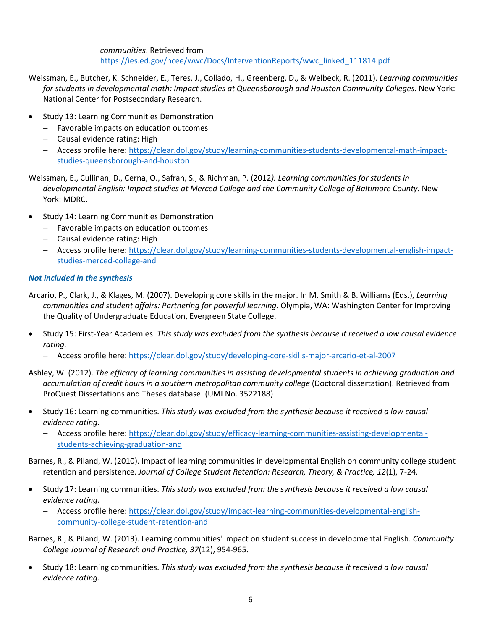*communities*. Retrieved from [https://ies.ed.gov/ncee/wwc/Docs/InterventionReports/wwc\\_linked\\_111814.pdf](https://ies.ed.gov/ncee/wwc/Docs/InterventionReports/wwc_linked_111814.pdf)

- Weissman, E., Butcher, K. Schneider, E., Teres, J., Collado, H., Greenberg, D., & Welbeck, R. (2011). *Learning communities for students in developmental math: Impact studies at Queensborough and Houston Community Colleges.* New York: National Center for Postsecondary Research.
- Study 13: Learning Communities Demonstration
	- − Favorable impacts on education outcomes
	- − Causal evidence rating: High
	- − Access profile here: [https://clear.dol.gov/study/learning-communities-students-developmental-math-impact](https://clear.dol.gov/study/learning-communities-students-developmental-math-impact-studies-queensborough-and-houston)[studies-queensborough-and-houston](https://clear.dol.gov/study/learning-communities-students-developmental-math-impact-studies-queensborough-and-houston)

Weissman, E., Cullinan, D., Cerna, O., Safran, S., & Richman, P. (2012*). Learning communities for students in developmental English: Impact studies at Merced College and the Community College of Baltimore County.* New York: MDRC.

- Study 14: Learning Communities Demonstration
	- − Favorable impacts on education outcomes
	- − Causal evidence rating: High
	- − Access profile here: [https://clear.dol.gov/study/learning-communities-students-developmental-english-impact](https://clear.dol.gov/study/learning-communities-students-developmental-english-impact-studies-merced-college-and)[studies-merced-college-and](https://clear.dol.gov/study/learning-communities-students-developmental-english-impact-studies-merced-college-and)

## *Not included in the synthesis*

Arcario, P., Clark, J., & Klages, M. (2007). Developing core skills in the major. In M. Smith & B. Williams (Eds.), *Learning communities and student affairs: Partnering for powerful learning*. Olympia, WA: Washington Center for Improving the Quality of Undergraduate Education, Evergreen State College.

- Study 15: First-Year Academies. *This study was excluded from the synthesis because it received a low causal evidence rating.*
	- − Access profile here:<https://clear.dol.gov/study/developing-core-skills-major-arcario-et-al-2007>

Ashley, W. (2012). *The efficacy of learning communities in assisting developmental students in achieving graduation and accumulation of credit hours in a southern metropolitan community college* (Doctoral dissertation). Retrieved from ProQuest Dissertations and Theses database. (UMI No. 3522188)

- Study 16: Learning communities. *This study was excluded from the synthesis because it received a low causal evidence rating.*
	- − Access profile here: [https://clear.dol.gov/study/efficacy-learning-communities-assisting-developmental](https://clear.dol.gov/study/efficacy-learning-communities-assisting-developmental-students-achieving-graduation-and)[students-achieving-graduation-and](https://clear.dol.gov/study/efficacy-learning-communities-assisting-developmental-students-achieving-graduation-and)

Barnes, R., & Piland, W. (2010). Impact of learning communities in developmental English on community college student retention and persistence. *Journal of College Student Retention: Research, Theory, & Practice, 12*(1), 7-24.

- Study 17: Learning communities. *This study was excluded from the synthesis because it received a low causal evidence rating.*
	- − Access profile here: [https://clear.dol.gov/study/impact-learning-communities-developmental-english](https://clear.dol.gov/study/impact-learning-communities-developmental-english-community-college-student-retention-and)[community-college-student-retention-and](https://clear.dol.gov/study/impact-learning-communities-developmental-english-community-college-student-retention-and)
- Barnes, R., & Piland, W. (2013). Learning communities' impact on student success in developmental English. *Community College Journal of Research and Practice, 37*(12), 954-965.
- Study 18: Learning communities. *This study was excluded from the synthesis because it received a low causal evidence rating.*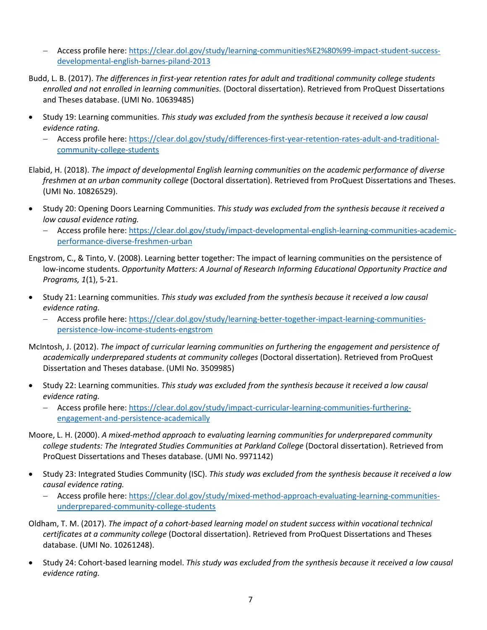- − Access profile here: [https://clear.dol.gov/study/learning-communities%E2%80%99-impact-student-success](https://clear.dol.gov/study/learning-communities%E2%80%99-impact-student-success-developmental-english-barnes-piland-2013)[developmental-english-barnes-piland-2013](https://clear.dol.gov/study/learning-communities%E2%80%99-impact-student-success-developmental-english-barnes-piland-2013)
- Budd, L. B. (2017). *The differences in first-year retention rates for adult and traditional community college students enrolled and not enrolled in learning communities.* (Doctoral dissertation). Retrieved from ProQuest Dissertations and Theses database. (UMI No. 10639485)
- Study 19: Learning communities. *This study was excluded from the synthesis because it received a low causal evidence rating.*
	- − Access profile here: [https://clear.dol.gov/study/differences-first-year-retention-rates-adult-and-traditional](https://clear.dol.gov/study/differences-first-year-retention-rates-adult-and-traditional-community-college-students)[community-college-students](https://clear.dol.gov/study/differences-first-year-retention-rates-adult-and-traditional-community-college-students)
- Elabid, H. (2018). *The impact of developmental English learning communities on the academic performance of diverse freshmen at an urban community college* (Doctoral dissertation). Retrieved from ProQuest Dissertations and Theses. (UMI No. 10826529).
- Study 20: Opening Doors Learning Communities. *This study was excluded from the synthesis because it received a low causal evidence rating.*
	- − Access profile here: [https://clear.dol.gov/study/impact-developmental-english-learning-communities-academic](https://clear.dol.gov/study/impact-developmental-english-learning-communities-academic-performance-diverse-freshmen-urban)[performance-diverse-freshmen-urban](https://clear.dol.gov/study/impact-developmental-english-learning-communities-academic-performance-diverse-freshmen-urban)
- Engstrom, C., & Tinto, V. (2008). Learning better together: The impact of learning communities on the persistence of low-income students. *Opportunity Matters: A Journal of Research Informing Educational Opportunity Practice and Programs, 1*(1), 5-21.
- Study 21: Learning communities. *This study was excluded from the synthesis because it received a low causal evidence rating.*
	- − Access profile here: [https://clear.dol.gov/study/learning-better-together-impact-learning-communities](https://clear.dol.gov/study/learning-better-together-impact-learning-communities-persistence-low-income-students-engstrom)[persistence-low-income-students-engstrom](https://clear.dol.gov/study/learning-better-together-impact-learning-communities-persistence-low-income-students-engstrom)
- McIntosh, J. (2012). *The impact of curricular learning communities on furthering the engagement and persistence of academically underprepared students at community colleges* (Doctoral dissertation). Retrieved from ProQuest Dissertation and Theses database. (UMI No. 3509985)
- Study 22: Learning communities. *This study was excluded from the synthesis because it received a low causal evidence rating.*
	- − Access profile here: [https://clear.dol.gov/study/impact-curricular-learning-communities-furthering](https://clear.dol.gov/study/impact-curricular-learning-communities-furthering-engagement-and-persistence-academically)[engagement-and-persistence-academically](https://clear.dol.gov/study/impact-curricular-learning-communities-furthering-engagement-and-persistence-academically)
- Moore, L. H. (2000). *A mixed-method approach to evaluating learning communities for underprepared community college students: The Integrated Studies Communities at Parkland College* (Doctoral dissertation). Retrieved from ProQuest Dissertations and Theses database. (UMI No. 9971142)
- Study 23: Integrated Studies Community (ISC). *This study was excluded from the synthesis because it received a low causal evidence rating.*
	- − Access profile here: [https://clear.dol.gov/study/mixed-method-approach-evaluating-learning-communities](https://clear.dol.gov/study/mixed-method-approach-evaluating-learning-communities-underprepared-community-college-students)[underprepared-community-college-students](https://clear.dol.gov/study/mixed-method-approach-evaluating-learning-communities-underprepared-community-college-students)
- Oldham, T. M. (2017). *The impact of a cohort-based learning model on student success within vocational technical certificates at a community college* (Doctoral dissertation). Retrieved from ProQuest Dissertations and Theses database. (UMI No. 10261248).
- Study 24: Cohort-based learning model. *This study was excluded from the synthesis because it received a low causal evidence rating.*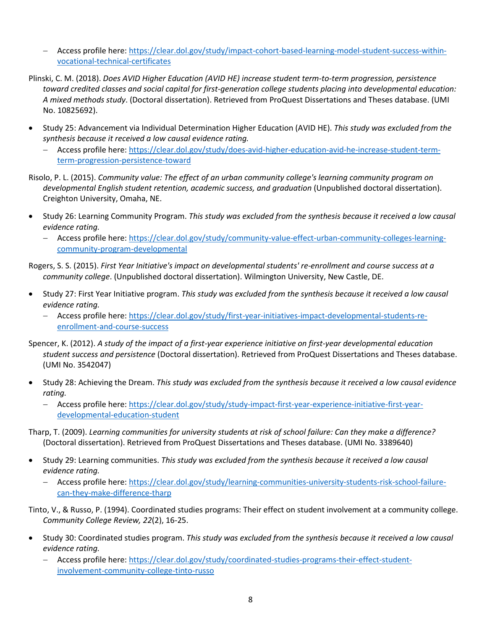- − Access profile here: [https://clear.dol.gov/study/impact-cohort-based-learning-model-student-success-within](https://clear.dol.gov/study/impact-cohort-based-learning-model-student-success-within-vocational-technical-certificates)[vocational-technical-certificates](https://clear.dol.gov/study/impact-cohort-based-learning-model-student-success-within-vocational-technical-certificates)
- Plinski, C. M. (2018). *Does AVID Higher Education (AVID HE) increase student term-to-term progression, persistence toward credited classes and social capital for first-generation college students placing into developmental education: A mixed methods study*. (Doctoral dissertation). Retrieved from ProQuest Dissertations and Theses database. (UMI No. 10825692).
- Study 25: Advancement via Individual Determination Higher Education (AVID HE). *This study was excluded from the synthesis because it received a low causal evidence rating.*
	- − Access profile here: [https://clear.dol.gov/study/does-avid-higher-education-avid-he-increase-student-term](https://clear.dol.gov/study/does-avid-higher-education-avid-he-increase-student-term-term-progression-persistence-toward)[term-progression-persistence-toward](https://clear.dol.gov/study/does-avid-higher-education-avid-he-increase-student-term-term-progression-persistence-toward)

Risolo, P. L. (2015). *Community value: The effect of an urban community college's learning community program on developmental English student retention, academic success, and graduation* (Unpublished doctoral dissertation). Creighton University, Omaha, NE.

- Study 26: Learning Community Program. *This study was excluded from the synthesis because it received a low causal evidence rating.*
	- − Access profile here: [https://clear.dol.gov/study/community-value-effect-urban-community-colleges-learning](https://clear.dol.gov/study/community-value-effect-urban-community-colleges-learning-community-program-developmental)[community-program-developmental](https://clear.dol.gov/study/community-value-effect-urban-community-colleges-learning-community-program-developmental)

Rogers, S. S. (2015). *First Year Initiative's impact on developmental students' re-enrollment and course success at a community college*. (Unpublished doctoral dissertation). Wilmington University, New Castle, DE.

- Study 27: First Year Initiative program. *This study was excluded from the synthesis because it received a low causal evidence rating.*
	- − Access profile here: [https://clear.dol.gov/study/first-year-initiatives-impact-developmental-students-re](https://clear.dol.gov/study/first-year-initiatives-impact-developmental-students-re-enrollment-and-course-success)[enrollment-and-course-success](https://clear.dol.gov/study/first-year-initiatives-impact-developmental-students-re-enrollment-and-course-success)

Spencer, K. (2012). *A study of the impact of a first-year experience initiative on first-year developmental education student success and persistence* (Doctoral dissertation). Retrieved from ProQuest Dissertations and Theses database. (UMI No. 3542047)

- Study 28: Achieving the Dream. *This study was excluded from the synthesis because it received a low causal evidence rating.*
	- − Access profile here: [https://clear.dol.gov/study/study-impact-first-year-experience-initiative-first-year](https://clear.dol.gov/study/study-impact-first-year-experience-initiative-first-year-developmental-education-student)[developmental-education-student](https://clear.dol.gov/study/study-impact-first-year-experience-initiative-first-year-developmental-education-student)
- Tharp, T. (2009). *Learning communities for university students at risk of school failure: Can they make a difference?* (Doctoral dissertation). Retrieved from ProQuest Dissertations and Theses database. (UMI No. 3389640)
- Study 29: Learning communities. *This study was excluded from the synthesis because it received a low causal evidence rating.*
	- − Access profile here: [https://clear.dol.gov/study/learning-communities-university-students-risk-school-failure](https://clear.dol.gov/study/learning-communities-university-students-risk-school-failure-can-they-make-difference-tharp)[can-they-make-difference-tharp](https://clear.dol.gov/study/learning-communities-university-students-risk-school-failure-can-they-make-difference-tharp)

Tinto, V., & Russo, P. (1994). Coordinated studies programs: Their effect on student involvement at a community college. *Community College Review, 22*(2), 16-25.

- Study 30: Coordinated studies program. *This study was excluded from the synthesis because it received a low causal evidence rating.*
	- − Access profile here: [https://clear.dol.gov/study/coordinated-studies-programs-their-effect-student](https://clear.dol.gov/study/coordinated-studies-programs-their-effect-student-involvement-community-college-tinto-russo)[involvement-community-college-tinto-russo](https://clear.dol.gov/study/coordinated-studies-programs-their-effect-student-involvement-community-college-tinto-russo)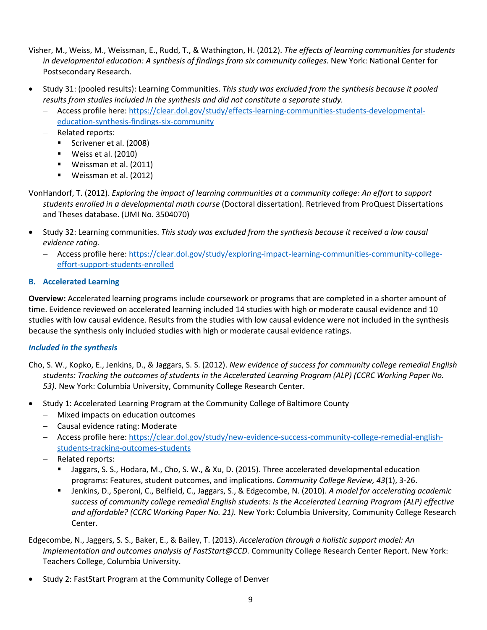- Visher, M., Weiss, M., Weissman, E., Rudd, T., & Wathington, H. (2012). *The effects of learning communities for students in developmental education: A synthesis of findings from six community colleges.* New York: National Center for Postsecondary Research.
- Study 31: (pooled results): Learning Communities. *This study was excluded from the synthesis because it pooled results from studies included in the synthesis and did not constitute a separate study.*
	- − Access profile here: [https://clear.dol.gov/study/effects-learning-communities-students-developmental](https://clear.dol.gov/study/effects-learning-communities-students-developmental-education-synthesis-findings-six-community)[education-synthesis-findings-six-community](https://clear.dol.gov/study/effects-learning-communities-students-developmental-education-synthesis-findings-six-community)
	- − Related reports:
		- Scrivener et al. (2008)
		- $\blacksquare$  Weiss et al. (2010)
		- Weissman et al. (2011)
		- Weissman et al. (2012)
- VonHandorf, T. (2012). *Exploring the impact of learning communities at a community college: An effort to support students enrolled in a developmental math course* (Doctoral dissertation). Retrieved from ProQuest Dissertations and Theses database. (UMI No. 3504070)
- Study 32: Learning communities. *This study was excluded from the synthesis because it received a low causal evidence rating.*
	- − Access profile here: [https://clear.dol.gov/study/exploring-impact-learning-communities-community-college](https://clear.dol.gov/study/exploring-impact-learning-communities-community-college-effort-support-students-enrolled)[effort-support-students-enrolled](https://clear.dol.gov/study/exploring-impact-learning-communities-community-college-effort-support-students-enrolled)

## <span id="page-8-0"></span>**B. Accelerated Learning**

**Overview:** Accelerated learning programs include coursework or programs that are completed in a shorter amount of time. Evidence reviewed on accelerated learning included 14 studies with high or moderate causal evidence and 10 studies with low causal evidence. Results from the studies with low causal evidence were not included in the synthesis because the synthesis only included studies with high or moderate causal evidence ratings.

## *Included in the synthesis*

- Cho, S. W., Kopko, E., Jenkins, D., & Jaggars, S. S. (2012). *New evidence of success for community college remedial English students: Tracking the outcomes of students in the Accelerated Learning Program (ALP) (CCRC Working Paper No. 53).* New York: Columbia University, Community College Research Center.
- Study 1: Accelerated Learning Program at the Community College of Baltimore County
	- − Mixed impacts on education outcomes
	- − Causal evidence rating: Moderate
	- − Access profile here: [https://clear.dol.gov/study/new-evidence-success-community-college-remedial-english](https://clear.dol.gov/study/new-evidence-success-community-college-remedial-english-students-tracking-outcomes-students)[students-tracking-outcomes-students](https://clear.dol.gov/study/new-evidence-success-community-college-remedial-english-students-tracking-outcomes-students)
	- − Related reports:
		- Jaggars, S. S., Hodara, M., Cho, S. W., & Xu, D. (2015). Three accelerated developmental education programs: Features, student outcomes, and implications. *Community College Review, 43*(1), 3-26.
		- Jenkins, D., Speroni, C., Belfield, C., Jaggars, S., & Edgecombe, N. (2010). *A model for accelerating academic success of community college remedial English students: Is the Accelerated Learning Program (ALP) effective and affordable? (CCRC Working Paper No. 21).* New York: Columbia University, Community College Research Center.

Edgecombe, N., Jaggers, S. S., Baker, E., & Bailey, T. (2013). *Acceleration through a holistic support model: An implementation and outcomes analysis of FastStart@CCD.* Community College Research Center Report. New York: Teachers College, Columbia University.

• Study 2: FastStart Program at the Community College of Denver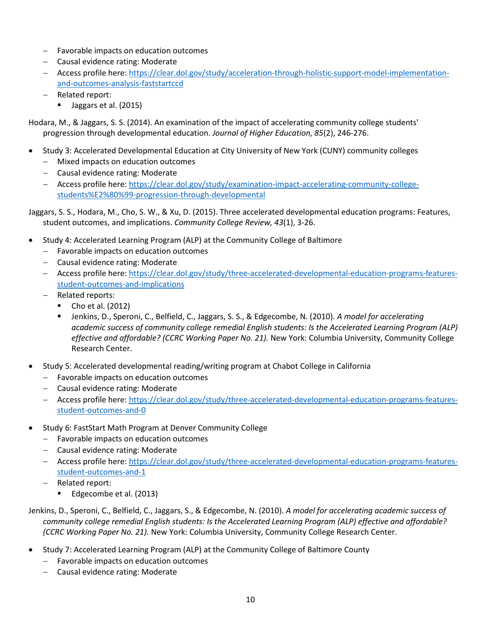- − Favorable impacts on education outcomes
- − Causal evidence rating: Moderate
- − Access profile here: [https://clear.dol.gov/study/acceleration-through-holistic-support-model-implementation](https://clear.dol.gov/study/acceleration-through-holistic-support-model-implementation-and-outcomes-analysis-faststartccd)[and-outcomes-analysis-faststartccd](https://clear.dol.gov/study/acceleration-through-holistic-support-model-implementation-and-outcomes-analysis-faststartccd)
- − Related report:
	- Jaggars et al. (2015)

Hodara, M., & Jaggars, S. S. (2014). An examination of the impact of accelerating community college students' progression through developmental education. *Journal of Higher Education, 85*(2), 246-276.

- Study 3: Accelerated Developmental Education at City University of New York (CUNY) community colleges
	- − Mixed impacts on education outcomes
	- − Causal evidence rating: Moderate
	- − Access profile here: [https://clear.dol.gov/study/examination-impact-accelerating-community-college](https://clear.dol.gov/study/examination-impact-accelerating-community-college-students%E2%80%99-progression-through-developmental)[students%E2%80%99-progression-through-developmental](https://clear.dol.gov/study/examination-impact-accelerating-community-college-students%E2%80%99-progression-through-developmental)

Jaggars, S. S., Hodara, M., Cho, S. W., & Xu, D. (2015). Three accelerated developmental education programs: Features, student outcomes, and implications. *Community College Review, 43*(1), 3-26.

- Study 4: Accelerated Learning Program (ALP) at the Community College of Baltimore
	- − Favorable impacts on education outcomes
	- − Causal evidence rating: Moderate
	- − Access profile here: [https://clear.dol.gov/study/three-accelerated-developmental-education-programs-features](https://clear.dol.gov/study/three-accelerated-developmental-education-programs-features-student-outcomes-and-implications)[student-outcomes-and-implications](https://clear.dol.gov/study/three-accelerated-developmental-education-programs-features-student-outcomes-and-implications)
	- − Related reports:
		- Cho et al. (2012)
		- Jenkins, D., Speroni, C., Belfield, C., Jaggars, S. S., & Edgecombe, N. (2010). *A model for accelerating academic success of community college remedial English students: Is the Accelerated Learning Program (ALP) effective and affordable? (CCRC Working Paper No. 21).* New York: Columbia University, Community College Research Center.
- Study 5: Accelerated developmental reading/writing program at Chabot College in California
	- − Favorable impacts on education outcomes
	- − Causal evidence rating: Moderate
	- − Access profile here: [https://clear.dol.gov/study/three-accelerated-developmental-education-programs-features](https://clear.dol.gov/study/three-accelerated-developmental-education-programs-features-student-outcomes-and-0)[student-outcomes-and-0](https://clear.dol.gov/study/three-accelerated-developmental-education-programs-features-student-outcomes-and-0)
- Study 6: FastStart Math Program at Denver Community College
	- − Favorable impacts on education outcomes
	- − Causal evidence rating: Moderate
	- − Access profile here: [https://clear.dol.gov/study/three-accelerated-developmental-education-programs-features](https://clear.dol.gov/study/three-accelerated-developmental-education-programs-features-student-outcomes-and-1)[student-outcomes-and-1](https://clear.dol.gov/study/three-accelerated-developmental-education-programs-features-student-outcomes-and-1)
	- − Related report:
		- Edgecombe et al. (2013)
- Jenkins, D., Speroni, C., Belfield, C., Jaggars, S., & Edgecombe, N. (2010). *A model for accelerating academic success of community college remedial English students: Is the Accelerated Learning Program (ALP) effective and affordable? (CCRC Working Paper No. 21).* New York: Columbia University, Community College Research Center.
- Study 7: Accelerated Learning Program (ALP) at the Community College of Baltimore County
	- − Favorable impacts on education outcomes
	- − Causal evidence rating: Moderate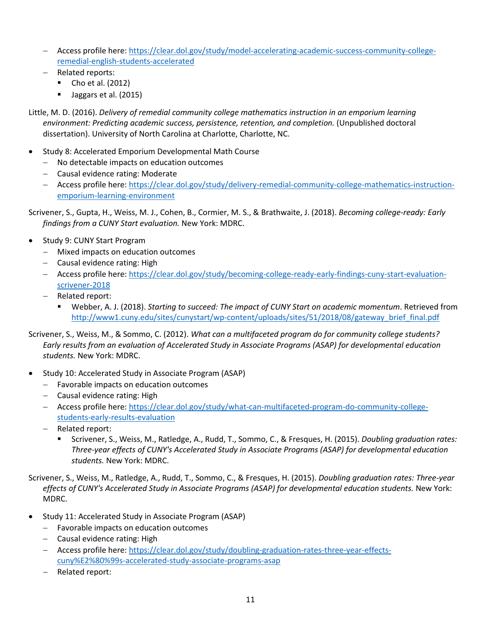- − Access profile here: [https://clear.dol.gov/study/model-accelerating-academic-success-community-college](https://clear.dol.gov/study/model-accelerating-academic-success-community-college-remedial-english-students-accelerated)[remedial-english-students-accelerated](https://clear.dol.gov/study/model-accelerating-academic-success-community-college-remedial-english-students-accelerated)
- − Related reports:
	- Cho et al. (2012)
	- Ulaggars et al. (2015)

Little, M. D. (2016). *Delivery of remedial community college mathematics instruction in an emporium learning*  environment: Predicting academic success, persistence, retention, and completion. (Unpublished doctoral dissertation). University of North Carolina at Charlotte, Charlotte, NC.

- Study 8: Accelerated Emporium Developmental Math Course
	- − No detectable impacts on education outcomes
	- − Causal evidence rating: Moderate
	- − Access profile here: [https://clear.dol.gov/study/delivery-remedial-community-college-mathematics-instruction](https://clear.dol.gov/study/delivery-remedial-community-college-mathematics-instruction-emporium-learning-environment)[emporium-learning-environment](https://clear.dol.gov/study/delivery-remedial-community-college-mathematics-instruction-emporium-learning-environment)

Scrivener, S., Gupta, H., Weiss, M. J., Cohen, B., Cormier, M. S., & Brathwaite, J. (2018). *Becoming college-ready: Early findings from a CUNY Start evaluation.* New York: MDRC.

- Study 9: CUNY Start Program
	- − Mixed impacts on education outcomes
	- − Causal evidence rating: High
	- − Access profile here: [https://clear.dol.gov/study/becoming-college-ready-early-findings-cuny-start-evaluation](https://clear.dol.gov/study/becoming-college-ready-early-findings-cuny-start-evaluation-scrivener-2018)[scrivener-2018](https://clear.dol.gov/study/becoming-college-ready-early-findings-cuny-start-evaluation-scrivener-2018)
	- − Related report:
		- Webber, A. J. (2018). *Starting to succeed: The impact of CUNY Start on academic momentum*. Retrieved from http://www1.cuny.edu/sites/cunystart/wp-content/uploads/sites/51/2018/08/gateway\_brief\_final.pdf

Scrivener, S., Weiss, M., & Sommo, C. (2012). *What can a multifaceted program do for community college students? Early results from an evaluation of Accelerated Study in Associate Programs (ASAP) for developmental education students.* New York: MDRC.

- Study 10: Accelerated Study in Associate Program (ASAP)
	- − Favorable impacts on education outcomes
	- − Causal evidence rating: High
	- − Access profile here: [https://clear.dol.gov/study/what-can-multifaceted-program-do-community-college](https://clear.dol.gov/study/what-can-multifaceted-program-do-community-college-students-early-results-evaluation)[students-early-results-evaluation](https://clear.dol.gov/study/what-can-multifaceted-program-do-community-college-students-early-results-evaluation)
	- − Related report:
		- Scrivener, S., Weiss, M., Ratledge, A., Rudd, T., Sommo, C., & Fresques, H. (2015). *Doubling graduation rates: Three-year effects of CUNY's Accelerated Study in Associate Programs (ASAP) for developmental education students.* New York: MDRC.

Scrivener, S., Weiss, M., Ratledge, A., Rudd, T., Sommo, C., & Fresques, H. (2015). *Doubling graduation rates: Three-year effects of CUNY's Accelerated Study in Associate Programs (ASAP) for developmental education students.* New York: MDRC.

- Study 11: Accelerated Study in Associate Program (ASAP)
	- − Favorable impacts on education outcomes
	- − Causal evidence rating: High
	- − Access profile here: [https://clear.dol.gov/study/doubling-graduation-rates-three-year-effects](https://clear.dol.gov/study/doubling-graduation-rates-three-year-effects-cuny%E2%80%99s-accelerated-study-associate-programs-asap)[cuny%E2%80%99s-accelerated-study-associate-programs-asap](https://clear.dol.gov/study/doubling-graduation-rates-three-year-effects-cuny%E2%80%99s-accelerated-study-associate-programs-asap)
	- − Related report: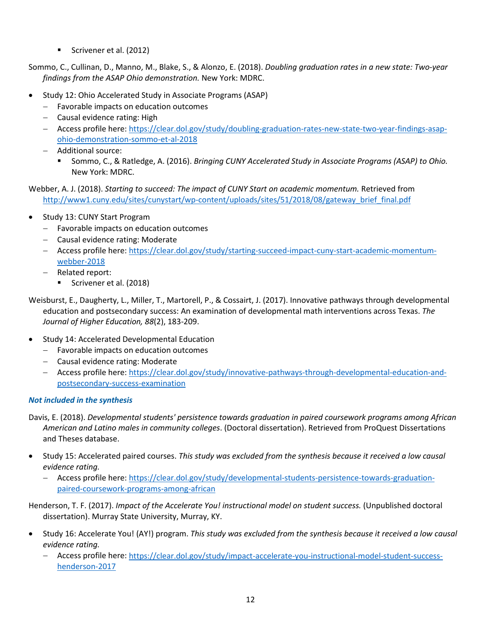Scrivener et al. (2012)

Sommo, C., Cullinan, D., Manno, M., Blake, S., & Alonzo, E. (2018). *Doubling graduation rates in a new state: Two-year findings from the ASAP Ohio demonstration.* New York: MDRC.

- Study 12: Ohio Accelerated Study in Associate Programs (ASAP)
	- − Favorable impacts on education outcomes
	- − Causal evidence rating: High
	- − Access profile here: [https://clear.dol.gov/study/doubling-graduation-rates-new-state-two-year-findings-asap](https://clear.dol.gov/study/doubling-graduation-rates-new-state-two-year-findings-asap-ohio-demonstration-sommo-et-al-2018)[ohio-demonstration-sommo-et-al-2018](https://clear.dol.gov/study/doubling-graduation-rates-new-state-two-year-findings-asap-ohio-demonstration-sommo-et-al-2018)
	- − Additional source:
		- Sommo, C., & Ratledge, A. (2016). *Bringing CUNY Accelerated Study in Associate Programs (ASAP) to Ohio.* New York: MDRC.

Webber, A. J. (2018). *Starting to succeed: The impact of CUNY Start on academic momentum.* Retrieved from [http://www1.cuny.edu/sites/cunystart/wp-content/uploads/sites/51/2018/08/gateway\\_brief\\_final.pdf](http://www1.cuny.edu/sites/cunystart/wp-content/uploads/sites/51/2018/08/gateway_brief_final.pdf) 

- Study 13: CUNY Start Program
	- − Favorable impacts on education outcomes
	- − Causal evidence rating: Moderate
	- − Access profile here: [https://clear.dol.gov/study/starting-succeed-impact-cuny-start-academic-momentum](https://clear.dol.gov/study/starting-succeed-impact-cuny-start-academic-momentum-webber-2018)[webber-2018](https://clear.dol.gov/study/starting-succeed-impact-cuny-start-academic-momentum-webber-2018)
	- − Related report:
		- Scrivener et al. (2018)
- Weisburst, E., Daugherty, L., Miller, T., Martorell, P., & Cossairt, J. (2017). Innovative pathways through developmental education and postsecondary success: An examination of developmental math interventions across Texas. *The Journal of Higher Education, 88*(2), 183-209.
- Study 14: Accelerated Developmental Education
	- − Favorable impacts on education outcomes
	- − Causal evidence rating: Moderate
	- − Access profile here: [https://clear.dol.gov/study/innovative-pathways-through-developmental-education-and](https://clear.dol.gov/study/innovative-pathways-through-developmental-education-and-postsecondary-success-examination)[postsecondary-success-examination](https://clear.dol.gov/study/innovative-pathways-through-developmental-education-and-postsecondary-success-examination)

## *Not included in the synthesis*

Davis, E. (2018). *Developmental students' persistence towards graduation in paired coursework programs among African American and Latino males in community colleges*. (Doctoral dissertation). Retrieved from ProQuest Dissertations and Theses database.

- Study 15: Accelerated paired courses. *This study was excluded from the synthesis because it received a low causal evidence rating.*
	- − Access profile here: [https://clear.dol.gov/study/developmental-students-persistence-towards-graduation](https://clear.dol.gov/study/developmental-students-persistence-towards-graduation-paired-coursework-programs-among-african)[paired-coursework-programs-among-african](https://clear.dol.gov/study/developmental-students-persistence-towards-graduation-paired-coursework-programs-among-african)

Henderson, T. F. (2017). *Impact of the Accelerate You! instructional model on student success.* (Unpublished doctoral dissertation). Murray State University, Murray, KY.

- Study 16: Accelerate You! (AY!) program. *This study was excluded from the synthesis because it received a low causal evidence rating.*
	- − Access profile here: [https://clear.dol.gov/study/impact-accelerate-you-instructional-model-student-success](https://clear.dol.gov/study/impact-accelerate-you-instructional-model-student-success-henderson-2017)[henderson-2017](https://clear.dol.gov/study/impact-accelerate-you-instructional-model-student-success-henderson-2017)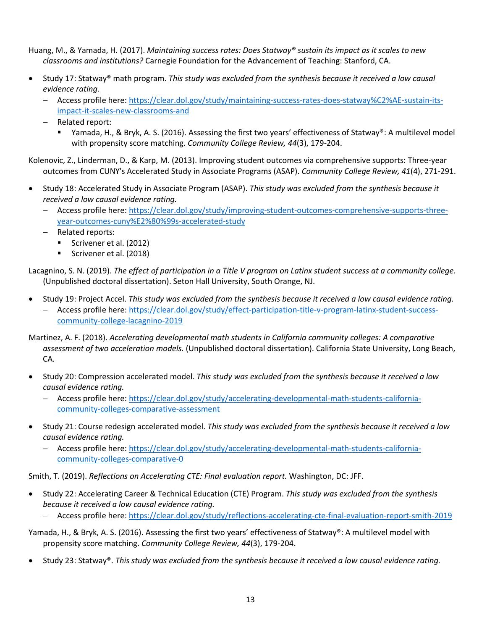Huang, M., & Yamada, H. (2017). *Maintaining success rates: Does Statway® sustain its impact as it scales to new classrooms and institutions?* Carnegie Foundation for the Advancement of Teaching: Stanford, CA.

- Study 17: Statway® math program. *This study was excluded from the synthesis because it received a low causal evidence rating.*
	- − Access profile here: [https://clear.dol.gov/study/maintaining-success-rates-does-statway%C2%AE-sustain-its](https://clear.dol.gov/study/maintaining-success-rates-does-statway%C2%AE-sustain-its-impact-it-scales-new-classrooms-and)[impact-it-scales-new-classrooms-and](https://clear.dol.gov/study/maintaining-success-rates-does-statway%C2%AE-sustain-its-impact-it-scales-new-classrooms-and)
	- − Related report:
		- Yamada, H., & Bryk, A. S. (2016). Assessing the first two years' effectiveness of Statway®: A multilevel model with propensity score matching. *Community College Review, 44*(3), 179-204.

Kolenovic, Z., Linderman, D., & Karp, M. (2013). Improving student outcomes via comprehensive supports: Three-year outcomes from CUNY's Accelerated Study in Associate Programs (ASAP). *Community College Review, 41*(4), 271-291.

- Study 18: Accelerated Study in Associate Program (ASAP). *This study was excluded from the synthesis because it received a low causal evidence rating.*
	- − Access profile here: [https://clear.dol.gov/study/improving-student-outcomes-comprehensive-supports-three](https://clear.dol.gov/study/improving-student-outcomes-comprehensive-supports-three-year-outcomes-cuny%E2%80%99s-accelerated-study)[year-outcomes-cuny%E2%80%99s-accelerated-study](https://clear.dol.gov/study/improving-student-outcomes-comprehensive-supports-three-year-outcomes-cuny%E2%80%99s-accelerated-study)
	- − Related reports:
		- Scrivener et al. (2012)
		- Scrivener et al. (2018)

Lacagnino, S. N. (2019). *The effect of participation in a Title V program on Latinx student success at a community college.* (Unpublished doctoral dissertation). Seton Hall University, South Orange, NJ.

- Study 19: Project Accel. *This study was excluded from the synthesis because it received a low causal evidence rating.*
	- − Access profile here: [https://clear.dol.gov/study/effect-participation-title-v-program-latinx-student-success](https://clear.dol.gov/study/effect-participation-title-v-program-latinx-student-success-community-college-lacagnino-2019)[community-college-lacagnino-2019](https://clear.dol.gov/study/effect-participation-title-v-program-latinx-student-success-community-college-lacagnino-2019)
- Martinez, A. F. (2018). *Accelerating developmental math students in California community colleges: A comparative assessment of two acceleration models.* (Unpublished doctoral dissertation). California State University, Long Beach, CA.
- Study 20: Compression accelerated model. *This study was excluded from the synthesis because it received a low causal evidence rating.*
	- − Access profile here: [https://clear.dol.gov/study/accelerating-developmental-math-students-california](https://clear.dol.gov/study/accelerating-developmental-math-students-california-community-colleges-comparative-assessment)[community-colleges-comparative-assessment](https://clear.dol.gov/study/accelerating-developmental-math-students-california-community-colleges-comparative-assessment)
- Study 21: Course redesign accelerated model. *This study was excluded from the synthesis because it received a low causal evidence rating.*
	- − Access profile here: [https://clear.dol.gov/study/accelerating-developmental-math-students-california](https://clear.dol.gov/study/accelerating-developmental-math-students-california-community-colleges-comparative-0)[community-colleges-comparative-0](https://clear.dol.gov/study/accelerating-developmental-math-students-california-community-colleges-comparative-0)

Smith, T. (2019). *Reflections on Accelerating CTE: Final evaluation report.* Washington, DC: JFF.

- Study 22: Accelerating Career & Technical Education (CTE) Program. *This study was excluded from the synthesis because it received a low causal evidence rating.*
	- − Access profile here:<https://clear.dol.gov/study/reflections-accelerating-cte-final-evaluation-report-smith-2019>

Yamada, H., & Bryk, A. S. (2016). Assessing the first two years' effectiveness of Statway®: A multilevel model with propensity score matching. *Community College Review, 44*(3), 179-204.

• Study 23: Statway®. *This study was excluded from the synthesis because it received a low causal evidence rating.*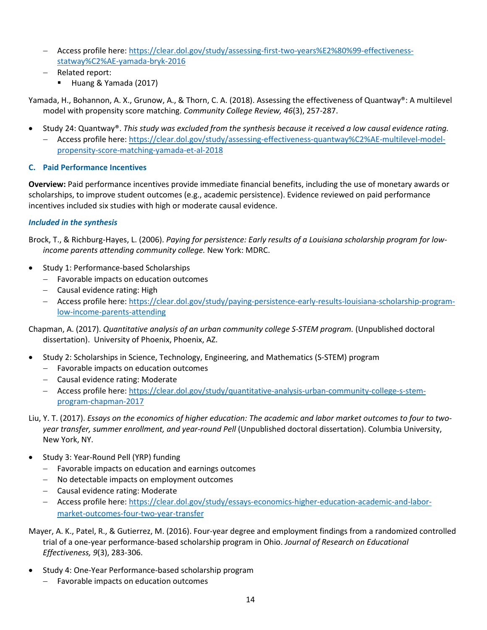- − Access profile here: [https://clear.dol.gov/study/assessing-first-two-years%E2%80%99-effectiveness](https://clear.dol.gov/study/assessing-first-two-years%E2%80%99-effectiveness-statway%C2%AE-yamada-bryk-2016)[statway%C2%AE-yamada-bryk-2016](https://clear.dol.gov/study/assessing-first-two-years%E2%80%99-effectiveness-statway%C2%AE-yamada-bryk-2016)
- − Related report:
	- Huang & Yamada (2017)

Yamada, H., Bohannon, A. X., Grunow, A., & Thorn, C. A. (2018). Assessing the effectiveness of Quantway®: A multilevel model with propensity score matching. *Community College Review, 46*(3), 257-287.

- Study 24: Quantway®. *This study was excluded from the synthesis because it received a low causal evidence rating.*
	- − Access profile here: [https://clear.dol.gov/study/assessing-effectiveness-quantway%C2%AE-multilevel-model](https://clear.dol.gov/study/assessing-effectiveness-quantway%C2%AE-multilevel-model-propensity-score-matching-yamada-et-al-2018)[propensity-score-matching-yamada-et-al-2018](https://clear.dol.gov/study/assessing-effectiveness-quantway%C2%AE-multilevel-model-propensity-score-matching-yamada-et-al-2018)

## <span id="page-13-0"></span>**C. Paid Performance Incentives**

**Overview:** Paid performance incentives provide immediate financial benefits, including the use of monetary awards or scholarships, to improve student outcomes (e.g., academic persistence). Evidence reviewed on paid performance incentives included six studies with high or moderate causal evidence.

## *Included in the synthesis*

Brock, T., & Richburg-Hayes, L. (2006). *Paying for persistence: Early results of a Louisiana scholarship program for lowincome parents attending community college.* New York: MDRC.

- Study 1: Performance-based Scholarships
	- − Favorable impacts on education outcomes
	- − Causal evidence rating: High
	- − Access profile here: [https://clear.dol.gov/study/paying-persistence-early-results-louisiana-scholarship-program](https://clear.dol.gov/study/paying-persistence-early-results-louisiana-scholarship-program-low-income-parents-attending)[low-income-parents-attending](https://clear.dol.gov/study/paying-persistence-early-results-louisiana-scholarship-program-low-income-parents-attending)

Chapman, A. (2017). *Quantitative analysis of an urban community college S-STEM program.* (Unpublished doctoral dissertation). University of Phoenix, Phoenix, AZ.

- Study 2: Scholarships in Science, Technology, Engineering, and Mathematics (S-STEM) program
	- − Favorable impacts on education outcomes
	- − Causal evidence rating: Moderate
	- − Access profile here: [https://clear.dol.gov/study/quantitative-analysis-urban-community-college-s-stem](https://clear.dol.gov/study/quantitative-analysis-urban-community-college-s-stem-program-chapman-2017)[program-chapman-2017](https://clear.dol.gov/study/quantitative-analysis-urban-community-college-s-stem-program-chapman-2017)
- Liu, Y. T. (2017). *Essays on the economics of higher education: The academic and labor market outcomes to four to twoyear transfer, summer enrollment, and year-round Pell* (Unpublished doctoral dissertation). Columbia University, New York, NY.
- Study 3: Year-Round Pell (YRP) funding
	- − Favorable impacts on education and earnings outcomes
	- − No detectable impacts on employment outcomes
	- − Causal evidence rating: Moderate
	- − Access profile here: [https://clear.dol.gov/study/essays-economics-higher-education-academic-and-labor](https://clear.dol.gov/study/essays-economics-higher-education-academic-and-labor-market-outcomes-four-two-year-transfer)[market-outcomes-four-two-year-transfer](https://clear.dol.gov/study/essays-economics-higher-education-academic-and-labor-market-outcomes-four-two-year-transfer)
- Mayer, A. K., Patel, R., & Gutierrez, M. (2016). Four-year degree and employment findings from a randomized controlled trial of a one-year performance-based scholarship program in Ohio. *Journal of Research on Educational Effectiveness, 9*(3), 283-306.
- Study 4: One-Year Performance-based scholarship program
	- − Favorable impacts on education outcomes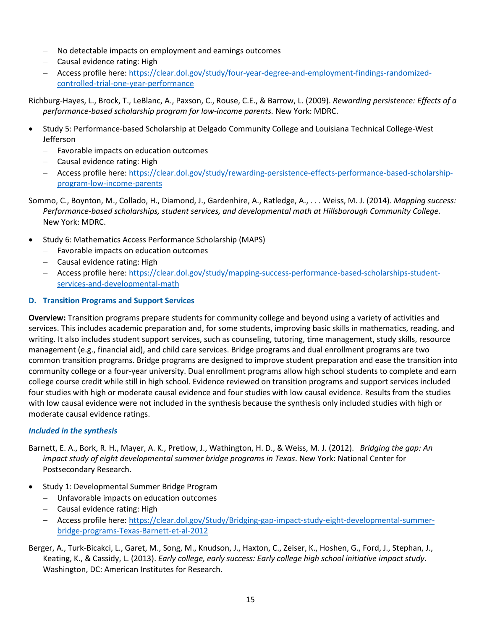- − No detectable impacts on employment and earnings outcomes
- − Causal evidence rating: High
- − Access profile here: [https://clear.dol.gov/study/four-year-degree-and-employment-findings-randomized](https://clear.dol.gov/study/four-year-degree-and-employment-findings-randomized-controlled-trial-one-year-performance)[controlled-trial-one-year-performance](https://clear.dol.gov/study/four-year-degree-and-employment-findings-randomized-controlled-trial-one-year-performance)

Richburg-Hayes, L., Brock, T., LeBlanc, A., Paxson, C., Rouse, C.E., & Barrow, L. (2009). *Rewarding persistence: Effects of a performance-based scholarship program for low-income parents.* New York: MDRC.

- Study 5: Performance-based Scholarship at Delgado Community College and Louisiana Technical College-West Jefferson
	- − Favorable impacts on education outcomes
	- − Causal evidence rating: High
	- − Access profile here: [https://clear.dol.gov/study/rewarding-persistence-effects-performance-based-scholarship](https://clear.dol.gov/study/rewarding-persistence-effects-performance-based-scholarship-program-low-income-parents)[program-low-income-parents](https://clear.dol.gov/study/rewarding-persistence-effects-performance-based-scholarship-program-low-income-parents)
- Sommo, C., Boynton, M., Collado, H., Diamond, J., Gardenhire, A., Ratledge, A., . . . Weiss, M. J. (2014). *Mapping success: Performance-based scholarships, student services, and developmental math at Hillsborough Community College.*  New York: MDRC.
- Study 6: Mathematics Access Performance Scholarship (MAPS)
	- − Favorable impacts on education outcomes
	- − Causal evidence rating: High
	- − Access profile here: [https://clear.dol.gov/study/mapping-success-performance-based-scholarships-student](https://clear.dol.gov/study/mapping-success-performance-based-scholarships-student-services-and-developmental-math)[services-and-developmental-math](https://clear.dol.gov/study/mapping-success-performance-based-scholarships-student-services-and-developmental-math)

## <span id="page-14-0"></span>**D. Transition Programs and Support Services**

**Overview:** Transition programs prepare students for community college and beyond using a variety of activities and services. This includes academic preparation and, for some students, improving basic skills in mathematics, reading, and writing. It also includes student support services, such as counseling, tutoring, time management, study skills, resource management (e.g., financial aid), and child care services. Bridge programs and dual enrollment programs are two common transition programs. Bridge programs are designed to improve student preparation and ease the transition into community college or a four-year university. Dual enrollment programs allow high school students to complete and earn college course credit while still in high school. Evidence reviewed on transition programs and support services included four studies with high or moderate causal evidence and four studies with low causal evidence. Results from the studies with low causal evidence were not included in the synthesis because the synthesis only included studies with high or moderate causal evidence ratings.

## *Included in the synthesis*

Barnett, E. A., Bork, R. H., Mayer, A. K., Pretlow, J., Wathington, H. D., & Weiss, M. J. (2012). *Bridging the gap: An impact study of eight developmental summer bridge programs in Texas*. New York: National Center for Postsecondary Research.

- Study 1: Developmental Summer Bridge Program
	- − Unfavorable impacts on education outcomes
	- − Causal evidence rating: High
	- − Access profile here: [https://clear.dol.gov/Study/Bridging-gap-impact-study-eight-developmental-summer](https://clear.dol.gov/Study/Bridging-gap-impact-study-eight-developmental-summer-bridge-programs-Texas-Barnett-et-al-2012)[bridge-programs-Texas-Barnett-et-al-2012](https://clear.dol.gov/Study/Bridging-gap-impact-study-eight-developmental-summer-bridge-programs-Texas-Barnett-et-al-2012)
- Berger, A., Turk-Bicakci, L., Garet, M., Song, M., Knudson, J., Haxton, C., Zeiser, K., Hoshen, G., Ford, J., Stephan, J., Keating, K., & Cassidy, L. (2013). *Early college, early success: Early college high school initiative impact study*. Washington, DC: American Institutes for Research.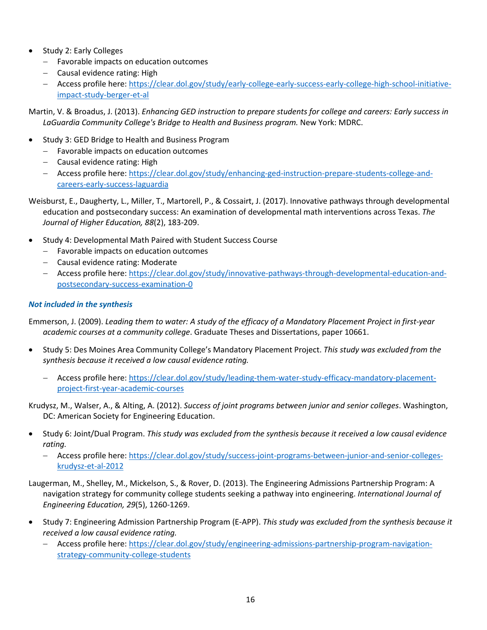- Study 2: Early Colleges
	- − Favorable impacts on education outcomes
	- − Causal evidence rating: High
	- − Access profile here: [https://clear.dol.gov/study/early-college-early-success-early-college-high-school-initiative](https://clear.dol.gov/study/early-college-early-success-early-college-high-school-initiative-impact-study-berger-et-al)[impact-study-berger-et-al](https://clear.dol.gov/study/early-college-early-success-early-college-high-school-initiative-impact-study-berger-et-al)

Martin, V. & Broadus, J. (2013). *Enhancing GED instruction to prepare students for college and careers: Early success in LaGuardia Community College's Bridge to Health and Business program.* New York: MDRC.

- Study 3: GED Bridge to Health and Business Program
	- − Favorable impacts on education outcomes
	- − Causal evidence rating: High
	- − Access profile here: [https://clear.dol.gov/study/enhancing-ged-instruction-prepare-students-college-and](https://clear.dol.gov/study/enhancing-ged-instruction-prepare-students-college-and-careers-early-success-laguardia)[careers-early-success-laguardia](https://clear.dol.gov/study/enhancing-ged-instruction-prepare-students-college-and-careers-early-success-laguardia)

Weisburst, E., Daugherty, L., Miller, T., Martorell, P., & Cossairt, J. (2017). Innovative pathways through developmental education and postsecondary success: An examination of developmental math interventions across Texas. *The Journal of Higher Education, 88*(2), 183-209.

- Study 4: Developmental Math Paired with Student Success Course
	- − Favorable impacts on education outcomes
	- − Causal evidence rating: Moderate
	- − Access profile here: [https://clear.dol.gov/study/innovative-pathways-through-developmental-education-and](https://clear.dol.gov/study/innovative-pathways-through-developmental-education-and-postsecondary-success-examination-0)[postsecondary-success-examination-0](https://clear.dol.gov/study/innovative-pathways-through-developmental-education-and-postsecondary-success-examination-0)

## *Not included in the synthesis*

Emmerson, J. (2009). *Leading them to water: A study of the efficacy of a Mandatory Placement Project in first-year academic courses at a community college*. Graduate Theses and Dissertations, paper 10661.

- Study 5: Des Moines Area Community College's Mandatory Placement Project. *This study was excluded from the synthesis because it received a low causal evidence rating.*
	- − Access profile here: [https://clear.dol.gov/study/leading-them-water-study-efficacy-mandatory-placement](https://clear.dol.gov/study/leading-them-water-study-efficacy-mandatory-placement-project-first-year-academic-courses)[project-first-year-academic-courses](https://clear.dol.gov/study/leading-them-water-study-efficacy-mandatory-placement-project-first-year-academic-courses)

Krudysz, M., Walser, A., & Alting, A. (2012). *Success of joint programs between junior and senior colleges*. Washington, DC: American Society for Engineering Education.

- Study 6: Joint/Dual Program. *This study was excluded from the synthesis because it received a low causal evidence rating.*
	- − Access profile here: [https://clear.dol.gov/study/success-joint-programs-between-junior-and-senior-colleges](https://clear.dol.gov/study/success-joint-programs-between-junior-and-senior-colleges-krudysz-et-al-2012)[krudysz-et-al-2012](https://clear.dol.gov/study/success-joint-programs-between-junior-and-senior-colleges-krudysz-et-al-2012)
- Laugerman, M., Shelley, M., Mickelson, S., & Rover, D. (2013). The Engineering Admissions Partnership Program: A navigation strategy for community college students seeking a pathway into engineering. *International Journal of Engineering Education, 29*(5), 1260-1269.
- Study 7: Engineering Admission Partnership Program (E-APP). *This study was excluded from the synthesis because it received a low causal evidence rating.*
	- − Access profile here: [https://clear.dol.gov/study/engineering-admissions-partnership-program-navigation](https://clear.dol.gov/study/engineering-admissions-partnership-program-navigation-strategy-community-college-students)[strategy-community-college-students](https://clear.dol.gov/study/engineering-admissions-partnership-program-navigation-strategy-community-college-students)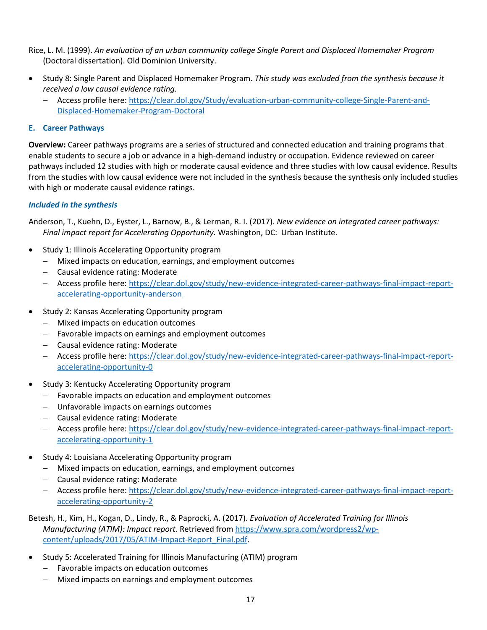Rice, L. M. (1999). *An evaluation of an urban community college Single Parent and Displaced Homemaker Program* (Doctoral dissertation). Old Dominion University.

- Study 8: Single Parent and Displaced Homemaker Program. *This study was excluded from the synthesis because it received a low causal evidence rating.*
	- − Access profile here: [https://clear.dol.gov/Study/evaluation-urban-community-college-Single-Parent-and-](https://clear.dol.gov/Study/evaluation-urban-community-college-Single-Parent-and-Displaced-Homemaker-Program-Doctoral)[Displaced-Homemaker-Program-Doctoral](https://clear.dol.gov/Study/evaluation-urban-community-college-Single-Parent-and-Displaced-Homemaker-Program-Doctoral)

#### <span id="page-16-0"></span>**E. Career Pathways**

**Overview:** Career pathways programs are a series of structured and connected education and training programs that enable students to secure a job or advance in a high-demand industry or occupation. Evidence reviewed on career pathways included 12 studies with high or moderate causal evidence and three studies with low causal evidence. Results from the studies with low causal evidence were not included in the synthesis because the synthesis only included studies with high or moderate causal evidence ratings.

#### *Included in the synthesis*

Anderson, T., Kuehn, D., Eyster, L., Barnow, B., & Lerman, R. I. (2017). *New evidence on integrated career pathways: Final impact report for Accelerating Opportunity.* Washington, DC: Urban Institute.

- Study 1: Illinois Accelerating Opportunity program
	- − Mixed impacts on education, earnings, and employment outcomes
	- − Causal evidence rating: Moderate
	- − Access profile here: [https://clear.dol.gov/study/new-evidence-integrated-career-pathways-final-impact-report](https://clear.dol.gov/study/new-evidence-integrated-career-pathways-final-impact-report-accelerating-opportunity-anderson)[accelerating-opportunity-anderson](https://clear.dol.gov/study/new-evidence-integrated-career-pathways-final-impact-report-accelerating-opportunity-anderson)
- Study 2: Kansas Accelerating Opportunity program
	- − Mixed impacts on education outcomes
	- − Favorable impacts on earnings and employment outcomes
	- − Causal evidence rating: Moderate
	- − Access profile here: [https://clear.dol.gov/study/new-evidence-integrated-career-pathways-final-impact-report](https://clear.dol.gov/study/new-evidence-integrated-career-pathways-final-impact-report-accelerating-opportunity-0)[accelerating-opportunity-0](https://clear.dol.gov/study/new-evidence-integrated-career-pathways-final-impact-report-accelerating-opportunity-0)
- Study 3: Kentucky Accelerating Opportunity program
	- − Favorable impacts on education and employment outcomes
	- − Unfavorable impacts on earnings outcomes
	- − Causal evidence rating: Moderate
	- − Access profile here: [https://clear.dol.gov/study/new-evidence-integrated-career-pathways-final-impact-report](https://clear.dol.gov/study/new-evidence-integrated-career-pathways-final-impact-report-accelerating-opportunity-1)[accelerating-opportunity-1](https://clear.dol.gov/study/new-evidence-integrated-career-pathways-final-impact-report-accelerating-opportunity-1)
- Study 4: Louisiana Accelerating Opportunity program
	- − Mixed impacts on education, earnings, and employment outcomes
	- − Causal evidence rating: Moderate
	- − Access profile here: [https://clear.dol.gov/study/new-evidence-integrated-career-pathways-final-impact-report](https://clear.dol.gov/study/new-evidence-integrated-career-pathways-final-impact-report-accelerating-opportunity-2)[accelerating-opportunity-2](https://clear.dol.gov/study/new-evidence-integrated-career-pathways-final-impact-report-accelerating-opportunity-2)

Betesh, H., Kim, H., Kogan, D., Lindy, R., & Paprocki, A. (2017). *Evaluation of Accelerated Training for Illinois Manufacturing (ATIM): Impact report.* Retrieved from [https://www.spra.com/wordpress2/wp](https://www.spra.com/wordpress2/wp-content/uploads/2017/05/ATIM-Impact-Report_Final.pdf)[content/uploads/2017/05/ATIM-Impact-Report\\_Final.pdf.](https://www.spra.com/wordpress2/wp-content/uploads/2017/05/ATIM-Impact-Report_Final.pdf)

- Study 5: Accelerated Training for Illinois Manufacturing (ATIM) program
	- − Favorable impacts on education outcomes
	- − Mixed impacts on earnings and employment outcomes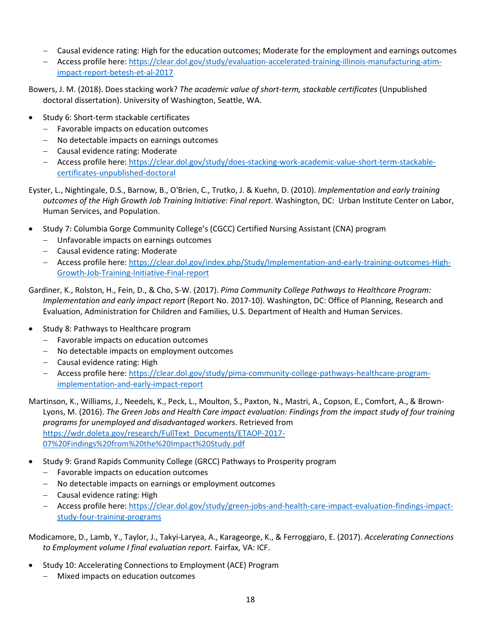- − Causal evidence rating: High for the education outcomes; Moderate for the employment and earnings outcomes
- − Access profile here: [https://clear.dol.gov/study/evaluation-accelerated-training-illinois-manufacturing-atim](https://clear.dol.gov/study/evaluation-accelerated-training-illinois-manufacturing-atim-impact-report-betesh-et-al-2017)[impact-report-betesh-et-al-2017](https://clear.dol.gov/study/evaluation-accelerated-training-illinois-manufacturing-atim-impact-report-betesh-et-al-2017)

Bowers, J. M. (2018). Does stacking work? *The academic value of short-term, stackable certificates* (Unpublished doctoral dissertation). University of Washington, Seattle, WA.

- Study 6: Short-term stackable certificates
	- − Favorable impacts on education outcomes
	- − No detectable impacts on earnings outcomes
	- − Causal evidence rating: Moderate
	- − Access profile here: [https://clear.dol.gov/study/does-stacking-work-academic-value-short-term-stackable](https://clear.dol.gov/study/does-stacking-work-academic-value-short-term-stackable-certificates-unpublished-doctoral)[certificates-unpublished-doctoral](https://clear.dol.gov/study/does-stacking-work-academic-value-short-term-stackable-certificates-unpublished-doctoral)

Eyster, L., Nightingale, D.S., Barnow, B., O'Brien, C., Trutko, J. & Kuehn, D. (2010). *Implementation and early training outcomes of the High Growth Job Training Initiative: Final report*. Washington, DC: Urban Institute Center on Labor, Human Services, and Population.

- Study 7: Columbia Gorge Community College's (CGCC) Certified Nursing Assistant (CNA) program
	- − Unfavorable impacts on earnings outcomes
	- − Causal evidence rating: Moderate
	- − Access profile here: [https://clear.dol.gov/index.php/Study/Implementation-and-early-training-outcomes-High-](https://clear.dol.gov/index.php/Study/Implementation-and-early-training-outcomes-High-Growth-Job-Training-Initiative-Final-report)[Growth-Job-Training-Initiative-Final-report](https://clear.dol.gov/index.php/Study/Implementation-and-early-training-outcomes-High-Growth-Job-Training-Initiative-Final-report)

Gardiner, K., Rolston, H., Fein, D., & Cho, S-W. (2017). *Pima Community College Pathways to Healthcare Program: Implementation and early impact report* (Report No. 2017-10). Washington, DC: Office of Planning, Research and Evaluation, Administration for Children and Families, U.S. Department of Health and Human Services.

- Study 8: Pathways to Healthcare program
	- − Favorable impacts on education outcomes
	- − No detectable impacts on employment outcomes
	- − Causal evidence rating: High
	- − Access profile here: [https://clear.dol.gov/study/pima-community-college-pathways-healthcare-program](https://clear.dol.gov/study/pima-community-college-pathways-healthcare-program-implementation-and-early-impact-report)[implementation-and-early-impact-report](https://clear.dol.gov/study/pima-community-college-pathways-healthcare-program-implementation-and-early-impact-report)

Martinson, K., Williams, J., Needels, K., Peck, L., Moulton, S., Paxton, N., Mastri, A., Copson, E., Comfort, A., & Brown-Lyons, M. (2016). *The Green Jobs and Health Care impact evaluation: Findings from the impact study of four training programs for unemployed and disadvantaged workers*. Retrieved from [https://wdr.doleta.gov/research/FullText\\_Documents/ETAOP-2017-](https://wdr.doleta.gov/research/FullText_Documents/ETAOP-2017-07%20Findings%20from%20the%20Impact%20Study.pdf) [07%20Findings%20from%20the%20Impact%20Study.pdf](https://wdr.doleta.gov/research/FullText_Documents/ETAOP-2017-07%20Findings%20from%20the%20Impact%20Study.pdf) 

- Study 9: Grand Rapids Community College (GRCC) Pathways to Prosperity program
	- − Favorable impacts on education outcomes
	- − No detectable impacts on earnings or employment outcomes
	- − Causal evidence rating: High
	- − Access profile here: [https://clear.dol.gov/study/green-jobs-and-health-care-impact-evaluation-findings-impact](https://clear.dol.gov/study/green-jobs-and-health-care-impact-evaluation-findings-impact-study-four-training-programs)[study-four-training-programs](https://clear.dol.gov/study/green-jobs-and-health-care-impact-evaluation-findings-impact-study-four-training-programs)

Modicamore, D., Lamb, Y., Taylor, J., Takyi-Laryea, A., Karageorge, K., & Ferroggiaro, E. (2017). *Accelerating Connections to Employment volume I final evaluation report.* Fairfax, VA: ICF.

- Study 10: Accelerating Connections to Employment (ACE) Program
	- − Mixed impacts on education outcomes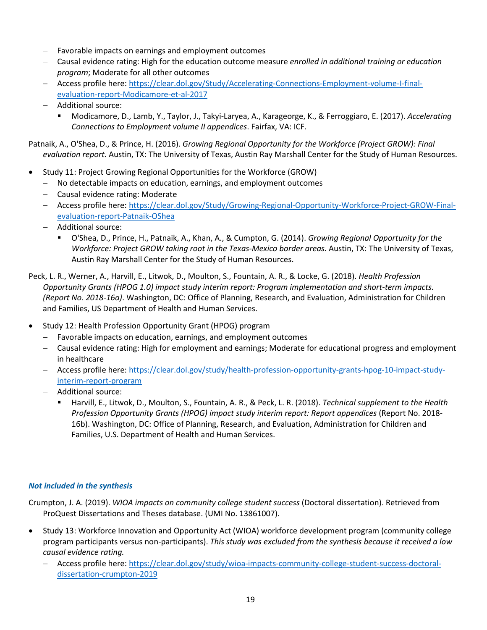- − Favorable impacts on earnings and employment outcomes
- − Causal evidence rating: High for the education outcome measure *enrolled in additional training or education program*; Moderate for all other outcomes
- − Access profile here: [https://clear.dol.gov/Study/Accelerating-Connections-Employment-volume-I-final](https://clear.dol.gov/Study/Accelerating-Connections-Employment-volume-I-final-evaluation-report-Modicamore-et-al-2017)[evaluation-report-Modicamore-et-al-2017](https://clear.dol.gov/Study/Accelerating-Connections-Employment-volume-I-final-evaluation-report-Modicamore-et-al-2017)
- − Additional source:
	- Modicamore, D., Lamb, Y., Taylor, J., Takyi-Laryea, A., Karageorge, K., & Ferroggiaro, E. (2017). *Accelerating Connections to Employment volume II appendices*. Fairfax, VA: ICF.

Patnaik, A., O'Shea, D., & Prince, H. (2016). *Growing Regional Opportunity for the Workforce (Project GROW): Final evaluation report.* Austin, TX: The University of Texas, Austin Ray Marshall Center for the Study of Human Resources.

- Study 11: Project Growing Regional Opportunities for the Workforce (GROW)
	- − No detectable impacts on education, earnings, and employment outcomes
	- − Causal evidence rating: Moderate
	- − Access profile here: [https://clear.dol.gov/Study/Growing-Regional-Opportunity-Workforce-Project-GROW-Final](https://clear.dol.gov/Study/Growing-Regional-Opportunity-Workforce-Project-GROW-Final-evaluation-report-Patnaik-OShea)[evaluation-report-Patnaik-OShea](https://clear.dol.gov/Study/Growing-Regional-Opportunity-Workforce-Project-GROW-Final-evaluation-report-Patnaik-OShea)
	- − Additional source:
		- O'Shea, D., Prince, H., Patnaik, A., Khan, A., & Cumpton, G. (2014). *Growing Regional Opportunity for the Workforce: Project GROW taking root in the Texas-Mexico border areas.* Austin, TX: The University of Texas, Austin Ray Marshall Center for the Study of Human Resources.

Peck, L. R., Werner, A., Harvill, E., Litwok, D., Moulton, S., Fountain, A. R., & Locke, G. (2018). *Health Profession Opportunity Grants (HPOG 1.0) impact study interim report: Program implementation and short-term impacts. (Report No. 2018-16a)*. Washington, DC: Office of Planning, Research, and Evaluation, Administration for Children and Families, US Department of Health and Human Services.

- Study 12: Health Profession Opportunity Grant (HPOG) program
	- − Favorable impacts on education, earnings, and employment outcomes
	- − Causal evidence rating: High for employment and earnings; Moderate for educational progress and employment in healthcare
	- − Access profile here: [https://clear.dol.gov/study/health-profession-opportunity-grants-hpog-10-impact-study](https://clear.dol.gov/study/health-profession-opportunity-grants-hpog-10-impact-study-interim-report-program)[interim-report-program](https://clear.dol.gov/study/health-profession-opportunity-grants-hpog-10-impact-study-interim-report-program)
	- − Additional source:
		- Harvill, E., Litwok, D., Moulton, S., Fountain, A. R., & Peck, L. R. (2018). *Technical supplement to the Health Profession Opportunity Grants (HPOG) impact study interim report: Report appendices* (Report No. 2018- 16b). Washington, DC: Office of Planning, Research, and Evaluation, Administration for Children and Families, U.S. Department of Health and Human Services.

## *Not included in the synthesis*

Crumpton, J. A. (2019). *WIOA impacts on community college student success* (Doctoral dissertation). Retrieved from ProQuest Dissertations and Theses database. (UMI No. 13861007).

- Study 13: Workforce Innovation and Opportunity Act (WIOA) workforce development program (community college program participants versus non-participants). *This study was excluded from the synthesis because it received a low causal evidence rating.*
	- − Access profile here: [https://clear.dol.gov/study/wioa-impacts-community-college-student-success-doctoral](https://clear.dol.gov/study/wioa-impacts-community-college-student-success-doctoral-dissertation-crumpton-2019)[dissertation-crumpton-2019](https://clear.dol.gov/study/wioa-impacts-community-college-student-success-doctoral-dissertation-crumpton-2019)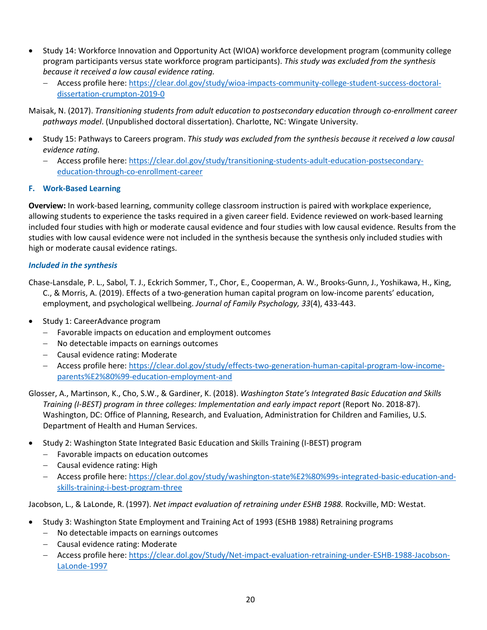- Study 14: Workforce Innovation and Opportunity Act (WIOA) workforce development program (community college program participants versus state workforce program participants). *This study was excluded from the synthesis because it received a low causal evidence rating.*
	- − Access profile here: [https://clear.dol.gov/study/wioa-impacts-community-college-student-success-doctoral](https://clear.dol.gov/study/wioa-impacts-community-college-student-success-doctoral-dissertation-crumpton-2019-0)[dissertation-crumpton-2019-0](https://clear.dol.gov/study/wioa-impacts-community-college-student-success-doctoral-dissertation-crumpton-2019-0)

Maisak, N. (2017). *Transitioning students from adult education to postsecondary education through co-enrollment career pathways model*. (Unpublished doctoral dissertation). Charlotte, NC: Wingate University.

- Study 15: Pathways to Careers program. *This study was excluded from the synthesis because it received a low causal evidence rating.*
	- − Access profile here: [https://clear.dol.gov/study/transitioning-students-adult-education-postsecondary](https://clear.dol.gov/study/transitioning-students-adult-education-postsecondary-education-through-co-enrollment-career)[education-through-co-enrollment-career](https://clear.dol.gov/study/transitioning-students-adult-education-postsecondary-education-through-co-enrollment-career)

#### <span id="page-19-0"></span>**F. Work-Based Learning**

**Overview:** In work-based learning, community college classroom instruction is paired with workplace experience, allowing students to experience the tasks required in a given career field. Evidence reviewed on work-based learning included four studies with high or moderate causal evidence and four studies with low causal evidence. Results from the studies with low causal evidence were not included in the synthesis because the synthesis only included studies with high or moderate causal evidence ratings.

#### *Included in the synthesis*

Chase-Lansdale, P. L., Sabol, T. J., Eckrich Sommer, T., Chor, E., Cooperman, A. W., Brooks-Gunn, J., Yoshikawa, H., King, C., & Morris, A. (2019). Effects of a two-generation human capital program on low-income parents' education, employment, and psychological wellbeing. *Journal of Family Psychology, 33*(4), 433-443.

- Study 1: CareerAdvance program
	- − Favorable impacts on education and employment outcomes
	- − No detectable impacts on earnings outcomes
	- − Causal evidence rating: Moderate
	- − Access profile here: [https://clear.dol.gov/study/effects-two-generation-human-capital-program-low-income](https://clear.dol.gov/study/effects-two-generation-human-capital-program-low-income-parents%E2%80%99-education-employment-and)[parents%E2%80%99-education-employment-and](https://clear.dol.gov/study/effects-two-generation-human-capital-program-low-income-parents%E2%80%99-education-employment-and)
- Glosser, A., Martinson, K., Cho, S.W., & Gardiner, K. (2018). *Washington State's Integrated Basic Education and Skills Training (I-BEST) program in three colleges: Implementation and early impact report* (Report No. 2018-87). Washington, DC: Office of Planning, Research, and Evaluation, Administration for Children and Families, U.S. Department of Health and Human Services.
- Study 2: Washington State Integrated Basic Education and Skills Training (I-BEST) program
	- − Favorable impacts on education outcomes
	- − Causal evidence rating: High
	- − Access profile here: [https://clear.dol.gov/study/washington-state%E2%80%99s-integrated-basic-education-and](https://clear.dol.gov/study/washington-state%E2%80%99s-integrated-basic-education-and-skills-training-i-best-program-three)[skills-training-i-best-program-three](https://clear.dol.gov/study/washington-state%E2%80%99s-integrated-basic-education-and-skills-training-i-best-program-three)

Jacobson, L., & LaLonde, R. (1997). *Net impact evaluation of retraining under ESHB 1988.* Rockville, MD: Westat.

- Study 3: Washington State Employment and Training Act of 1993 (ESHB 1988) Retraining programs
	- − No detectable impacts on earnings outcomes
	- − Causal evidence rating: Moderate
	- − Access profile here: [https://clear.dol.gov/Study/Net-impact-evaluation-retraining-under-ESHB-1988-Jacobson-](https://clear.dol.gov/Study/Net-impact-evaluation-retraining-under-ESHB-1988-Jacobson-LaLonde-1997)[LaLonde-1997](https://clear.dol.gov/Study/Net-impact-evaluation-retraining-under-ESHB-1988-Jacobson-LaLonde-1997)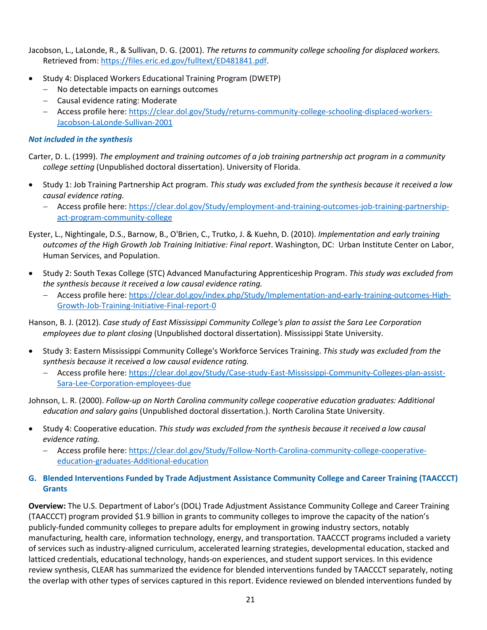Jacobson, L., LaLonde, R., & Sullivan, D. G. (2001). *The returns to community college schooling for displaced workers.* Retrieved from: [https://files.eric.ed.gov/fulltext/ED481841.pdf.](https://files.eric.ed.gov/fulltext/ED481841.pdf)

- Study 4: Displaced Workers Educational Training Program (DWETP)
	- − No detectable impacts on earnings outcomes
	- − Causal evidence rating: Moderate
	- − Access profile here: [https://clear.dol.gov/Study/returns-community-college-schooling-displaced-workers-](https://clear.dol.gov/Study/returns-community-college-schooling-displaced-workers-Jacobson-LaLonde-Sullivan-2001)[Jacobson-LaLonde-Sullivan-2001](https://clear.dol.gov/Study/returns-community-college-schooling-displaced-workers-Jacobson-LaLonde-Sullivan-2001)

#### *Not included in the synthesis*

Carter, D. L. (1999). *The employment and training outcomes of a job training partnership act program in a community college setting* (Unpublished doctoral dissertation). University of Florida.

- Study 1: Job Training Partnership Act program. *This study was excluded from the synthesis because it received a low causal evidence rating.*
	- − Access profile here: [https://clear.dol.gov/Study/employment-and-training-outcomes-job-training-partnership](https://clear.dol.gov/Study/employment-and-training-outcomes-job-training-partnership-act-program-community-college)[act-program-community-college](https://clear.dol.gov/Study/employment-and-training-outcomes-job-training-partnership-act-program-community-college)
- Eyster, L., Nightingale, D.S., Barnow, B., O'Brien, C., Trutko, J. & Kuehn, D. (2010). *Implementation and early training outcomes of the High Growth Job Training Initiative: Final report*. Washington, DC: Urban Institute Center on Labor, Human Services, and Population.
- Study 2: South Texas College (STC) Advanced Manufacturing Apprenticeship Program. *This study was excluded from the synthesis because it received a low causal evidence rating.*
	- − Access profile here: [https://clear.dol.gov/index.php/Study/Implementation-and-early-training-outcomes-High-](https://clear.dol.gov/index.php/Study/Implementation-and-early-training-outcomes-High-Growth-Job-Training-Initiative-Final-report-0)[Growth-Job-Training-Initiative-Final-report-0](https://clear.dol.gov/index.php/Study/Implementation-and-early-training-outcomes-High-Growth-Job-Training-Initiative-Final-report-0)

Hanson, B. J. (2012). *Case study of East Mississippi Community College's plan to assist the Sara Lee Corporation employees due to plant closing* (Unpublished doctoral dissertation). Mississippi State University.

- Study 3: Eastern Mississippi Community College's Workforce Services Training. *This study was excluded from the synthesis because it received a low causal evidence rating.*
	- − Access profile here: [https://clear.dol.gov/Study/Case-study-East-Mississippi-Community-Colleges-plan-assist-](https://clear.dol.gov/Study/Case-study-East-Mississippi-Community-Colleges-plan-assist-Sara-Lee-Corporation-employees-due)[Sara-Lee-Corporation-employees-due](https://clear.dol.gov/Study/Case-study-East-Mississippi-Community-Colleges-plan-assist-Sara-Lee-Corporation-employees-due)

Johnson, L. R. (2000). *Follow-up on North Carolina community college cooperative education graduates: Additional education and salary gains* (Unpublished doctoral dissertation.). North Carolina State University.

- Study 4: Cooperative education. *This study was excluded from the synthesis because it received a low causal evidence rating.*
	- − Access profile here: [https://clear.dol.gov/Study/Follow-North-Carolina-community-college-cooperative](https://clear.dol.gov/Study/Follow-North-Carolina-community-college-cooperative-education-graduates-Additional-education)[education-graduates-Additional-education](https://clear.dol.gov/Study/Follow-North-Carolina-community-college-cooperative-education-graduates-Additional-education)

## <span id="page-20-0"></span>**G. Blended Interventions Funded by Trade Adjustment Assistance Community College and Career Training (TAACCCT) Grants**

**Overview:** The U.S. Department of Labor's (DOL) Trade Adjustment Assistance Community College and Career Training (TAACCCT) program provided \$1.9 billion in grants to community colleges to improve the capacity of the nation's publicly-funded community colleges to prepare adults for employment in growing industry sectors, notably manufacturing, health care, information technology, energy, and transportation. TAACCCT programs included a variety of services such as industry-aligned curriculum, accelerated learning strategies, developmental education, stacked and latticed credentials, educational technology, hands-on experiences, and student support services. In this evidence review synthesis, CLEAR has summarized the evidence for blended interventions funded by TAACCCT separately, noting the overlap with other types of services captured in this report. Evidence reviewed on blended interventions funded by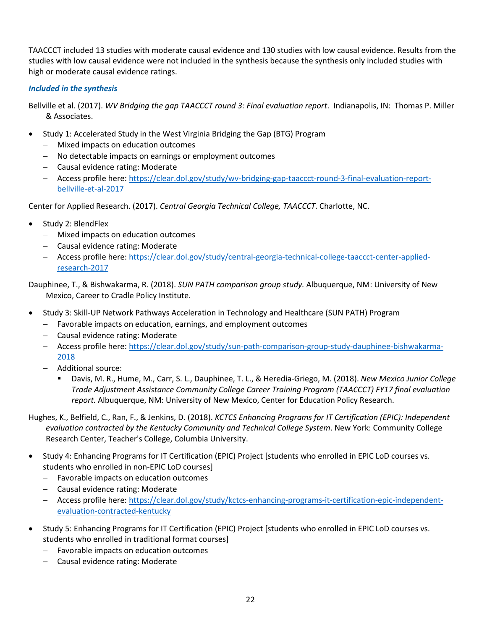TAACCCT included 13 studies with moderate causal evidence and 130 studies with low causal evidence. Results from the studies with low causal evidence were not included in the synthesis because the synthesis only included studies with high or moderate causal evidence ratings.

## *Included in the synthesis*

Bellville et al. (2017). *WV Bridging the gap TAACCCT round 3: Final evaluation report*. Indianapolis, IN: Thomas P. Miller & Associates.

- Study 1: Accelerated Study in the West Virginia Bridging the Gap (BTG) Program
	- − Mixed impacts on education outcomes
	- − No detectable impacts on earnings or employment outcomes
	- − Causal evidence rating: Moderate
	- − Access profile here: [https://clear.dol.gov/study/wv-bridging-gap-taaccct-round-3-final-evaluation-report](https://clear.dol.gov/study/wv-bridging-gap-taaccct-round-3-final-evaluation-report-bellville-et-al-2017)[bellville-et-al-2017](https://clear.dol.gov/study/wv-bridging-gap-taaccct-round-3-final-evaluation-report-bellville-et-al-2017)

Center for Applied Research. (2017). *Central Georgia Technical College, TAACCCT*. Charlotte, NC.

- Study 2: BlendFlex
	- − Mixed impacts on education outcomes
	- − Causal evidence rating: Moderate
	- − Access profile here: [https://clear.dol.gov/study/central-georgia-technical-college-taaccct-center-applied](https://clear.dol.gov/study/central-georgia-technical-college-taaccct-center-applied-research-2017)[research-2017](https://clear.dol.gov/study/central-georgia-technical-college-taaccct-center-applied-research-2017)

Dauphinee, T., & Bishwakarma, R. (2018). *SUN PATH comparison group study.* Albuquerque, NM: University of New Mexico, Career to Cradle Policy Institute.

- Study 3: Skill-UP Network Pathways Acceleration in Technology and Healthcare (SUN PATH) Program
	- − Favorable impacts on education, earnings, and employment outcomes
	- − Causal evidence rating: Moderate
	- − Access profile here: [https://clear.dol.gov/study/sun-path-comparison-group-study-dauphinee-bishwakarma-](https://clear.dol.gov/study/sun-path-comparison-group-study-dauphinee-bishwakarma-2018)[2018](https://clear.dol.gov/study/sun-path-comparison-group-study-dauphinee-bishwakarma-2018)
	- − Additional source:
		- Davis, M. R., Hume, M., Carr, S. L., Dauphinee, T. L., & Heredia-Griego, M. (2018). *New Mexico Junior College Trade Adjustment Assistance Community College Career Training Program (TAACCCT) FY17 final evaluation report.* Albuquerque, NM: University of New Mexico, Center for Education Policy Research.

Hughes, K., Belfield, C., Ran, F., & Jenkins, D. (2018). *KCTCS Enhancing Programs for IT Certification (EPIC): Independent evaluation contracted by the Kentucky Community and Technical College System*. New York: Community College Research Center, Teacher's College, Columbia University.

- Study 4: Enhancing Programs for IT Certification (EPIC) Project [students who enrolled in EPIC LoD courses vs. students who enrolled in non-EPIC LoD courses]
	- − Favorable impacts on education outcomes
	- − Causal evidence rating: Moderate
	- − Access profile here: [https://clear.dol.gov/study/kctcs-enhancing-programs-it-certification-epic-independent](https://clear.dol.gov/study/kctcs-enhancing-programs-it-certification-epic-independent-evaluation-contracted-kentucky)[evaluation-contracted-kentucky](https://clear.dol.gov/study/kctcs-enhancing-programs-it-certification-epic-independent-evaluation-contracted-kentucky)
- Study 5: Enhancing Programs for IT Certification (EPIC) Project [students who enrolled in EPIC LoD courses vs. students who enrolled in traditional format courses]
	- − Favorable impacts on education outcomes
	- − Causal evidence rating: Moderate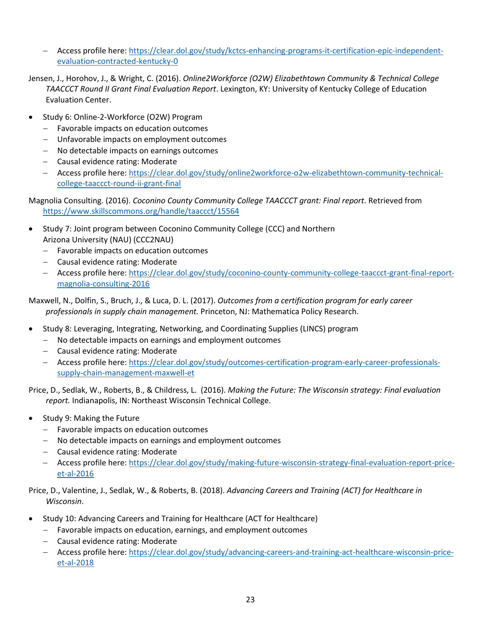- − Access profile here: [https://clear.dol.gov/study/kctcs-enhancing-programs-it-certification-epic-independent](https://clear.dol.gov/study/kctcs-enhancing-programs-it-certification-epic-independent-evaluation-contracted-kentucky-0)[evaluation-contracted-kentucky-0](https://clear.dol.gov/study/kctcs-enhancing-programs-it-certification-epic-independent-evaluation-contracted-kentucky-0)
- Jensen, J., Horohov, J., & Wright, C. (2016). *Online2Workforce (O2W) Elizabethtown Community & Technical College TAACCCT Round II Grant Final Evaluation Report*. Lexington, KY: University of Kentucky College of Education Evaluation Center.
- Study 6: Online-2-Workforce (O2W) Program
	- − Favorable impacts on education outcomes
	- − Unfavorable impacts on employment outcomes
	- − No detectable impacts on earnings outcomes
	- − Causal evidence rating: Moderate
	- − Access profile here: [https://clear.dol.gov/study/online2workforce-o2w-elizabethtown-community-technical](https://clear.dol.gov/study/online2workforce-o2w-elizabethtown-community-technical-college-taaccct-round-ii-grant-final)[college-taaccct-round-ii-grant-final](https://clear.dol.gov/study/online2workforce-o2w-elizabethtown-community-technical-college-taaccct-round-ii-grant-final)

Magnolia Consulting. (2016). *Coconino County Community College TAACCCT grant: Final report*. Retrieved from <https://www.skillscommons.org/handle/taaccct/15564>

- Study 7: Joint program between Coconino Community College (CCC) and Northern Arizona University (NAU) (CCC2NAU)
	- − Favorable impacts on education outcomes
	- − Causal evidence rating: Moderate
	- − Access profile here: [https://clear.dol.gov/study/coconino-county-community-college-taaccct-grant-final-report](https://clear.dol.gov/study/coconino-county-community-college-taaccct-grant-final-report-magnolia-consulting-2016)[magnolia-consulting-2016](https://clear.dol.gov/study/coconino-county-community-college-taaccct-grant-final-report-magnolia-consulting-2016)

Maxwell, N., Dolfin, S., Bruch, J., & Luca, D. L. (2017). *Outcomes from a certification program for early career professionals in supply chain management.* Princeton, NJ: Mathematica Policy Research.

- Study 8: Leveraging, Integrating, Networking, and Coordinating Supplies (LINCS) program
	- − No detectable impacts on earnings and employment outcomes
	- − Causal evidence rating: Moderate
	- − Access profile here: [https://clear.dol.gov/study/outcomes-certification-program-early-career-professionals](https://clear.dol.gov/study/outcomes-certification-program-early-career-professionals-supply-chain-management-maxwell-et)[supply-chain-management-maxwell-et](https://clear.dol.gov/study/outcomes-certification-program-early-career-professionals-supply-chain-management-maxwell-et)

Price, D., Sedlak, W., Roberts, B., & Childress, L. (2016). *Making the Future: The Wisconsin strategy: Final evaluation report.* Indianapolis, IN: Northeast Wisconsin Technical College.

- Study 9: Making the Future
	- − Favorable impacts on education outcomes
	- − No detectable impacts on earnings and employment outcomes
	- − Causal evidence rating: Moderate
	- − Access profile here: [https://clear.dol.gov/study/making-future-wisconsin-strategy-final-evaluation-report-price](https://clear.dol.gov/study/making-future-wisconsin-strategy-final-evaluation-report-price-et-al-2016)[et-al-2016](https://clear.dol.gov/study/making-future-wisconsin-strategy-final-evaluation-report-price-et-al-2016)

Price, D., Valentine, J., Sedlak, W., & Roberts, B. (2018). *Advancing Careers and Training (ACT) for Healthcare in Wisconsin*.

- Study 10: Advancing Careers and Training for Healthcare (ACT for Healthcare)
	- − Favorable impacts on education, earnings, and employment outcomes
	- − Causal evidence rating: Moderate
	- − Access profile here: [https://clear.dol.gov/study/advancing-careers-and-training-act-healthcare-wisconsin-price](https://clear.dol.gov/study/advancing-careers-and-training-act-healthcare-wisconsin-price-et-al-2018)[et-al-2018](https://clear.dol.gov/study/advancing-careers-and-training-act-healthcare-wisconsin-price-et-al-2018)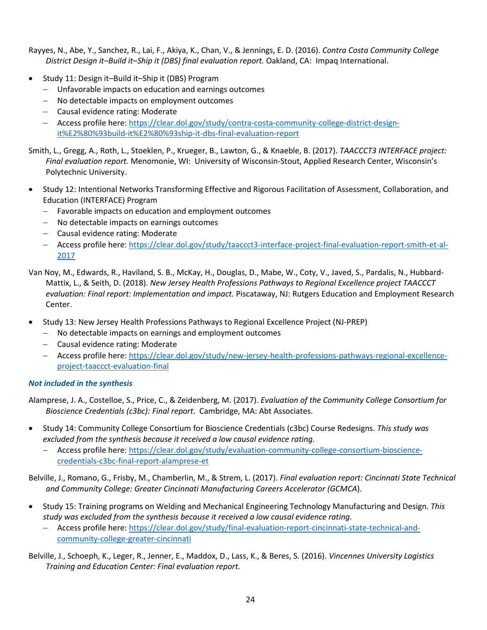Rayyes, N., Abe, Y., Sanchez, R., Lai, F., Akiya, K., Chan, V., & Jennings, E. D. (2016). *Contra Costa Community College District Design it–Build it–Ship it (DBS) final evaluation report.* Oakland, CA: Impaq International.

- Study 11: Design it–Build it–Ship it (DBS) Program
	- − Unfavorable impacts on education and earnings outcomes
	- − No detectable impacts on employment outcomes
	- − Causal evidence rating: Moderate
	- − Access profile here: [https://clear.dol.gov/study/contra-costa-community-college-district-design](https://clear.dol.gov/study/contra-costa-community-college-district-design-it%E2%80%93build-it%E2%80%93ship-it-dbs-final-evaluation-report)[it%E2%80%93build-it%E2%80%93ship-it-dbs-final-evaluation-report](https://clear.dol.gov/study/contra-costa-community-college-district-design-it%E2%80%93build-it%E2%80%93ship-it-dbs-final-evaluation-report)

Smith, L., Gregg, A., Roth, L., Stoeklen, P., Krueger, B., Lawton, G., & Knaeble, B. (2017). *TAACCCT3 INTERFACE project: Final evaluation report.* Menomonie, WI: University of Wisconsin-Stout, Applied Research Center, Wisconsin's Polytechnic University.

- Study 12: Intentional Networks Transforming Effective and Rigorous Facilitation of Assessment, Collaboration, and Education (INTERFACE) Program
	- − Favorable impacts on education and employment outcomes
	- − No detectable impacts on earnings outcomes
	- − Causal evidence rating: Moderate
	- − Access profile here: [https://clear.dol.gov/study/taaccct3-interface-project-final-evaluation-report-smith-et-al-](https://clear.dol.gov/study/taaccct3-interface-project-final-evaluation-report-smith-et-al-2017)[2017](https://clear.dol.gov/study/taaccct3-interface-project-final-evaluation-report-smith-et-al-2017)
- Van Noy, M., Edwards, R., Haviland, S. B., McKay, H., Douglas, D., Mabe, W., Coty, V., Javed, S., Pardalis, N., Hubbard-Mattix, L., & Seith, D. (2018). *New Jersey Health Professions Pathways to Regional Excellence project TAACCCT evaluation: Final report: Implementation and impact.* Piscataway, NJ: Rutgers Education and Employment Research Center.
- Study 13: New Jersey Health Professions Pathways to Regional Excellence Project (NJ-PREP)
	- − No detectable impacts on earnings and employment outcomes
	- − Causal evidence rating: Moderate
	- − Access profile here: [https://clear.dol.gov/study/new-jersey-health-professions-pathways-regional-excellence](https://clear.dol.gov/study/new-jersey-health-professions-pathways-regional-excellence-project-taaccct-evaluation-final)[project-taaccct-evaluation-final](https://clear.dol.gov/study/new-jersey-health-professions-pathways-regional-excellence-project-taaccct-evaluation-final)

## *Not included in the synthesis*

Alamprese, J. A., Costelloe, S., Price, C., & Zeidenberg, M. (2017). *Evaluation of the Community College Consortium for Bioscience Credentials (c3bc): Final report*. Cambridge, MA: Abt Associates.

- Study 14: Community College Consortium for Bioscience Credentials (c3bc) Course Redesigns. *This study was excluded from the synthesis because it received a low causal evidence rating.*
	- − Access profile here: [https://clear.dol.gov/study/evaluation-community-college-consortium-bioscience](https://clear.dol.gov/study/evaluation-community-college-consortium-bioscience-credentials-c3bc-final-report-alamprese-et)[credentials-c3bc-final-report-alamprese-et](https://clear.dol.gov/study/evaluation-community-college-consortium-bioscience-credentials-c3bc-final-report-alamprese-et)

Belville, J., Romano, G., Frisby, M., Chamberlin, M., & Strem, L. (2017). *Final evaluation report: Cincinnati State Technical and Community College: Greater Cincinnati Manufacturing Careers Accelerator (GCMCA*).

- Study 15: Training programs on Welding and Mechanical Engineering Technology Manufacturing and Design. *This study was excluded from the synthesis because it received a low causal evidence rating.*
	- − Access profile here: [https://clear.dol.gov/study/final-evaluation-report-cincinnati-state-technical-and](https://clear.dol.gov/study/final-evaluation-report-cincinnati-state-technical-and-community-college-greater-cincinnati)[community-college-greater-cincinnati](https://clear.dol.gov/study/final-evaluation-report-cincinnati-state-technical-and-community-college-greater-cincinnati)

Belville, J., Schoeph, K., Leger, R., Jenner, E., Maddox, D., Lass, K., & Beres, S. (2016). *Vincennes University Logistics Training and Education Center: Final evaluation report.*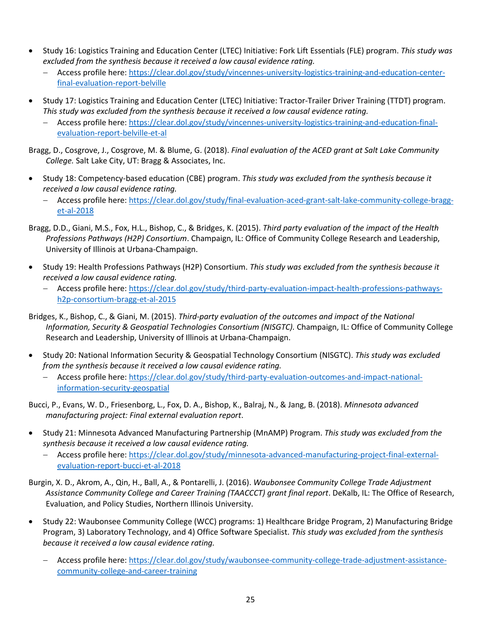- Study 16: Logistics Training and Education Center (LTEC) Initiative: Fork Lift Essentials (FLE) program. *This study was excluded from the synthesis because it received a low causal evidence rating.*
	- − Access profile here: [https://clear.dol.gov/study/vincennes-university-logistics-training-and-education-center](https://clear.dol.gov/study/vincennes-university-logistics-training-and-education-center-final-evaluation-report-belville)[final-evaluation-report-belville](https://clear.dol.gov/study/vincennes-university-logistics-training-and-education-center-final-evaluation-report-belville)
- Study 17: Logistics Training and Education Center (LTEC) Initiative: Tractor-Trailer Driver Training (TTDT) program. *This study was excluded from the synthesis because it received a low causal evidence rating.*
	- − Access profile here: [https://clear.dol.gov/study/vincennes-university-logistics-training-and-education-final](https://clear.dol.gov/study/vincennes-university-logistics-training-and-education-final-evaluation-report-belville-et-al)[evaluation-report-belville-et-al](https://clear.dol.gov/study/vincennes-university-logistics-training-and-education-final-evaluation-report-belville-et-al)

Bragg, D., Cosgrove, J., Cosgrove, M. & Blume, G. (2018). *Final evaluation of the ACED grant at Salt Lake Community College.* Salt Lake City, UT: Bragg & Associates, Inc.

- Study 18: Competency-based education (CBE) program. *This study was excluded from the synthesis because it received a low causal evidence rating.*
	- − Access profile here: [https://clear.dol.gov/study/final-evaluation-aced-grant-salt-lake-community-college-bragg](https://clear.dol.gov/study/final-evaluation-aced-grant-salt-lake-community-college-bragg-et-al-2018)[et-al-2018](https://clear.dol.gov/study/final-evaluation-aced-grant-salt-lake-community-college-bragg-et-al-2018)
- Bragg, D.D., Giani, M.S., Fox, H.L., Bishop, C., & Bridges, K. (2015). *Third party evaluation of the impact of the Health Professions Pathways (H2P) Consortium*. Champaign, IL: Office of Community College Research and Leadership, University of Illinois at Urbana-Champaign.
- Study 19: Health Professions Pathways (H2P) Consortium. *This study was excluded from the synthesis because it received a low causal evidence rating.*
	- − Access profile here: [https://clear.dol.gov/study/third-party-evaluation-impact-health-professions-pathways](https://clear.dol.gov/study/third-party-evaluation-impact-health-professions-pathways-h2p-consortium-bragg-et-al-2015)[h2p-consortium-bragg-et-al-2015](https://clear.dol.gov/study/third-party-evaluation-impact-health-professions-pathways-h2p-consortium-bragg-et-al-2015)
- Bridges, K., Bishop, C., & Giani, M. (2015). *Third-party evaluation of the outcomes and impact of the National Information, Security & Geospatial Technologies Consortium (NISGTC).* Champaign, IL: Office of Community College Research and Leadership, University of Illinois at Urbana-Champaign.
- Study 20: National Information Security & Geospatial Technology Consortium (NISGTC). *This study was excluded from the synthesis because it received a low causal evidence rating.*
	- − Access profile here: [https://clear.dol.gov/study/third-party-evaluation-outcomes-and-impact-national](https://clear.dol.gov/study/third-party-evaluation-outcomes-and-impact-national-information-security-geospatial)[information-security-geospatial](https://clear.dol.gov/study/third-party-evaluation-outcomes-and-impact-national-information-security-geospatial)
- Bucci, P., Evans, W. D., Friesenborg, L., Fox, D. A., Bishop, K., Balraj, N., & Jang, B. (2018). *Minnesota advanced manufacturing project: Final external evaluation report*.
- Study 21: Minnesota Advanced Manufacturing Partnership (MnAMP) Program. *This study was excluded from the synthesis because it received a low causal evidence rating.*
	- − Access profile here: [https://clear.dol.gov/study/minnesota-advanced-manufacturing-project-final-external](https://clear.dol.gov/study/minnesota-advanced-manufacturing-project-final-external-evaluation-report-bucci-et-al-2018)[evaluation-report-bucci-et-al-2018](https://clear.dol.gov/study/minnesota-advanced-manufacturing-project-final-external-evaluation-report-bucci-et-al-2018)
- Burgin, X. D., Akrom, A., Qin, H., Ball, A., & Pontarelli, J. (2016). *Waubonsee Community College Trade Adjustment Assistance Community College and Career Training (TAACCCT) grant final report*. DeKalb, IL: The Office of Research, Evaluation, and Policy Studies, Northern Illinois University.
- Study 22: Waubonsee Community College (WCC) programs: 1) Healthcare Bridge Program, 2) Manufacturing Bridge Program, 3) Laboratory Technology, and 4) Office Software Specialist. *This study was excluded from the synthesis because it received a low causal evidence rating.*
	- − Access profile here: [https://clear.dol.gov/study/waubonsee-community-college-trade-adjustment-assistance](https://clear.dol.gov/study/waubonsee-community-college-trade-adjustment-assistance-community-college-and-career-training)[community-college-and-career-training](https://clear.dol.gov/study/waubonsee-community-college-trade-adjustment-assistance-community-college-and-career-training)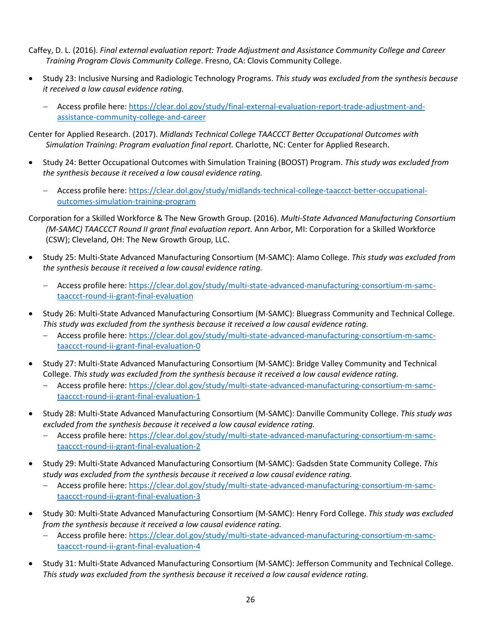Caffey, D. L. (2016). *Final external evaluation report: Trade Adjustment and Assistance Community College and Career Training Program Clovis Community College*. Fresno, CA: Clovis Community College.

- Study 23: Inclusive Nursing and Radiologic Technology Programs. *This study was excluded from the synthesis because it received a low causal evidence rating.*
	- − Access profile here: [https://clear.dol.gov/study/final-external-evaluation-report-trade-adjustment-and](https://clear.dol.gov/study/final-external-evaluation-report-trade-adjustment-and-assistance-community-college-and-career)[assistance-community-college-and-career](https://clear.dol.gov/study/final-external-evaluation-report-trade-adjustment-and-assistance-community-college-and-career)

Center for Applied Research. (2017). *Midlands Technical College TAACCCT Better Occupational Outcomes with Simulation Training: Program evaluation final report.* Charlotte, NC: Center for Applied Research.

- Study 24: Better Occupational Outcomes with Simulation Training (BOOST) Program. *This study was excluded from the synthesis because it received a low causal evidence rating.*
	- − Access profile here: [https://clear.dol.gov/study/midlands-technical-college-taaccct-better-occupational](https://clear.dol.gov/study/midlands-technical-college-taaccct-better-occupational-outcomes-simulation-training-program)[outcomes-simulation-training-program](https://clear.dol.gov/study/midlands-technical-college-taaccct-better-occupational-outcomes-simulation-training-program)

Corporation for a Skilled Workforce & The New Growth Group. (2016). *Multi-State Advanced Manufacturing Consortium (M-SAMC) TAACCCT Round II grant final evaluation report. Ann Arbor, MI: Corporation for a Skilled Workforce* (CSW); Cleveland, OH: The New Growth Group, LLC.

- Study 25: Multi-State Advanced Manufacturing Consortium (M-SAMC): Alamo College. *This study was excluded from the synthesis because it received a low causal evidence rating.*
	- − Access profile here: [https://clear.dol.gov/study/multi-state-advanced-manufacturing-consortium-m-samc](https://clear.dol.gov/study/multi-state-advanced-manufacturing-consortium-m-samc-taaccct-round-ii-grant-final-evaluation)[taaccct-round-ii-grant-final-evaluation](https://clear.dol.gov/study/multi-state-advanced-manufacturing-consortium-m-samc-taaccct-round-ii-grant-final-evaluation)
- Study 26: Multi-State Advanced Manufacturing Consortium (M-SAMC): Bluegrass Community and Technical College. *This study was excluded from the synthesis because it received a low causal evidence rating.*
	- − Access profile here: [https://clear.dol.gov/study/multi-state-advanced-manufacturing-consortium-m-samc](https://clear.dol.gov/study/multi-state-advanced-manufacturing-consortium-m-samc-taaccct-round-ii-grant-final-evaluation-0)[taaccct-round-ii-grant-final-evaluation-0](https://clear.dol.gov/study/multi-state-advanced-manufacturing-consortium-m-samc-taaccct-round-ii-grant-final-evaluation-0)
- Study 27: Multi-State Advanced Manufacturing Consortium (M-SAMC): Bridge Valley Community and Technical College. *This study was excluded from the synthesis because it received a low causal evidence rating.*
	- − Access profile here: [https://clear.dol.gov/study/multi-state-advanced-manufacturing-consortium-m-samc](https://clear.dol.gov/study/multi-state-advanced-manufacturing-consortium-m-samc-taaccct-round-ii-grant-final-evaluation-1)[taaccct-round-ii-grant-final-evaluation-1](https://clear.dol.gov/study/multi-state-advanced-manufacturing-consortium-m-samc-taaccct-round-ii-grant-final-evaluation-1)
- Study 28: Multi-State Advanced Manufacturing Consortium (M-SAMC): Danville Community College. *This study was excluded from the synthesis because it received a low causal evidence rating.*
	- − Access profile here: [https://clear.dol.gov/study/multi-state-advanced-manufacturing-consortium-m-samc](https://clear.dol.gov/study/multi-state-advanced-manufacturing-consortium-m-samc-taaccct-round-ii-grant-final-evaluation-2)[taaccct-round-ii-grant-final-evaluation-2](https://clear.dol.gov/study/multi-state-advanced-manufacturing-consortium-m-samc-taaccct-round-ii-grant-final-evaluation-2)
- Study 29: Multi-State Advanced Manufacturing Consortium (M-SAMC): Gadsden State Community College. *This study was excluded from the synthesis because it received a low causal evidence rating.*
	- − Access profile here: [https://clear.dol.gov/study/multi-state-advanced-manufacturing-consortium-m-samc](https://clear.dol.gov/study/multi-state-advanced-manufacturing-consortium-m-samc-taaccct-round-ii-grant-final-evaluation-3)[taaccct-round-ii-grant-final-evaluation-3](https://clear.dol.gov/study/multi-state-advanced-manufacturing-consortium-m-samc-taaccct-round-ii-grant-final-evaluation-3)
- Study 30: Multi-State Advanced Manufacturing Consortium (M-SAMC): Henry Ford College. *This study was excluded from the synthesis because it received a low causal evidence rating.*
	- − Access profile here: [https://clear.dol.gov/study/multi-state-advanced-manufacturing-consortium-m-samc](https://clear.dol.gov/study/multi-state-advanced-manufacturing-consortium-m-samc-taaccct-round-ii-grant-final-evaluation-4)[taaccct-round-ii-grant-final-evaluation-4](https://clear.dol.gov/study/multi-state-advanced-manufacturing-consortium-m-samc-taaccct-round-ii-grant-final-evaluation-4)
- Study 31: Multi-State Advanced Manufacturing Consortium (M-SAMC): Jefferson Community and Technical College. *This study was excluded from the synthesis because it received a low causal evidence rating.*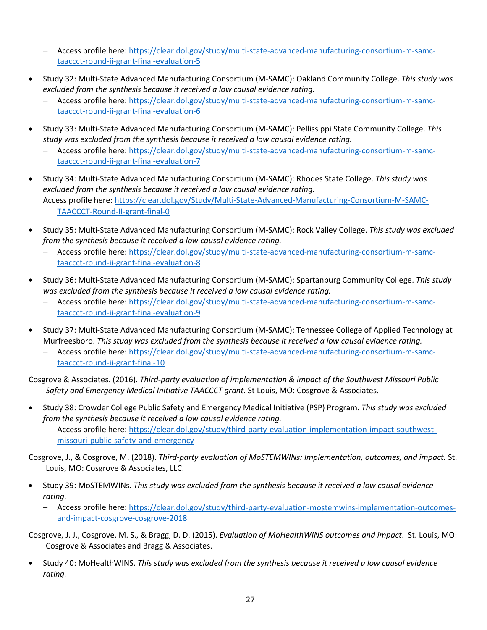- − Access profile here: [https://clear.dol.gov/study/multi-state-advanced-manufacturing-consortium-m-samc](https://clear.dol.gov/study/multi-state-advanced-manufacturing-consortium-m-samc-taaccct-round-ii-grant-final-evaluation-5)[taaccct-round-ii-grant-final-evaluation-5](https://clear.dol.gov/study/multi-state-advanced-manufacturing-consortium-m-samc-taaccct-round-ii-grant-final-evaluation-5)
- Study 32: Multi-State Advanced Manufacturing Consortium (M-SAMC): Oakland Community College. *This study was excluded from the synthesis because it received a low causal evidence rating.*
	- − Access profile here: [https://clear.dol.gov/study/multi-state-advanced-manufacturing-consortium-m-samc](https://clear.dol.gov/study/multi-state-advanced-manufacturing-consortium-m-samc-taaccct-round-ii-grant-final-evaluation-6)[taaccct-round-ii-grant-final-evaluation-6](https://clear.dol.gov/study/multi-state-advanced-manufacturing-consortium-m-samc-taaccct-round-ii-grant-final-evaluation-6)
- Study 33: Multi-State Advanced Manufacturing Consortium (M-SAMC): Pellissippi State Community College. *This study was excluded from the synthesis because it received a low causal evidence rating.*
	- − Access profile here: [https://clear.dol.gov/study/multi-state-advanced-manufacturing-consortium-m-samc](https://clear.dol.gov/study/multi-state-advanced-manufacturing-consortium-m-samc-taaccct-round-ii-grant-final-evaluation-7)[taaccct-round-ii-grant-final-evaluation-7](https://clear.dol.gov/study/multi-state-advanced-manufacturing-consortium-m-samc-taaccct-round-ii-grant-final-evaluation-7)
- Study 34: Multi-State Advanced Manufacturing Consortium (M-SAMC): Rhodes State College. *This study was excluded from the synthesis because it received a low causal evidence rating.* Access profile here: [https://clear.dol.gov/Study/Multi-State-Advanced-Manufacturing-Consortium-M-SAMC-](https://gcc02.safelinks.protection.outlook.com/?url=https%3A%2F%2Fclear.dol.gov%2FStudy%2FMulti-State-Advanced-Manufacturing-Consortium-M-SAMC-TAACCCT-Round-II-grant-final-0&data=04%7C01%7CYi.Chayun%40DOL.gov%7Cf43b67141c2d4575074c08d904d578c0%7C75a6305472044e0c9126adab971d4aca%7C0%7C0%7C637546137190701040%7CUnknown%7CTWFpbGZsb3d8eyJWIjoiMC4wLjAwMDAiLCJQIjoiV2luMzIiLCJBTiI6Ik1haWwiLCJXVCI6Mn0%3D%7C1000&sdata=ALeGFm%2Fq7MjOrAhrnTBEyvifJWXTBEwAdXc7pW3Tq1s%3D&reserved=0)[TAACCCT-Round-II-grant-final-0](https://gcc02.safelinks.protection.outlook.com/?url=https%3A%2F%2Fclear.dol.gov%2FStudy%2FMulti-State-Advanced-Manufacturing-Consortium-M-SAMC-TAACCCT-Round-II-grant-final-0&data=04%7C01%7CYi.Chayun%40DOL.gov%7Cf43b67141c2d4575074c08d904d578c0%7C75a6305472044e0c9126adab971d4aca%7C0%7C0%7C637546137190701040%7CUnknown%7CTWFpbGZsb3d8eyJWIjoiMC4wLjAwMDAiLCJQIjoiV2luMzIiLCJBTiI6Ik1haWwiLCJXVCI6Mn0%3D%7C1000&sdata=ALeGFm%2Fq7MjOrAhrnTBEyvifJWXTBEwAdXc7pW3Tq1s%3D&reserved=0)
- Study 35: Multi-State Advanced Manufacturing Consortium (M-SAMC): Rock Valley College. *This study was excluded from the synthesis because it received a low causal evidence rating.*
	- − Access profile here: [https://clear.dol.gov/study/multi-state-advanced-manufacturing-consortium-m-samc](https://clear.dol.gov/study/multi-state-advanced-manufacturing-consortium-m-samc-taaccct-round-ii-grant-final-evaluation-8)[taaccct-round-ii-grant-final-evaluation-8](https://clear.dol.gov/study/multi-state-advanced-manufacturing-consortium-m-samc-taaccct-round-ii-grant-final-evaluation-8)
- Study 36: Multi-State Advanced Manufacturing Consortium (M-SAMC): Spartanburg Community College. *This study was excluded from the synthesis because it received a low causal evidence rating.*
	- − Access profile here: [https://clear.dol.gov/study/multi-state-advanced-manufacturing-consortium-m-samc](https://clear.dol.gov/study/multi-state-advanced-manufacturing-consortium-m-samc-taaccct-round-ii-grant-final-evaluation-9)[taaccct-round-ii-grant-final-evaluation-9](https://clear.dol.gov/study/multi-state-advanced-manufacturing-consortium-m-samc-taaccct-round-ii-grant-final-evaluation-9)
- Study 37: Multi-State Advanced Manufacturing Consortium (M-SAMC): Tennessee College of Applied Technology at Murfreesboro. *This study was excluded from the synthesis because it received a low causal evidence rating.*
	- − Access profile here: [https://clear.dol.gov/study/multi-state-advanced-manufacturing-consortium-m-samc](https://clear.dol.gov/study/multi-state-advanced-manufacturing-consortium-m-samc-taaccct-round-ii-grant-final-10)[taaccct-round-ii-grant-final-10](https://clear.dol.gov/study/multi-state-advanced-manufacturing-consortium-m-samc-taaccct-round-ii-grant-final-10)

Cosgrove & Associates. (2016). *Third-party evaluation of implementation & impact of the Southwest Missouri Public Safety and Emergency Medical Initiative TAACCCT grant.* St Louis, MO: Cosgrove & Associates.

- Study 38: Crowder College Public Safety and Emergency Medical Initiative (PSP) Program. *This study was excluded from the synthesis because it received a low causal evidence rating.*
	- − Access profile here: [https://clear.dol.gov/study/third-party-evaluation-implementation-impact-southwest](https://clear.dol.gov/study/third-party-evaluation-implementation-impact-southwest-missouri-public-safety-and-emergency)[missouri-public-safety-and-emergency](https://clear.dol.gov/study/third-party-evaluation-implementation-impact-southwest-missouri-public-safety-and-emergency)

Cosgrove, J., & Cosgrove, M. (2018). *Third-party evaluation of MoSTEMWINs: Implementation, outcomes, and impact.* St. Louis, MO: Cosgrove & Associates, LLC.

- Study 39: MoSTEMWINs. *This study was excluded from the synthesis because it received a low causal evidence rating.*
	- − Access profile here: [https://clear.dol.gov/study/third-party-evaluation-mostemwins-implementation-outcomes](https://clear.dol.gov/study/third-party-evaluation-mostemwins-implementation-outcomes-and-impact-cosgrove-cosgrove-2018)[and-impact-cosgrove-cosgrove-2018](https://clear.dol.gov/study/third-party-evaluation-mostemwins-implementation-outcomes-and-impact-cosgrove-cosgrove-2018)

Cosgrove, J. J., Cosgrove, M. S., & Bragg, D. D. (2015). *Evaluation of MoHealthWINS outcomes and impact*. St. Louis, MO: Cosgrove & Associates and Bragg & Associates.

• Study 40: MoHealthWINS. *This study was excluded from the synthesis because it received a low causal evidence rating.*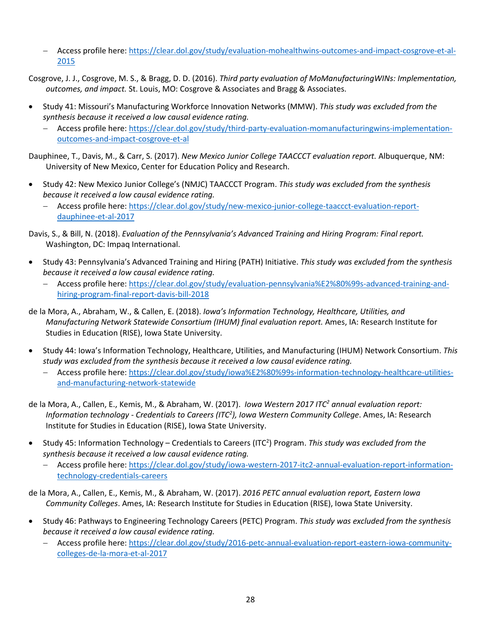- − Access profile here: [https://clear.dol.gov/study/evaluation-mohealthwins-outcomes-and-impact-cosgrove-et-al-](https://clear.dol.gov/study/evaluation-mohealthwins-outcomes-and-impact-cosgrove-et-al-2015)[2015](https://clear.dol.gov/study/evaluation-mohealthwins-outcomes-and-impact-cosgrove-et-al-2015)
- Cosgrove, J. J., Cosgrove, M. S., & Bragg, D. D. (2016). *Third party evaluation of MoManufacturingWINs: Implementation, outcomes, and impact.* St. Louis, MO: Cosgrove & Associates and Bragg & Associates.
- Study 41: Missouri's Manufacturing Workforce Innovation Networks (MMW). *This study was excluded from the synthesis because it received a low causal evidence rating.*
	- − Access profile here: [https://clear.dol.gov/study/third-party-evaluation-momanufacturingwins-implementation](https://clear.dol.gov/study/third-party-evaluation-momanufacturingwins-implementation-outcomes-and-impact-cosgrove-et-al)[outcomes-and-impact-cosgrove-et-al](https://clear.dol.gov/study/third-party-evaluation-momanufacturingwins-implementation-outcomes-and-impact-cosgrove-et-al)
- Dauphinee, T., Davis, M., & Carr, S. (2017). *New Mexico Junior College TAACCCT evaluation report.* Albuquerque, NM: University of New Mexico, Center for Education Policy and Research.
- Study 42: New Mexico Junior College's (NMJC) TAACCCT Program. *This study was excluded from the synthesis because it received a low causal evidence rating.*
	- − Access profile here: [https://clear.dol.gov/study/new-mexico-junior-college-taaccct-evaluation-report](https://clear.dol.gov/study/new-mexico-junior-college-taaccct-evaluation-report-dauphinee-et-al-2017)[dauphinee-et-al-2017](https://clear.dol.gov/study/new-mexico-junior-college-taaccct-evaluation-report-dauphinee-et-al-2017)

Davis, S., & Bill, N. (2018). *Evaluation of the Pennsylvania's Advanced Training and Hiring Program: Final report.* Washington, DC: Impaq International.

- Study 43: Pennsylvania's Advanced Training and Hiring (PATH) Initiative. *This study was excluded from the synthesis because it received a low causal evidence rating.*
	- − Access profile here: [https://clear.dol.gov/study/evaluation-pennsylvania%E2%80%99s-advanced-training-and](https://clear.dol.gov/study/evaluation-pennsylvania%E2%80%99s-advanced-training-and-hiring-program-final-report-davis-bill-2018)[hiring-program-final-report-davis-bill-2018](https://clear.dol.gov/study/evaluation-pennsylvania%E2%80%99s-advanced-training-and-hiring-program-final-report-davis-bill-2018)
- de la Mora, A., Abraham, W., & Callen, E. (2018). *Iowa's Information Technology, Healthcare, Utilities, and Manufacturing Network Statewide Consortium (IHUM) final evaluation report.* Ames, IA: Research Institute for Studies in Education (RISE), Iowa State University.
- Study 44: Iowa's Information Technology, Healthcare, Utilities, and Manufacturing (IHUM) Network Consortium. *This study was excluded from the synthesis because it received a low causal evidence rating.*
	- − Access profile here: [https://clear.dol.gov/study/iowa%E2%80%99s-information-technology-healthcare-utilities](https://clear.dol.gov/study/iowa%E2%80%99s-information-technology-healthcare-utilities-and-manufacturing-network-statewide)[and-manufacturing-network-statewide](https://clear.dol.gov/study/iowa%E2%80%99s-information-technology-healthcare-utilities-and-manufacturing-network-statewide)
- de la Mora, A., Callen, E., Kemis, M., & Abraham, W. (2017). *Iowa Western 2017 ITC2 annual evaluation report: Information technology - Credentials to Careers (ITC2 ), Iowa Western Community College*. Ames, IA: Research Institute for Studies in Education (RISE), Iowa State University.
- Study 45: Information Technology Credentials to Careers (ITC2 ) Program. *This study was excluded from the synthesis because it received a low causal evidence rating.*
	- − Access profile here: [https://clear.dol.gov/study/iowa-western-2017-itc2-annual-evaluation-report-information](https://clear.dol.gov/study/iowa-western-2017-itc2-annual-evaluation-report-information-technology-credentials-careers)[technology-credentials-careers](https://clear.dol.gov/study/iowa-western-2017-itc2-annual-evaluation-report-information-technology-credentials-careers)

de la Mora, A., Callen, E., Kemis, M., & Abraham, W. (2017). *2016 PETC annual evaluation report, Eastern Iowa Community Colleges*. Ames, IA: Research Institute for Studies in Education (RISE), Iowa State University.

- Study 46: Pathways to Engineering Technology Careers (PETC) Program. *This study was excluded from the synthesis because it received a low causal evidence rating.*
	- − Access profile here: [https://clear.dol.gov/study/2016-petc-annual-evaluation-report-eastern-iowa-community](https://clear.dol.gov/study/2016-petc-annual-evaluation-report-eastern-iowa-community-colleges-de-la-mora-et-al-2017)[colleges-de-la-mora-et-al-2017](https://clear.dol.gov/study/2016-petc-annual-evaluation-report-eastern-iowa-community-colleges-de-la-mora-et-al-2017)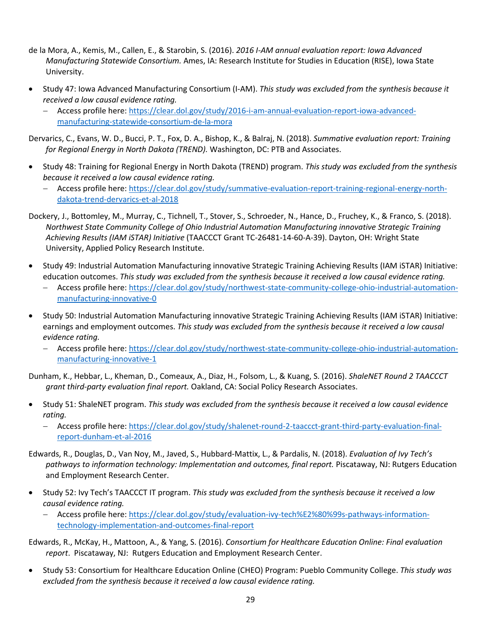- de la Mora, A., Kemis, M., Callen, E., & Starobin, S. (2016). *2016 I-AM annual evaluation report: Iowa Advanced Manufacturing Statewide Consortium.* Ames, IA: Research Institute for Studies in Education (RISE), Iowa State University.
- Study 47: Iowa Advanced Manufacturing Consortium (I-AM). *This study was excluded from the synthesis because it received a low causal evidence rating.*
	- − Access profile here: [https://clear.dol.gov/study/2016-i-am-annual-evaluation-report-iowa-advanced](https://clear.dol.gov/study/2016-i-am-annual-evaluation-report-iowa-advanced-manufacturing-statewide-consortium-de-la-mora)[manufacturing-statewide-consortium-de-la-mora](https://clear.dol.gov/study/2016-i-am-annual-evaluation-report-iowa-advanced-manufacturing-statewide-consortium-de-la-mora)

Dervarics, C., Evans, W. D., Bucci, P. T., Fox, D. A., Bishop, K., & Balraj, N. (2018). *Summative evaluation report: Training for Regional Energy in North Dakota (TREND).* Washington, DC: PTB and Associates.

- Study 48: Training for Regional Energy in North Dakota (TREND) program. *This study was excluded from the synthesis because it received a low causal evidence rating.*
	- − Access profile here: [https://clear.dol.gov/study/summative-evaluation-report-training-regional-energy-north](https://clear.dol.gov/study/summative-evaluation-report-training-regional-energy-north-dakota-trend-dervarics-et-al-2018)[dakota-trend-dervarics-et-al-2018](https://clear.dol.gov/study/summative-evaluation-report-training-regional-energy-north-dakota-trend-dervarics-et-al-2018)
- Dockery, J., Bottomley, M., Murray, C., Tichnell, T., Stover, S., Schroeder, N., Hance, D., Fruchey, K., & Franco, S. (2018). *Northwest State Community College of Ohio Industrial Automation Manufacturing innovative Strategic Training Achieving Results (IAM iSTAR) Initiative* (TAACCCT Grant TC-26481-14-60-A-39). Dayton, OH: Wright State University, Applied Policy Research Institute.
- Study 49: Industrial Automation Manufacturing innovative Strategic Training Achieving Results (IAM iSTAR) Initiative: education outcomes. *This study was excluded from the synthesis because it received a low causal evidence rating.*
	- − Access profile here: [https://clear.dol.gov/study/northwest-state-community-college-ohio-industrial-automation](https://clear.dol.gov/study/northwest-state-community-college-ohio-industrial-automation-manufacturing-innovative-0)[manufacturing-innovative-0](https://clear.dol.gov/study/northwest-state-community-college-ohio-industrial-automation-manufacturing-innovative-0)
- Study 50: Industrial Automation Manufacturing innovative Strategic Training Achieving Results (IAM iSTAR) Initiative: earnings and employment outcomes. *This study was excluded from the synthesis because it received a low causal evidence rating.*
	- − Access profile here: [https://clear.dol.gov/study/northwest-state-community-college-ohio-industrial-automation](https://clear.dol.gov/study/northwest-state-community-college-ohio-industrial-automation-manufacturing-innovative-1)[manufacturing-innovative-1](https://clear.dol.gov/study/northwest-state-community-college-ohio-industrial-automation-manufacturing-innovative-1)

Dunham, K., Hebbar, L., Kheman, D., Comeaux, A., Diaz, H., Folsom, L., & Kuang, S. (2016). *ShaleNET Round 2 TAACCCT grant third-party evaluation final report.* Oakland, CA: Social Policy Research Associates.

- Study 51: ShaleNET program. *This study was excluded from the synthesis because it received a low causal evidence rating.*
	- − Access profile here: [https://clear.dol.gov/study/shalenet-round-2-taaccct-grant-third-party-evaluation-final](https://clear.dol.gov/study/shalenet-round-2-taaccct-grant-third-party-evaluation-final-report-dunham-et-al-2016)[report-dunham-et-al-2016](https://clear.dol.gov/study/shalenet-round-2-taaccct-grant-third-party-evaluation-final-report-dunham-et-al-2016)
- Edwards, R., Douglas, D., Van Noy, M., Javed, S., Hubbard-Mattix, L., & Pardalis, N. (2018). *Evaluation of Ivy Tech's pathways to information technology: Implementation and outcomes, final report.* Piscataway, NJ: Rutgers Education and Employment Research Center.
- Study 52: Ivy Tech's TAACCCT IT program. *This study was excluded from the synthesis because it received a low causal evidence rating.*
	- − Access profile here: [https://clear.dol.gov/study/evaluation-ivy-tech%E2%80%99s-pathways-information](https://clear.dol.gov/study/evaluation-ivy-tech%E2%80%99s-pathways-information-technology-implementation-and-outcomes-final-report)[technology-implementation-and-outcomes-final-report](https://clear.dol.gov/study/evaluation-ivy-tech%E2%80%99s-pathways-information-technology-implementation-and-outcomes-final-report)

Edwards, R., McKay, H., Mattoon, A., & Yang, S. (2016). *Consortium for Healthcare Education Online: Final evaluation report*. Piscataway, NJ: Rutgers Education and Employment Research Center.

• Study 53: Consortium for Healthcare Education Online (CHEO) Program: Pueblo Community College. *This study was excluded from the synthesis because it received a low causal evidence rating.*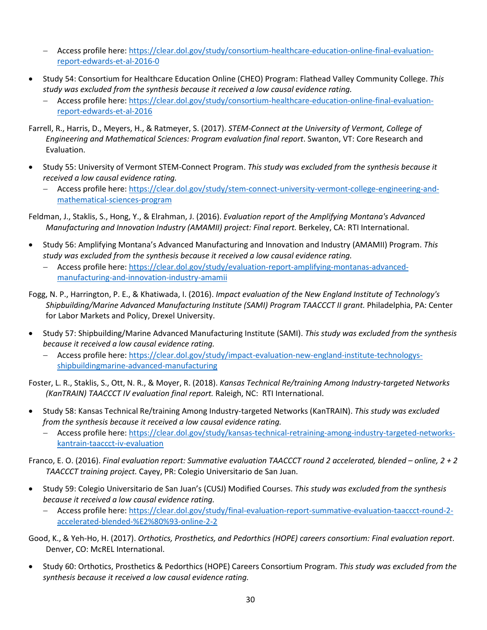- − Access profile here: [https://clear.dol.gov/study/consortium-healthcare-education-online-final-evaluation](https://clear.dol.gov/study/consortium-healthcare-education-online-final-evaluation-report-edwards-et-al-2016-0)[report-edwards-et-al-2016-0](https://clear.dol.gov/study/consortium-healthcare-education-online-final-evaluation-report-edwards-et-al-2016-0)
- Study 54: Consortium for Healthcare Education Online (CHEO) Program: Flathead Valley Community College. *This study was excluded from the synthesis because it received a low causal evidence rating.*
	- − Access profile here: [https://clear.dol.gov/study/consortium-healthcare-education-online-final-evaluation](https://clear.dol.gov/study/consortium-healthcare-education-online-final-evaluation-report-edwards-et-al-2016)[report-edwards-et-al-2016](https://clear.dol.gov/study/consortium-healthcare-education-online-final-evaluation-report-edwards-et-al-2016)
- Farrell, R., Harris, D., Meyers, H., & Ratmeyer, S. (2017). *STEM-Connect at the University of Vermont, College of Engineering and Mathematical Sciences: Program evaluation final report*. Swanton, VT: Core Research and Evaluation.
- Study 55: University of Vermont STEM-Connect Program. *This study was excluded from the synthesis because it received a low causal evidence rating.*
	- − Access profile here: [https://clear.dol.gov/study/stem-connect-university-vermont-college-engineering-and](https://clear.dol.gov/study/stem-connect-university-vermont-college-engineering-and-mathematical-sciences-program)[mathematical-sciences-program](https://clear.dol.gov/study/stem-connect-university-vermont-college-engineering-and-mathematical-sciences-program)
- Feldman, J., Staklis, S., Hong, Y., & Elrahman, J. (2016). *Evaluation report of the Amplifying Montana's Advanced Manufacturing and Innovation Industry (AMAMII) project: Final report.* Berkeley, CA: RTI International.
- Study 56: Amplifying Montana's Advanced Manufacturing and Innovation and Industry (AMAMII) Program. *This study was excluded from the synthesis because it received a low causal evidence rating.*
	- − Access profile here: [https://clear.dol.gov/study/evaluation-report-amplifying-montanas-advanced](https://clear.dol.gov/study/evaluation-report-amplifying-montanas-advanced-manufacturing-and-innovation-industry-amamii)[manufacturing-and-innovation-industry-amamii](https://clear.dol.gov/study/evaluation-report-amplifying-montanas-advanced-manufacturing-and-innovation-industry-amamii)
- Fogg, N. P., Harrington, P. E., & Khatiwada, I. (2016). *Impact evaluation of the New England Institute of Technology's Shipbuilding/Marine Advanced Manufacturing Institute (SAMI) Program TAACCCT II grant.* Philadelphia, PA: Center for Labor Markets and Policy, Drexel University.
- Study 57: Shipbuilding/Marine Advanced Manufacturing Institute (SAMI). *This study was excluded from the synthesis because it received a low causal evidence rating.*
	- − Access profile here: [https://clear.dol.gov/study/impact-evaluation-new-england-institute-technologys](https://clear.dol.gov/study/impact-evaluation-new-england-institute-technologys-shipbuildingmarine-advanced-manufacturing)[shipbuildingmarine-advanced-manufacturing](https://clear.dol.gov/study/impact-evaluation-new-england-institute-technologys-shipbuildingmarine-advanced-manufacturing)

Foster, L. R., Staklis, S., Ott, N. R., & Moyer, R. (2018). *Kansas Technical Re/training Among Industry-targeted Networks (KanTRAIN) TAACCCT IV evaluation final report.* Raleigh, NC: RTI International.

- Study 58: Kansas Technical Re/training Among Industry-targeted Networks (KanTRAIN). *This study was excluded from the synthesis because it received a low causal evidence rating.*
	- − Access profile here: [https://clear.dol.gov/study/kansas-technical-retraining-among-industry-targeted-networks](https://clear.dol.gov/study/kansas-technical-retraining-among-industry-targeted-networks-kantrain-taaccct-iv-evaluation)[kantrain-taaccct-iv-evaluation](https://clear.dol.gov/study/kansas-technical-retraining-among-industry-targeted-networks-kantrain-taaccct-iv-evaluation)

Franco, E. O. (2016). *Final evaluation report: Summative evaluation TAACCCT round 2 accelerated, blended – online, 2 + 2 TAACCCT training project.* Cayey, PR: Colegio Universitario de San Juan.

- Study 59: Colegio Universitario de San Juan's (CUSJ) Modified Courses. *This study was excluded from the synthesis because it received a low causal evidence rating.*
	- − Access profile here: [https://clear.dol.gov/study/final-evaluation-report-summative-evaluation-taaccct-round-2](https://clear.dol.gov/study/final-evaluation-report-summative-evaluation-taaccct-round-2-accelerated-blended-%E2%80%93-online-2-2) [accelerated-blended-%E2%80%93-online-2-2](https://clear.dol.gov/study/final-evaluation-report-summative-evaluation-taaccct-round-2-accelerated-blended-%E2%80%93-online-2-2)

Good, K., & Yeh-Ho, H. (2017). *Orthotics, Prosthetics, and Pedorthics (HOPE) careers consortium: Final evaluation report*. Denver, CO: McREL International.

• Study 60: Orthotics, Prosthetics & Pedorthics (HOPE) Careers Consortium Program. *This study was excluded from the synthesis because it received a low causal evidence rating.*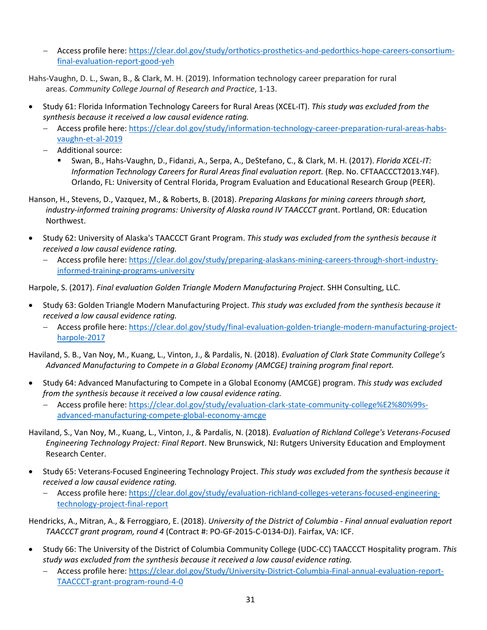- − Access profile here: [https://clear.dol.gov/study/orthotics-prosthetics-and-pedorthics-hope-careers-consortium](https://clear.dol.gov/study/orthotics-prosthetics-and-pedorthics-hope-careers-consortium-final-evaluation-report-good-yeh)[final-evaluation-report-good-yeh](https://clear.dol.gov/study/orthotics-prosthetics-and-pedorthics-hope-careers-consortium-final-evaluation-report-good-yeh)
- Hahs-Vaughn, D. L., Swan, B., & Clark, M. H. (2019). Information technology career preparation for rural areas. *Community College Journal of Research and Practice*, 1-13.
- Study 61: Florida Information Technology Careers for Rural Areas (XCEL-IT). *This study was excluded from the synthesis because it received a low causal evidence rating.*
	- − Access profile here: [https://clear.dol.gov/study/information-technology-career-preparation-rural-areas-habs](https://clear.dol.gov/study/information-technology-career-preparation-rural-areas-habs-vaughn-et-al-2019)[vaughn-et-al-2019](https://clear.dol.gov/study/information-technology-career-preparation-rural-areas-habs-vaughn-et-al-2019)
	- − Additional source:
		- Swan, B., Hahs-Vaughn, D., Fidanzi, A., Serpa, A., DeStefano, C., & Clark, M. H. (2017). *Florida XCEL-IT: Information Technology Careers for Rural Areas final evaluation report.* (Rep. No. CFTAACCCT2013.Y4F). Orlando, FL: University of Central Florida, Program Evaluation and Educational Research Group (PEER).
- Hanson, H., Stevens, D., Vazquez, M., & Roberts, B. (2018). *Preparing Alaskans for mining careers through short, industry-informed training programs: University of Alaska round IV TAACCCT gra*nt. Portland, OR: Education Northwest.
- Study 62: University of Alaska's TAACCCT Grant Program. *This study was excluded from the synthesis because it received a low causal evidence rating.*
	- − Access profile here: [https://clear.dol.gov/study/preparing-alaskans-mining-careers-through-short-industry](https://clear.dol.gov/study/preparing-alaskans-mining-careers-through-short-industry-informed-training-programs-university)[informed-training-programs-university](https://clear.dol.gov/study/preparing-alaskans-mining-careers-through-short-industry-informed-training-programs-university)

Harpole, S. (2017). *Final evaluation Golden Triangle Modern Manufacturing Project.* SHH Consulting, LLC.

- Study 63: Golden Triangle Modern Manufacturing Project. *This study was excluded from the synthesis because it received a low causal evidence rating.*
	- − Access profile here: [https://clear.dol.gov/study/final-evaluation-golden-triangle-modern-manufacturing-project](https://clear.dol.gov/study/final-evaluation-golden-triangle-modern-manufacturing-project-harpole-2017)[harpole-2017](https://clear.dol.gov/study/final-evaluation-golden-triangle-modern-manufacturing-project-harpole-2017)

Haviland, S. B., Van Noy, M., Kuang, L., Vinton, J., & Pardalis, N. (2018). *Evaluation of Clark State Community College's Advanced Manufacturing to Compete in a Global Economy (AMCGE) training program final report.*

- Study 64: Advanced Manufacturing to Compete in a Global Economy (AMCGE) program. *This study was excluded from the synthesis because it received a low causal evidence rating.*
	- − Access profile here: [https://clear.dol.gov/study/evaluation-clark-state-community-college%E2%80%99s](https://clear.dol.gov/study/evaluation-clark-state-community-college%E2%80%99s-advanced-manufacturing-compete-global-economy-amcge)[advanced-manufacturing-compete-global-economy-amcge](https://clear.dol.gov/study/evaluation-clark-state-community-college%E2%80%99s-advanced-manufacturing-compete-global-economy-amcge)
- Haviland, S., Van Noy, M., Kuang, L., Vinton, J., & Pardalis, N. (2018). *Evaluation of Richland College's Veterans-Focused Engineering Technology Project: Final Report*. New Brunswick, NJ: Rutgers University Education and Employment Research Center.
- Study 65: Veterans-Focused Engineering Technology Project. *This study was excluded from the synthesis because it received a low causal evidence rating.*
	- − Access profile here: [https://clear.dol.gov/study/evaluation-richland-colleges-veterans-focused-engineering](https://clear.dol.gov/study/evaluation-richland-colleges-veterans-focused-engineering-technology-project-final-report)[technology-project-final-report](https://clear.dol.gov/study/evaluation-richland-colleges-veterans-focused-engineering-technology-project-final-report)

Hendricks, A., Mitran, A., & Ferroggiaro, E. (2018). *University of the District of Columbia - Final annual evaluation report TAACCCT grant program, round 4* (Contract #: PO-GF-2015-C-0134-DJ). Fairfax, VA: ICF.

- Study 66: The University of the District of Columbia Community College (UDC-CC) TAACCCT Hospitality program. *This study was excluded from the synthesis because it received a low causal evidence rating.*
	- − Access profile here: [https://clear.dol.gov/Study/University-District-Columbia-Final-annual-evaluation-report-](https://clear.dol.gov/Study/University-District-Columbia-Final-annual-evaluation-report-TAACCCT-grant-program-round-4-0)[TAACCCT-grant-program-round-4-0](https://clear.dol.gov/Study/University-District-Columbia-Final-annual-evaluation-report-TAACCCT-grant-program-round-4-0)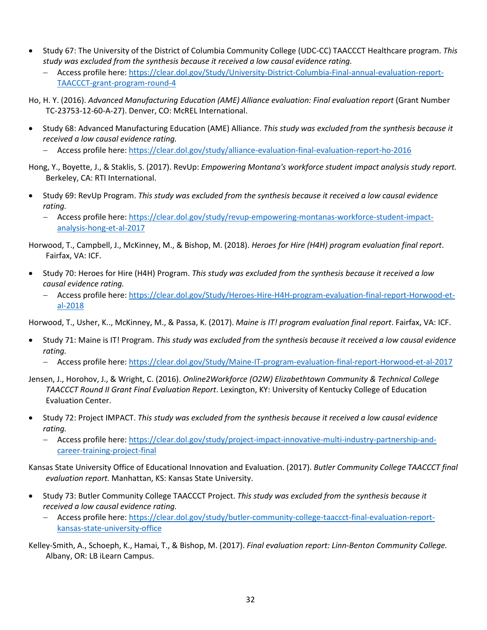- Study 67: The University of the District of Columbia Community College (UDC-CC) TAACCCT Healthcare program. *This study was excluded from the synthesis because it received a low causal evidence rating.*
	- − Access profile here: [https://clear.dol.gov/Study/University-District-Columbia-Final-annual-evaluation-report-](https://clear.dol.gov/Study/University-District-Columbia-Final-annual-evaluation-report-TAACCCT-grant-program-round-4)[TAACCCT-grant-program-round-4](https://clear.dol.gov/Study/University-District-Columbia-Final-annual-evaluation-report-TAACCCT-grant-program-round-4)
- Ho, H. Y. (2016). *Advanced Manufacturing Education (AME) Alliance evaluation: Final evaluation report* (Grant Number TC-23753-12-60-A-27). Denver, CO: McREL International.
- Study 68: Advanced Manufacturing Education (AME) Alliance. *This study was excluded from the synthesis because it received a low causal evidence rating.*
	- − Access profile here:<https://clear.dol.gov/study/alliance-evaluation-final-evaluation-report-ho-2016>
- Hong, Y., Boyette, J., & Staklis, S. (2017). RevUp: *Empowering Montana's workforce student impact analysis study report.* Berkeley, CA: RTI International.
- Study 69: RevUp Program. *This study was excluded from the synthesis because it received a low causal evidence rating.*
	- − Access profile here: [https://clear.dol.gov/study/revup-empowering-montanas-workforce-student-impact](https://clear.dol.gov/study/revup-empowering-montanas-workforce-student-impact-analysis-hong-et-al-2017)[analysis-hong-et-al-2017](https://clear.dol.gov/study/revup-empowering-montanas-workforce-student-impact-analysis-hong-et-al-2017)

Horwood, T., Campbell, J., McKinney, M., & Bishop, M. (2018). *Heroes for Hire (H4H) program evaluation final report*. Fairfax, VA: ICF.

- Study 70: Heroes for Hire (H4H) Program. *This study was excluded from the synthesis because it received a low causal evidence rating.*
	- − Access profile here: [https://clear.dol.gov/Study/Heroes-Hire-H4H-program-evaluation-final-report-Horwood-et](https://clear.dol.gov/Study/Heroes-Hire-H4H-program-evaluation-final-report-Horwood-et-al-2018)[al-2018](https://clear.dol.gov/Study/Heroes-Hire-H4H-program-evaluation-final-report-Horwood-et-al-2018)

Horwood, T., Usher, K.., McKinney, M., & Passa, K. (2017). *Maine is IT! program evaluation final report*. Fairfax, VA: ICF.

- Study 71: Maine is IT! Program. *This study was excluded from the synthesis because it received a low causal evidence rating.*
	- − Access profile here:<https://clear.dol.gov/Study/Maine-IT-program-evaluation-final-report-Horwood-et-al-2017>
- Jensen, J., Horohov, J., & Wright, C. (2016). *Online2Workforce (O2W) Elizabethtown Community & Technical College TAACCCT Round II Grant Final Evaluation Report*. Lexington, KY: University of Kentucky College of Education Evaluation Center.
- Study 72: Project IMPACT. *This study was excluded from the synthesis because it received a low causal evidence rating.*
	- − Access profile here: [https://clear.dol.gov/study/project-impact-innovative-multi-industry-partnership-and](https://clear.dol.gov/study/project-impact-innovative-multi-industry-partnership-and-career-training-project-final)[career-training-project-final](https://clear.dol.gov/study/project-impact-innovative-multi-industry-partnership-and-career-training-project-final)

Kansas State University Office of Educational Innovation and Evaluation. (2017). *Butler Community College TAACCCT final evaluation report.* Manhattan, KS: Kansas State University.

- Study 73: Butler Community College TAACCCT Project. *This study was excluded from the synthesis because it received a low causal evidence rating.*
	- − Access profile here: [https://clear.dol.gov/study/butler-community-college-taaccct-final-evaluation-report](https://clear.dol.gov/study/butler-community-college-taaccct-final-evaluation-report-kansas-state-university-office)[kansas-state-university-office](https://clear.dol.gov/study/butler-community-college-taaccct-final-evaluation-report-kansas-state-university-office)

Kelley-Smith, A., Schoeph, K., Hamai, T., & Bishop, M. (2017). *Final evaluation report: Linn-Benton Community College.* Albany, OR: LB iLearn Campus.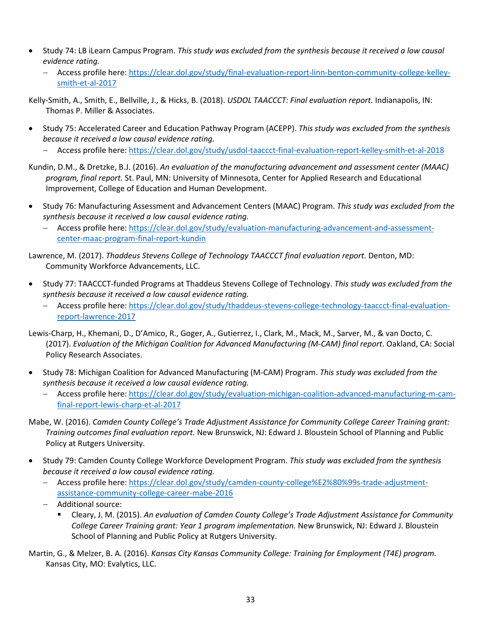- Study 74: LB iLearn Campus Program. *This study was excluded from the synthesis because it received a low causal evidence rating.*
	- − Access profile here: [https://clear.dol.gov/study/final-evaluation-report-linn-benton-community-college-kelley](https://clear.dol.gov/study/final-evaluation-report-linn-benton-community-college-kelley-smith-et-al-2017)[smith-et-al-2017](https://clear.dol.gov/study/final-evaluation-report-linn-benton-community-college-kelley-smith-et-al-2017)

Kelly-Smith, A., Smith, E., Bellville, J., & Hicks, B. (2018). *USDOL TAACCCT: Final evaluation report.* Indianapolis, IN: Thomas P. Miller & Associates.

- Study 75: Accelerated Career and Education Pathway Program (ACEPP). *This study was excluded from the synthesis because it received a low causal evidence rating.*
	- − Access profile here:<https://clear.dol.gov/study/usdol-taaccct-final-evaluation-report-kelley-smith-et-al-2018>
- Kundin, D.M., & Dretzke, B.J. (2016). *An evaluation of the manufacturing advancement and assessment center (MAAC) program, final report.* St. Paul, MN: University of Minnesota, Center for Applied Research and Educational Improvement, College of Education and Human Development.
- Study 76: Manufacturing Assessment and Advancement Centers (MAAC) Program. *This study was excluded from the synthesis because it received a low causal evidence rating.*
	- − Access profile here: [https://clear.dol.gov/study/evaluation-manufacturing-advancement-and-assessment](https://clear.dol.gov/study/evaluation-manufacturing-advancement-and-assessment-center-maac-program-final-report-kundin)[center-maac-program-final-report-kundin](https://clear.dol.gov/study/evaluation-manufacturing-advancement-and-assessment-center-maac-program-final-report-kundin)

Lawrence, M. (2017). *Thaddeus Stevens College of Technology TAACCCT final evaluation report.* Denton, MD: Community Workforce Advancements, LLC.

- Study 77: TAACCCT-funded Programs at Thaddeus Stevens College of Technology. *This study was excluded from the synthesis because it received a low causal evidence rating.*
	- − Access profile here: [https://clear.dol.gov/study/thaddeus-stevens-college-technology-taaccct-final-evaluation](https://clear.dol.gov/study/thaddeus-stevens-college-technology-taaccct-final-evaluation-report-lawrence-2017)[report-lawrence-2017](https://clear.dol.gov/study/thaddeus-stevens-college-technology-taaccct-final-evaluation-report-lawrence-2017)

Lewis-Charp, H., Khemani, D., D'Amico, R., Goger, A., Gutierrez, I., Clark, M., Mack, M., Sarver, M., & van Docto, C. (2017). *Evaluation of the Michigan Coalition for Advanced Manufacturing (M-CAM) final report*. Oakland, CA: Social Policy Research Associates.

- Study 78: Michigan Coalition for Advanced Manufacturing (M-CAM) Program. *This study was excluded from the synthesis because it received a low causal evidence rating.*
	- − Access profile here: [https://clear.dol.gov/study/evaluation-michigan-coalition-advanced-manufacturing-m-cam](https://clear.dol.gov/study/evaluation-michigan-coalition-advanced-manufacturing-m-cam-final-report-lewis-charp-et-al-2017)[final-report-lewis-charp-et-al-2017](https://clear.dol.gov/study/evaluation-michigan-coalition-advanced-manufacturing-m-cam-final-report-lewis-charp-et-al-2017)
- Mabe, W. (2016). *Camden County College's Trade Adjustment Assistance for Community College Career Training grant: Training outcomes final evaluation report.* New Brunswick, NJ: Edward J. Bloustein School of Planning and Public Policy at Rutgers University.
- Study 79: Camden County College Workforce Development Program. *This study was excluded from the synthesis because it received a low causal evidence rating.*
	- − Access profile here: [https://clear.dol.gov/study/camden-county-college%E2%80%99s-trade-adjustment](https://clear.dol.gov/study/camden-county-college%E2%80%99s-trade-adjustment-assistance-community-college-career-mabe-2016)[assistance-community-college-career-mabe-2016](https://clear.dol.gov/study/camden-county-college%E2%80%99s-trade-adjustment-assistance-community-college-career-mabe-2016)
	- − Additional source:
		- Cleary, J. M. (2015). *An evaluation of Camden County College's Trade Adjustment Assistance for Community College Career Training grant: Year 1 program implementation.* New Brunswick, NJ: Edward J. Bloustein School of Planning and Public Policy at Rutgers University.
- Martin, G., & Melzer, B. A. (2016). *Kansas City Kansas Community College: Training for Employment (T4E) program.*  Kansas City, MO: Evalytics, LLC.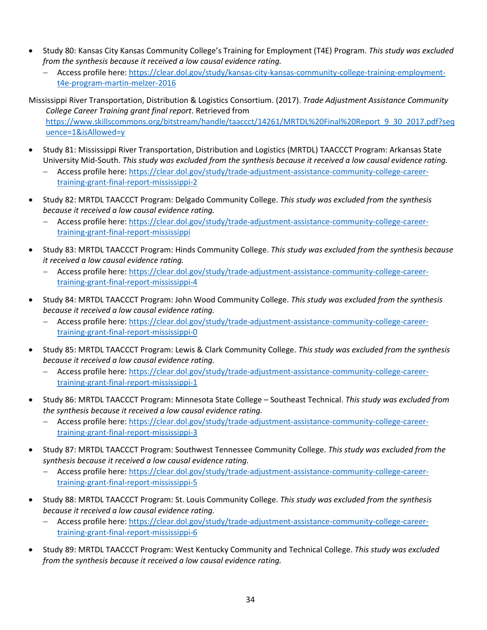- Study 80: Kansas City Kansas Community College's Training for Employment (T4E) Program. *This study was excluded from the synthesis because it received a low causal evidence rating.*
	- − Access profile here: [https://clear.dol.gov/study/kansas-city-kansas-community-college-training-employment](https://clear.dol.gov/study/kansas-city-kansas-community-college-training-employment-t4e-program-martin-melzer-2016)[t4e-program-martin-melzer-2016](https://clear.dol.gov/study/kansas-city-kansas-community-college-training-employment-t4e-program-martin-melzer-2016)

Mississippi River Transportation, Distribution & Logistics Consortium. (2017). *Trade Adjustment Assistance Community College Career Training grant final report*. Retrieved from [https://www.skillscommons.org/bitstream/handle/taaccct/14261/MRTDL%20Final%20Report\\_9\\_30\\_2017.pdf?seq](https://www.skillscommons.org/bitstream/handle/taaccct/14261/MRTDL%20Final%20Report_9_30_2017.pdf?sequence=1&isAllowed=y) [uence=1&isAllowed=y](https://www.skillscommons.org/bitstream/handle/taaccct/14261/MRTDL%20Final%20Report_9_30_2017.pdf?sequence=1&isAllowed=y) 

- Study 81: Mississippi River Transportation, Distribution and Logistics (MRTDL) TAACCCT Program: Arkansas State University Mid-South. *This study was excluded from the synthesis because it received a low causal evidence rating.*
	- − Access profile here: [https://clear.dol.gov/study/trade-adjustment-assistance-community-college-career](https://clear.dol.gov/study/trade-adjustment-assistance-community-college-career-training-grant-final-report-mississippi-2)[training-grant-final-report-mississippi-2](https://clear.dol.gov/study/trade-adjustment-assistance-community-college-career-training-grant-final-report-mississippi-2)
- Study 82: MRTDL TAACCCT Program: Delgado Community College. *This study was excluded from the synthesis because it received a low causal evidence rating.*
	- − Access profile here: [https://clear.dol.gov/study/trade-adjustment-assistance-community-college-career](https://clear.dol.gov/study/trade-adjustment-assistance-community-college-career-training-grant-final-report-mississippi)[training-grant-final-report-mississippi](https://clear.dol.gov/study/trade-adjustment-assistance-community-college-career-training-grant-final-report-mississippi)
- Study 83: MRTDL TAACCCT Program: Hinds Community College. *This study was excluded from the synthesis because it received a low causal evidence rating.*
	- − Access profile here: [https://clear.dol.gov/study/trade-adjustment-assistance-community-college-career](https://clear.dol.gov/study/trade-adjustment-assistance-community-college-career-training-grant-final-report-mississippi-4)[training-grant-final-report-mississippi-4](https://clear.dol.gov/study/trade-adjustment-assistance-community-college-career-training-grant-final-report-mississippi-4)
- Study 84: MRTDL TAACCCT Program: John Wood Community College. *This study was excluded from the synthesis because it received a low causal evidence rating.*
	- − Access profile here: [https://clear.dol.gov/study/trade-adjustment-assistance-community-college-career](https://clear.dol.gov/study/trade-adjustment-assistance-community-college-career-training-grant-final-report-mississippi-0)[training-grant-final-report-mississippi-0](https://clear.dol.gov/study/trade-adjustment-assistance-community-college-career-training-grant-final-report-mississippi-0)
- Study 85: MRTDL TAACCCT Program: Lewis & Clark Community College. *This study was excluded from the synthesis because it received a low causal evidence rating.*
	- − Access profile here: [https://clear.dol.gov/study/trade-adjustment-assistance-community-college-career](https://clear.dol.gov/study/trade-adjustment-assistance-community-college-career-training-grant-final-report-mississippi-1)[training-grant-final-report-mississippi-1](https://clear.dol.gov/study/trade-adjustment-assistance-community-college-career-training-grant-final-report-mississippi-1)
- Study 86: MRTDL TAACCCT Program: Minnesota State College Southeast Technical. *This study was excluded from the synthesis because it received a low causal evidence rating.*
	- − Access profile here: [https://clear.dol.gov/study/trade-adjustment-assistance-community-college-career](https://clear.dol.gov/study/trade-adjustment-assistance-community-college-career-training-grant-final-report-mississippi-3)[training-grant-final-report-mississippi-3](https://clear.dol.gov/study/trade-adjustment-assistance-community-college-career-training-grant-final-report-mississippi-3)
- Study 87: MRTDL TAACCCT Program: Southwest Tennessee Community College. *This study was excluded from the synthesis because it received a low causal evidence rating.*
	- − Access profile here: [https://clear.dol.gov/study/trade-adjustment-assistance-community-college-career](https://clear.dol.gov/study/trade-adjustment-assistance-community-college-career-training-grant-final-report-mississippi-5)[training-grant-final-report-mississippi-5](https://clear.dol.gov/study/trade-adjustment-assistance-community-college-career-training-grant-final-report-mississippi-5)
- Study 88: MRTDL TAACCCT Program: St. Louis Community College. *This study was excluded from the synthesis because it received a low causal evidence rating.*
	- − Access profile here: [https://clear.dol.gov/study/trade-adjustment-assistance-community-college-career](https://clear.dol.gov/study/trade-adjustment-assistance-community-college-career-training-grant-final-report-mississippi-6)[training-grant-final-report-mississippi-6](https://clear.dol.gov/study/trade-adjustment-assistance-community-college-career-training-grant-final-report-mississippi-6)
- Study 89: MRTDL TAACCCT Program: West Kentucky Community and Technical College. *This study was excluded from the synthesis because it received a low causal evidence rating.*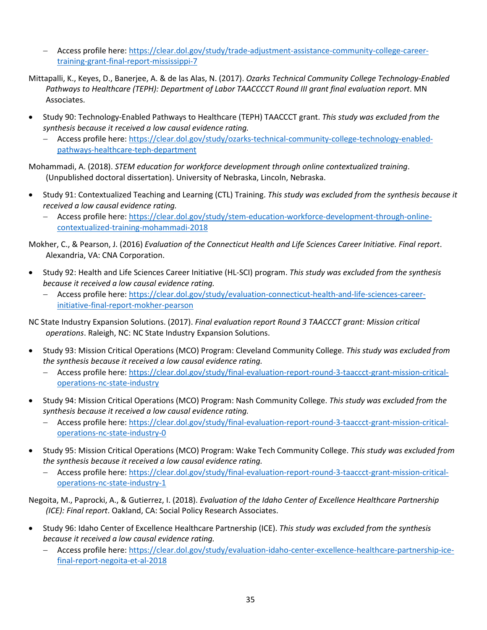- − Access profile here: [https://clear.dol.gov/study/trade-adjustment-assistance-community-college-career](https://clear.dol.gov/study/trade-adjustment-assistance-community-college-career-training-grant-final-report-mississippi-7)[training-grant-final-report-mississippi-7](https://clear.dol.gov/study/trade-adjustment-assistance-community-college-career-training-grant-final-report-mississippi-7)
- Mittapalli, K., Keyes, D., Banerjee, A. & de las Alas, N. (2017). *Ozarks Technical Community College Technology-Enabled Pathways to Healthcare (TEPH): Department of Labor TAACCCCT Round III grant final evaluation report*. MN Associates.
- Study 90: Technology-Enabled Pathways to Healthcare (TEPH) TAACCCT grant. *This study was excluded from the synthesis because it received a low causal evidence rating.*
	- − Access profile here: [https://clear.dol.gov/study/ozarks-technical-community-college-technology-enabled](https://clear.dol.gov/study/ozarks-technical-community-college-technology-enabled-pathways-healthcare-teph-department)[pathways-healthcare-teph-department](https://clear.dol.gov/study/ozarks-technical-community-college-technology-enabled-pathways-healthcare-teph-department)

Mohammadi, A. (2018). *STEM education for workforce development through online contextualized training*. (Unpublished doctoral dissertation). University of Nebraska, Lincoln, Nebraska.

- Study 91: Contextualized Teaching and Learning (CTL) Training. *This study was excluded from the synthesis because it received a low causal evidence rating.*
	- − Access profile here: [https://clear.dol.gov/study/stem-education-workforce-development-through-online](https://clear.dol.gov/study/stem-education-workforce-development-through-online-contextualized-training-mohammadi-2018)[contextualized-training-mohammadi-2018](https://clear.dol.gov/study/stem-education-workforce-development-through-online-contextualized-training-mohammadi-2018)

Mokher, C., & Pearson, J. (2016) *Evaluation of the Connecticut Health and Life Sciences Career Initiative. Final report*. Alexandria, VA: CNA Corporation.

- Study 92: Health and Life Sciences Career Initiative (HL-SCI) program. *This study was excluded from the synthesis because it received a low causal evidence rating.*
	- − Access profile here: [https://clear.dol.gov/study/evaluation-connecticut-health-and-life-sciences-career](https://clear.dol.gov/study/evaluation-connecticut-health-and-life-sciences-career-initiative-final-report-mokher-pearson)[initiative-final-report-mokher-pearson](https://clear.dol.gov/study/evaluation-connecticut-health-and-life-sciences-career-initiative-final-report-mokher-pearson)

NC State Industry Expansion Solutions. (2017). *Final evaluation report Round 3 TAACCCT grant: Mission critical operations*. Raleigh, NC: NC State Industry Expansion Solutions.

- Study 93: Mission Critical Operations (MCO) Program: Cleveland Community College. *This study was excluded from the synthesis because it received a low causal evidence rating.*
	- − Access profile here: [https://clear.dol.gov/study/final-evaluation-report-round-3-taaccct-grant-mission-critical](https://clear.dol.gov/study/final-evaluation-report-round-3-taaccct-grant-mission-critical-operations-nc-state-industry)[operations-nc-state-industry](https://clear.dol.gov/study/final-evaluation-report-round-3-taaccct-grant-mission-critical-operations-nc-state-industry)
- Study 94: Mission Critical Operations (MCO) Program: Nash Community College. *This study was excluded from the synthesis because it received a low causal evidence rating.*
	- − Access profile here: [https://clear.dol.gov/study/final-evaluation-report-round-3-taaccct-grant-mission-critical](https://clear.dol.gov/study/final-evaluation-report-round-3-taaccct-grant-mission-critical-operations-nc-state-industry-0)[operations-nc-state-industry-0](https://clear.dol.gov/study/final-evaluation-report-round-3-taaccct-grant-mission-critical-operations-nc-state-industry-0)
- Study 95: Mission Critical Operations (MCO) Program: Wake Tech Community College. *This study was excluded from the synthesis because it received a low causal evidence rating.*
	- − Access profile here: [https://clear.dol.gov/study/final-evaluation-report-round-3-taaccct-grant-mission-critical](https://clear.dol.gov/study/final-evaluation-report-round-3-taaccct-grant-mission-critical-operations-nc-state-industry-1)[operations-nc-state-industry-1](https://clear.dol.gov/study/final-evaluation-report-round-3-taaccct-grant-mission-critical-operations-nc-state-industry-1)

Negoita, M., Paprocki, A., & Gutierrez, I. (2018). *Evaluation of the Idaho Center of Excellence Healthcare Partnership (ICE): Final report*. Oakland, CA: Social Policy Research Associates.

- Study 96: Idaho Center of Excellence Healthcare Partnership (ICE). *This study was excluded from the synthesis because it received a low causal evidence rating.*
	- − Access profile here: [https://clear.dol.gov/study/evaluation-idaho-center-excellence-healthcare-partnership-ice](https://clear.dol.gov/study/evaluation-idaho-center-excellence-healthcare-partnership-ice-final-report-negoita-et-al-2018)[final-report-negoita-et-al-2018](https://clear.dol.gov/study/evaluation-idaho-center-excellence-healthcare-partnership-ice-final-report-negoita-et-al-2018)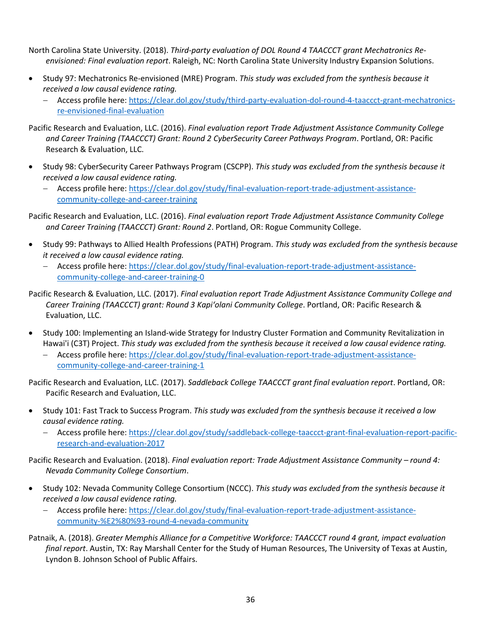- North Carolina State University. (2018). *Third-party evaluation of DOL Round 4 TAACCCT grant Mechatronics Reenvisioned: Final evaluation report*. Raleigh, NC: North Carolina State University Industry Expansion Solutions.
- Study 97: Mechatronics Re-envisioned (MRE) Program. *This study was excluded from the synthesis because it received a low causal evidence rating.*
	- − Access profile here: [https://clear.dol.gov/study/third-party-evaluation-dol-round-4-taaccct-grant-mechatronics](https://clear.dol.gov/study/third-party-evaluation-dol-round-4-taaccct-grant-mechatronics-re-envisioned-final-evaluation)[re-envisioned-final-evaluation](https://clear.dol.gov/study/third-party-evaluation-dol-round-4-taaccct-grant-mechatronics-re-envisioned-final-evaluation)
- Pacific Research and Evaluation, LLC. (2016). *Final evaluation report Trade Adjustment Assistance Community College and Career Training (TAACCCT) Grant: Round 2 CyberSecurity Career Pathways Program*. Portland, OR: Pacific Research & Evaluation, LLC.
- Study 98: CyberSecurity Career Pathways Program (CSCPP). *This study was excluded from the synthesis because it received a low causal evidence rating.*
	- − Access profile here: [https://clear.dol.gov/study/final-evaluation-report-trade-adjustment-assistance](https://clear.dol.gov/study/final-evaluation-report-trade-adjustment-assistance-community-college-and-career-training)[community-college-and-career-training](https://clear.dol.gov/study/final-evaluation-report-trade-adjustment-assistance-community-college-and-career-training)

Pacific Research and Evaluation, LLC. (2016). *Final evaluation report Trade Adjustment Assistance Community College and Career Training (TAACCCT) Grant: Round 2*. Portland, OR: Rogue Community College.

- Study 99: Pathways to Allied Health Professions (PATH) Program. *This study was excluded from the synthesis because it received a low causal evidence rating.*
	- − Access profile here: [https://clear.dol.gov/study/final-evaluation-report-trade-adjustment-assistance](https://clear.dol.gov/study/final-evaluation-report-trade-adjustment-assistance-community-college-and-career-training-0)[community-college-and-career-training-0](https://clear.dol.gov/study/final-evaluation-report-trade-adjustment-assistance-community-college-and-career-training-0)

Pacific Research & Evaluation, LLC. (2017). *Final evaluation report Trade Adjustment Assistance Community College and Career Training (TAACCCT) grant: Round 3 Kapiʻolani Community College*. Portland, OR: Pacific Research & Evaluation, LLC.

- Study 100: Implementing an Island-wide Strategy for Industry Cluster Formation and Community Revitalization in Hawai'i (C3T) Project. *This study was excluded from the synthesis because it received a low causal evidence rating.*
	- − Access profile here: [https://clear.dol.gov/study/final-evaluation-report-trade-adjustment-assistance](https://clear.dol.gov/study/final-evaluation-report-trade-adjustment-assistance-community-college-and-career-training-1)[community-college-and-career-training-1](https://clear.dol.gov/study/final-evaluation-report-trade-adjustment-assistance-community-college-and-career-training-1)

Pacific Research and Evaluation, LLC. (2017). *Saddleback College TAACCCT grant final evaluation report*. Portland, OR: Pacific Research and Evaluation, LLC.

- Study 101: Fast Track to Success Program. *This study was excluded from the synthesis because it received a low causal evidence rating.*
	- − Access profile here: [https://clear.dol.gov/study/saddleback-college-taaccct-grant-final-evaluation-report-pacific](https://clear.dol.gov/study/saddleback-college-taaccct-grant-final-evaluation-report-pacific-research-and-evaluation-2017)[research-and-evaluation-2017](https://clear.dol.gov/study/saddleback-college-taaccct-grant-final-evaluation-report-pacific-research-and-evaluation-2017)

Pacific Research and Evaluation. (2018). *Final evaluation report: Trade Adjustment Assistance Community – round 4: Nevada Community College Consortium*.

- Study 102: Nevada Community College Consortium (NCCC). *This study was excluded from the synthesis because it received a low causal evidence rating.*
	- − Access profile here: [https://clear.dol.gov/study/final-evaluation-report-trade-adjustment-assistance](https://clear.dol.gov/study/final-evaluation-report-trade-adjustment-assistance-community-%E2%80%93-round-4-nevada-community)[community-%E2%80%93-round-4-nevada-community](https://clear.dol.gov/study/final-evaluation-report-trade-adjustment-assistance-community-%E2%80%93-round-4-nevada-community)
- Patnaik, A. (2018). *Greater Memphis Alliance for a Competitive Workforce: TAACCCT round 4 grant, impact evaluation final report*. Austin, TX: Ray Marshall Center for the Study of Human Resources, The University of Texas at Austin, Lyndon B. Johnson School of Public Affairs.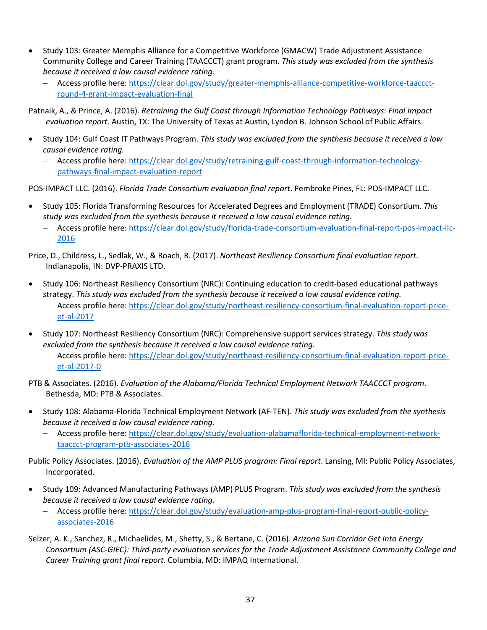- Study 103: Greater Memphis Alliance for a Competitive Workforce (GMACW) Trade Adjustment Assistance Community College and Career Training (TAACCCT) grant program. *This study was excluded from the synthesis because it received a low causal evidence rating.*
	- − Access profile here: [https://clear.dol.gov/study/greater-memphis-alliance-competitive-workforce-taaccct](https://clear.dol.gov/study/greater-memphis-alliance-competitive-workforce-taaccct-round-4-grant-impact-evaluation-final)[round-4-grant-impact-evaluation-final](https://clear.dol.gov/study/greater-memphis-alliance-competitive-workforce-taaccct-round-4-grant-impact-evaluation-final)

Patnaik, A., & Prince, A. (2016). *Retraining the Gulf Coast through Information Technology Pathways: Final Impact evaluation report*. Austin, TX: The University of Texas at Austin, Lyndon B. Johnson School of Public Affairs.

- Study 104: Gulf Coast IT Pathways Program. *This study was excluded from the synthesis because it received a low causal evidence rating.*
	- − Access profile here: [https://clear.dol.gov/study/retraining-gulf-coast-through-information-technology](https://clear.dol.gov/study/retraining-gulf-coast-through-information-technology-pathways-final-impact-evaluation-report)[pathways-final-impact-evaluation-report](https://clear.dol.gov/study/retraining-gulf-coast-through-information-technology-pathways-final-impact-evaluation-report)

POS-IMPACT LLC. (2016). *Florida Trade Consortium evaluation final report*. Pembroke Pines, FL: POS-IMPACT LLC.

- Study 105: Florida Transforming Resources for Accelerated Degrees and Employment (TRADE) Consortium. *This study was excluded from the synthesis because it received a low causal evidence rating.*
	- − Access profile here: [https://clear.dol.gov/study/florida-trade-consortium-evaluation-final-report-pos-impact-llc-](https://clear.dol.gov/study/florida-trade-consortium-evaluation-final-report-pos-impact-llc-2016)[2016](https://clear.dol.gov/study/florida-trade-consortium-evaluation-final-report-pos-impact-llc-2016)

Price, D., Childress, L., Sedlak, W., & Roach, R. (2017). *Northeast Resiliency Consortium final evaluation report*. Indianapolis, IN: DVP-PRAXIS LTD.

- Study 106: Northeast Resiliency Consortium (NRC): Continuing education to credit-based educational pathways strategy. *This study was excluded from the synthesis because it received a low causal evidence rating.*
	- − Access profile here: [https://clear.dol.gov/study/northeast-resiliency-consortium-final-evaluation-report-price](https://clear.dol.gov/study/northeast-resiliency-consortium-final-evaluation-report-price-et-al-2017)[et-al-2017](https://clear.dol.gov/study/northeast-resiliency-consortium-final-evaluation-report-price-et-al-2017)
- Study 107: Northeast Resiliency Consortium (NRC): Comprehensive support services strategy. *This study was excluded from the synthesis because it received a low causal evidence rating.*
	- − Access profile here: [https://clear.dol.gov/study/northeast-resiliency-consortium-final-evaluation-report-price](https://clear.dol.gov/study/northeast-resiliency-consortium-final-evaluation-report-price-et-al-2017-0)[et-al-2017-0](https://clear.dol.gov/study/northeast-resiliency-consortium-final-evaluation-report-price-et-al-2017-0)

PTB & Associates. (2016). *Evaluation of the Alabama/Florida Technical Employment Network TAACCCT program*. Bethesda, MD: PTB & Associates.

- Study 108: Alabama-Florida Technical Employment Network (AF-TEN). *This study was excluded from the synthesis because it received a low causal evidence rating.*
	- − Access profile here: [https://clear.dol.gov/study/evaluation-alabamaflorida-technical-employment-network](https://clear.dol.gov/study/evaluation-alabamaflorida-technical-employment-network-taaccct-program-ptb-associates-2016)[taaccct-program-ptb-associates-2016](https://clear.dol.gov/study/evaluation-alabamaflorida-technical-employment-network-taaccct-program-ptb-associates-2016)

Public Policy Associates. (2016). *Evaluation of the AMP PLUS program: Final report*. Lansing, MI: Public Policy Associates, Incorporated.

- Study 109: Advanced Manufacturing Pathways (AMP) PLUS Program. *This study was excluded from the synthesis because it received a low causal evidence rating.*
	- − Access profile here: [https://clear.dol.gov/study/evaluation-amp-plus-program-final-report-public-policy](https://clear.dol.gov/study/evaluation-amp-plus-program-final-report-public-policy-associates-2016)[associates-2016](https://clear.dol.gov/study/evaluation-amp-plus-program-final-report-public-policy-associates-2016)
- Selzer, A. K., Sanchez, R., Michaelides, M., Shetty, S., & Bertane, C. (2016). *Arizona Sun Corridor Get Into Energy Consortium (ASC-GIEC): Third-party evaluation services for the Trade Adjustment Assistance Community College and Career Training grant final report.* Columbia, MD: IMPAQ International.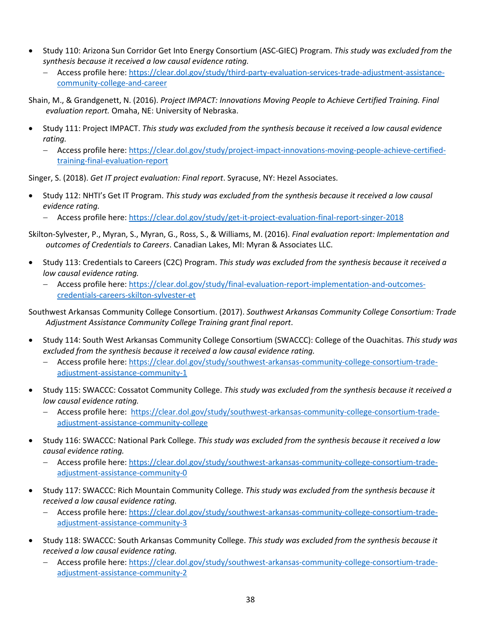- Study 110: Arizona Sun Corridor Get Into Energy Consortium (ASC-GIEC) Program. *This study was excluded from the synthesis because it received a low causal evidence rating.*
	- − Access profile here: [https://clear.dol.gov/study/third-party-evaluation-services-trade-adjustment-assistance](https://clear.dol.gov/study/third-party-evaluation-services-trade-adjustment-assistance-community-college-and-career)[community-college-and-career](https://clear.dol.gov/study/third-party-evaluation-services-trade-adjustment-assistance-community-college-and-career)

Shain, M., & Grandgenett, N. (2016). *Project IMPACT: Innovations Moving People to Achieve Certified Training. Final evaluation report.* Omaha, NE: University of Nebraska.

- Study 111: Project IMPACT. *This study was excluded from the synthesis because it received a low causal evidence rating.*
	- − Access profile here: [https://clear.dol.gov/study/project-impact-innovations-moving-people-achieve-certified](https://clear.dol.gov/study/project-impact-innovations-moving-people-achieve-certified-training-final-evaluation-report)[training-final-evaluation-report](https://clear.dol.gov/study/project-impact-innovations-moving-people-achieve-certified-training-final-evaluation-report)

Singer, S. (2018). *Get IT project evaluation: Final report*. Syracuse, NY: Hezel Associates.

- Study 112: NHTI's Get IT Program. *This study was excluded from the synthesis because it received a low causal evidence rating.*
	- − Access profile here:<https://clear.dol.gov/study/get-it-project-evaluation-final-report-singer-2018>
- Skilton-Sylvester, P., Myran, S., Myran, G., Ross, S., & Williams, M. (2016). *Final evaluation report: Implementation and outcomes of Credentials to Careers*. Canadian Lakes, MI: Myran & Associates LLC.
- Study 113: Credentials to Careers (C2C) Program. *This study was excluded from the synthesis because it received a low causal evidence rating.*
	- − Access profile here: [https://clear.dol.gov/study/final-evaluation-report-implementation-and-outcomes](https://clear.dol.gov/study/final-evaluation-report-implementation-and-outcomes-credentials-careers-skilton-sylvester-et)[credentials-careers-skilton-sylvester-et](https://clear.dol.gov/study/final-evaluation-report-implementation-and-outcomes-credentials-careers-skilton-sylvester-et)

Southwest Arkansas Community College Consortium. (2017). *Southwest Arkansas Community College Consortium: Trade Adjustment Assistance Community College Training grant final report*.

- Study 114: South West Arkansas Community College Consortium (SWACCC): College of the Ouachitas. *This study was excluded from the synthesis because it received a low causal evidence rating.*
	- Access profile here: [https://clear.dol.gov/study/southwest-arkansas-community-college-consortium-trade](https://clear.dol.gov/study/southwest-arkansas-community-college-consortium-trade-adjustment-assistance-community-1)[adjustment-assistance-community-1](https://clear.dol.gov/study/southwest-arkansas-community-college-consortium-trade-adjustment-assistance-community-1)
- Study 115: SWACCC: Cossatot Community College. *This study was excluded from the synthesis because it received a low causal evidence rating.*
	- − Access profile here: [https://clear.dol.gov/study/southwest-arkansas-community-college-consortium-trade](https://clear.dol.gov/study/southwest-arkansas-community-college-consortium-trade-adjustment-assistance-community-college)[adjustment-assistance-community-college](https://clear.dol.gov/study/southwest-arkansas-community-college-consortium-trade-adjustment-assistance-community-college)
- Study 116: SWACCC: National Park College. *This study was excluded from the synthesis because it received a low causal evidence rating.*
	- − Access profile here: [https://clear.dol.gov/study/southwest-arkansas-community-college-consortium-trade](https://clear.dol.gov/study/southwest-arkansas-community-college-consortium-trade-adjustment-assistance-community-0)[adjustment-assistance-community-0](https://clear.dol.gov/study/southwest-arkansas-community-college-consortium-trade-adjustment-assistance-community-0)
- Study 117: SWACCC: Rich Mountain Community College. *This study was excluded from the synthesis because it received a low causal evidence rating.*
	- − Access profile here: [https://clear.dol.gov/study/southwest-arkansas-community-college-consortium-trade](https://clear.dol.gov/study/southwest-arkansas-community-college-consortium-trade-adjustment-assistance-community-3)[adjustment-assistance-community-3](https://clear.dol.gov/study/southwest-arkansas-community-college-consortium-trade-adjustment-assistance-community-3)
- Study 118: SWACCC: South Arkansas Community College. *This study was excluded from the synthesis because it received a low causal evidence rating.*
	- − Access profile here: [https://clear.dol.gov/study/southwest-arkansas-community-college-consortium-trade](https://clear.dol.gov/study/southwest-arkansas-community-college-consortium-trade-adjustment-assistance-community-2)[adjustment-assistance-community-2](https://clear.dol.gov/study/southwest-arkansas-community-college-consortium-trade-adjustment-assistance-community-2)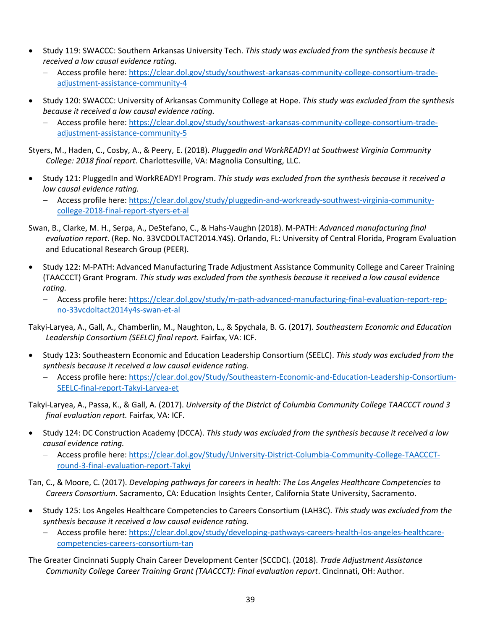- Study 119: SWACCC: Southern Arkansas University Tech. *This study was excluded from the synthesis because it received a low causal evidence rating.*
	- − Access profile here: [https://clear.dol.gov/study/southwest-arkansas-community-college-consortium-trade](https://clear.dol.gov/study/southwest-arkansas-community-college-consortium-trade-adjustment-assistance-community-4)[adjustment-assistance-community-4](https://clear.dol.gov/study/southwest-arkansas-community-college-consortium-trade-adjustment-assistance-community-4)
- Study 120: SWACCC: University of Arkansas Community College at Hope. *This study was excluded from the synthesis because it received a low causal evidence rating.*
	- − Access profile here: [https://clear.dol.gov/study/southwest-arkansas-community-college-consortium-trade](https://clear.dol.gov/study/southwest-arkansas-community-college-consortium-trade-adjustment-assistance-community-5)[adjustment-assistance-community-5](https://clear.dol.gov/study/southwest-arkansas-community-college-consortium-trade-adjustment-assistance-community-5)

Styers, M., Haden, C., Cosby, A., & Peery, E. (2018). *PluggedIn and WorkREADY! at Southwest Virginia Community College: 2018 final report*. Charlottesville, VA: Magnolia Consulting, LLC.

- Study 121: PluggedIn and WorkREADY! Program. *This study was excluded from the synthesis because it received a low causal evidence rating.*
	- − Access profile here: [https://clear.dol.gov/study/pluggedin-and-workready-southwest-virginia-community](https://clear.dol.gov/study/pluggedin-and-workready-southwest-virginia-community-college-2018-final-report-styers-et-al)[college-2018-final-report-styers-et-al](https://clear.dol.gov/study/pluggedin-and-workready-southwest-virginia-community-college-2018-final-report-styers-et-al)
- Swan, B., Clarke, M. H., Serpa, A., DeStefano, C., & Hahs-Vaughn (2018). M-PATH: *Advanced manufacturing final evaluation report*. (Rep. No. 33VCDOLTACT2014.Y4S). Orlando, FL: University of Central Florida, Program Evaluation and Educational Research Group (PEER).
- Study 122: M-PATH: Advanced Manufacturing Trade Adjustment Assistance Community College and Career Training (TAACCCT) Grant Program. *This study was excluded from the synthesis because it received a low causal evidence rating.*
	- − Access profile here: [https://clear.dol.gov/study/m-path-advanced-manufacturing-final-evaluation-report-rep](https://clear.dol.gov/study/m-path-advanced-manufacturing-final-evaluation-report-rep-no-33vcdoltact2014y4s-swan-et-al)[no-33vcdoltact2014y4s-swan-et-al](https://clear.dol.gov/study/m-path-advanced-manufacturing-final-evaluation-report-rep-no-33vcdoltact2014y4s-swan-et-al)
- Takyi-Laryea, A., Gall, A., Chamberlin, M., Naughton, L., & Spychala, B. G. (2017). *Southeastern Economic and Education Leadership Consortium (SEELC) final report.* Fairfax, VA: ICF.
- Study 123: Southeastern Economic and Education Leadership Consortium (SEELC). *This study was excluded from the synthesis because it received a low causal evidence rating.*
	- − Access profile here: [https://clear.dol.gov/Study/Southeastern-Economic-and-Education-Leadership-Consortium-](https://clear.dol.gov/Study/Southeastern-Economic-and-Education-Leadership-Consortium-SEELC-final-report-Takyi-Laryea-et)[SEELC-final-report-Takyi-Laryea-et](https://clear.dol.gov/Study/Southeastern-Economic-and-Education-Leadership-Consortium-SEELC-final-report-Takyi-Laryea-et)

Takyi-Laryea, A., Passa, K., & Gall, A. (2017). *University of the District of Columbia Community College TAACCCT round 3 final evaluation report.* Fairfax, VA: ICF.

- Study 124: DC Construction Academy (DCCA). *This study was excluded from the synthesis because it received a low causal evidence rating.*
	- − Access profile here: [https://clear.dol.gov/Study/University-District-Columbia-Community-College-TAACCCT](https://clear.dol.gov/Study/University-District-Columbia-Community-College-TAACCCT-round-3-final-evaluation-report-Takyi)[round-3-final-evaluation-report-Takyi](https://clear.dol.gov/Study/University-District-Columbia-Community-College-TAACCCT-round-3-final-evaluation-report-Takyi)
- Tan, C., & Moore, C. (2017). *Developing pathways for careers in health: The Los Angeles Healthcare Competencies to Careers Consortium*. Sacramento, CA: Education Insights Center, California State University, Sacramento.
- Study 125: Los Angeles Healthcare Competencies to Careers Consortium (LAH3C). *This study was excluded from the synthesis because it received a low causal evidence rating.*
	- − Access profile here: [https://clear.dol.gov/study/developing-pathways-careers-health-los-angeles-healthcare](https://clear.dol.gov/study/developing-pathways-careers-health-los-angeles-healthcare-competencies-careers-consortium-tan)[competencies-careers-consortium-tan](https://clear.dol.gov/study/developing-pathways-careers-health-los-angeles-healthcare-competencies-careers-consortium-tan)
- The Greater Cincinnati Supply Chain Career Development Center (SCCDC). (2018). *Trade Adjustment Assistance Community College Career Training Grant (TAACCCT): Final evaluation report*. Cincinnati, OH: Author.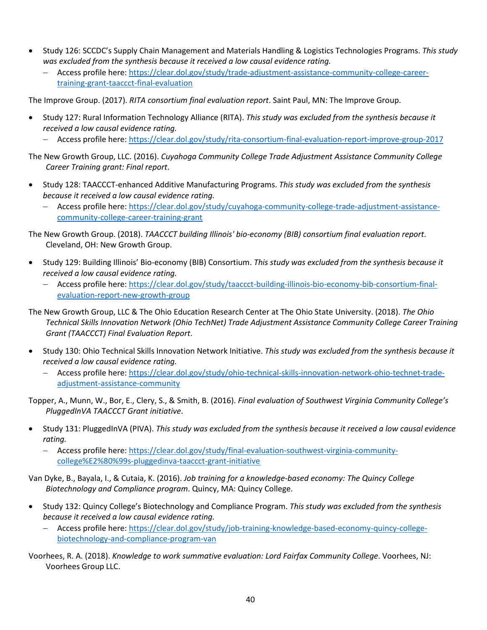- Study 126: SCCDC's Supply Chain Management and Materials Handling & Logistics Technologies Programs. *This study was excluded from the synthesis because it received a low causal evidence rating.*
	- − Access profile here: [https://clear.dol.gov/study/trade-adjustment-assistance-community-college-career](https://clear.dol.gov/study/trade-adjustment-assistance-community-college-career-training-grant-taaccct-final-evaluation)[training-grant-taaccct-final-evaluation](https://clear.dol.gov/study/trade-adjustment-assistance-community-college-career-training-grant-taaccct-final-evaluation)

The Improve Group. (2017). *RITA consortium final evaluation report*. Saint Paul, MN: The Improve Group.

- Study 127: Rural Information Technology Alliance (RITA). *This study was excluded from the synthesis because it received a low causal evidence rating.*
	- − Access profile here:<https://clear.dol.gov/study/rita-consortium-final-evaluation-report-improve-group-2017>
- The New Growth Group, LLC. (2016). *Cuyahoga Community College Trade Adjustment Assistance Community College Career Training grant: Final report*.
- Study 128: TAACCCT-enhanced Additive Manufacturing Programs. *This study was excluded from the synthesis because it received a low causal evidence rating.*
	- − Access profile here: [https://clear.dol.gov/study/cuyahoga-community-college-trade-adjustment-assistance](https://clear.dol.gov/study/cuyahoga-community-college-trade-adjustment-assistance-community-college-career-training-grant)[community-college-career-training-grant](https://clear.dol.gov/study/cuyahoga-community-college-trade-adjustment-assistance-community-college-career-training-grant)

The New Growth Group. (2018). *TAACCCT building Illinois' bio-economy (BIB) consortium final evaluation report*. Cleveland, OH: New Growth Group.

- Study 129: Building Illinois' Bio-economy (BIB) Consortium. *This study was excluded from the synthesis because it received a low causal evidence rating.*
	- − Access profile here: [https://clear.dol.gov/study/taaccct-building-illinois-bio-economy-bib-consortium-final](https://clear.dol.gov/study/taaccct-building-illinois-bio-economy-bib-consortium-final-evaluation-report-new-growth-group)[evaluation-report-new-growth-group](https://clear.dol.gov/study/taaccct-building-illinois-bio-economy-bib-consortium-final-evaluation-report-new-growth-group)
- The New Growth Group, LLC & The Ohio Education Research Center at The Ohio State University. (2018). *The Ohio Technical Skills Innovation Network (Ohio TechNet) Trade Adjustment Assistance Community College Career Training Grant (TAACCCT) Final Evaluation Report*.
- Study 130: Ohio Technical Skills Innovation Network Initiative. *This study was excluded from the synthesis because it received a low causal evidence rating.*
	- − Access profile here: [https://clear.dol.gov/study/ohio-technical-skills-innovation-network-ohio-technet-trade](https://clear.dol.gov/study/ohio-technical-skills-innovation-network-ohio-technet-trade-adjustment-assistance-community)[adjustment-assistance-community](https://clear.dol.gov/study/ohio-technical-skills-innovation-network-ohio-technet-trade-adjustment-assistance-community)

Topper, A., Munn, W., Bor, E., Clery, S., & Smith, B. (2016). *Final evaluation of Southwest Virginia Community College's PluggedInVA TAACCCT Grant initiative*.

- Study 131: PluggedInVA (PIVA). *This study was excluded from the synthesis because it received a low causal evidence rating.*
	- − Access profile here: [https://clear.dol.gov/study/final-evaluation-southwest-virginia-community](https://clear.dol.gov/study/final-evaluation-southwest-virginia-community-college%E2%80%99s-pluggedinva-taaccct-grant-initiative)[college%E2%80%99s-pluggedinva-taaccct-grant-initiative](https://clear.dol.gov/study/final-evaluation-southwest-virginia-community-college%E2%80%99s-pluggedinva-taaccct-grant-initiative)

Van Dyke, B., Bayala, I., & Cutaia, K. (2016). *Job training for a knowledge-based economy: The Quincy College Biotechnology and Compliance program*. Quincy, MA: Quincy College.

- Study 132: Quincy College's Biotechnology and Compliance Program. *This study was excluded from the synthesis because it received a low causal evidence rating.*
	- − Access profile here: [https://clear.dol.gov/study/job-training-knowledge-based-economy-quincy-college](https://clear.dol.gov/study/job-training-knowledge-based-economy-quincy-college-biotechnology-and-compliance-program-van)[biotechnology-and-compliance-program-van](https://clear.dol.gov/study/job-training-knowledge-based-economy-quincy-college-biotechnology-and-compliance-program-van)
- Voorhees, R. A. (2018). *Knowledge to work summative evaluation: Lord Fairfax Community College*. Voorhees, NJ: Voorhees Group LLC.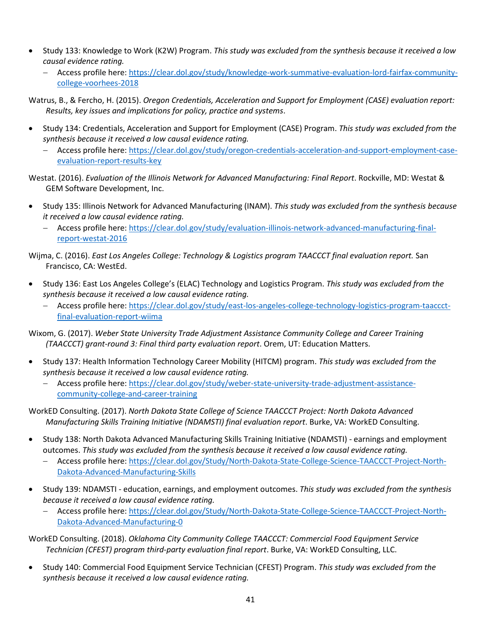- Study 133: Knowledge to Work (K2W) Program. *This study was excluded from the synthesis because it received a low causal evidence rating.*
	- − Access profile here: [https://clear.dol.gov/study/knowledge-work-summative-evaluation-lord-fairfax-community](https://clear.dol.gov/study/knowledge-work-summative-evaluation-lord-fairfax-community-college-voorhees-2018)[college-voorhees-2018](https://clear.dol.gov/study/knowledge-work-summative-evaluation-lord-fairfax-community-college-voorhees-2018)

Watrus, B., & Fercho, H. (2015). *Oregon Credentials, Acceleration and Support for Employment (CASE) evaluation report: Results, key issues and implications for policy, practice and systems*.

- Study 134: Credentials, Acceleration and Support for Employment (CASE) Program. *This study was excluded from the synthesis because it received a low causal evidence rating.*
	- − Access profile here: [https://clear.dol.gov/study/oregon-credentials-acceleration-and-support-employment-case](https://clear.dol.gov/study/oregon-credentials-acceleration-and-support-employment-case-evaluation-report-results-key)[evaluation-report-results-key](https://clear.dol.gov/study/oregon-credentials-acceleration-and-support-employment-case-evaluation-report-results-key)

Westat. (2016). *Evaluation of the Illinois Network for Advanced Manufacturing: Final Report*. Rockville, MD: Westat & GEM Software Development, Inc.

- Study 135: Illinois Network for Advanced Manufacturing (INAM). *This study was excluded from the synthesis because it received a low causal evidence rating.*
	- − Access profile here: [https://clear.dol.gov/study/evaluation-illinois-network-advanced-manufacturing-final](https://clear.dol.gov/study/evaluation-illinois-network-advanced-manufacturing-final-report-westat-2016)[report-westat-2016](https://clear.dol.gov/study/evaluation-illinois-network-advanced-manufacturing-final-report-westat-2016)

Wijma, C. (2016). *East Los Angeles College: Technology & Logistics program TAACCCT final evaluation report.* San Francisco, CA: WestEd.

- Study 136: East Los Angeles College's (ELAC) Technology and Logistics Program. *This study was excluded from the synthesis because it received a low causal evidence rating.*
	- − Access profile here: [https://clear.dol.gov/study/east-los-angeles-college-technology-logistics-program-taaccct](https://clear.dol.gov/study/east-los-angeles-college-technology-logistics-program-taaccct-final-evaluation-report-wiima)[final-evaluation-report-wiima](https://clear.dol.gov/study/east-los-angeles-college-technology-logistics-program-taaccct-final-evaluation-report-wiima)

Wixom, G. (2017). *Weber State University Trade Adjustment Assistance Community College and Career Training (TAACCCT) grant-round 3: Final third party evaluation report*. Orem, UT: Education Matters.

- Study 137: Health Information Technology Career Mobility (HITCM) program. *This study was excluded from the synthesis because it received a low causal evidence rating.*
	- − Access profile here: [https://clear.dol.gov/study/weber-state-university-trade-adjustment-assistance](https://clear.dol.gov/study/weber-state-university-trade-adjustment-assistance-community-college-and-career-training)[community-college-and-career-training](https://clear.dol.gov/study/weber-state-university-trade-adjustment-assistance-community-college-and-career-training)

WorkED Consulting. (2017). *North Dakota State College of Science TAACCCT Project: North Dakota Advanced Manufacturing Skills Training Initiative (NDAMSTI) final evaluation report*. Burke, VA: WorkED Consulting.

- Study 138: North Dakota Advanced Manufacturing Skills Training Initiative (NDAMSTI) earnings and employment outcomes. *This study was excluded from the synthesis because it received a low causal evidence rating.*
	- − Access profile here: [https://clear.dol.gov/Study/North-Dakota-State-College-Science-TAACCCT-Project-North-](https://clear.dol.gov/Study/North-Dakota-State-College-Science-TAACCCT-Project-North-Dakota-Advanced-Manufacturing-Skills)[Dakota-Advanced-Manufacturing-Skills](https://clear.dol.gov/Study/North-Dakota-State-College-Science-TAACCCT-Project-North-Dakota-Advanced-Manufacturing-Skills)
- Study 139: NDAMSTI education, earnings, and employment outcomes. *This study was excluded from the synthesis because it received a low causal evidence rating.*
	- − Access profile here: [https://clear.dol.gov/Study/North-Dakota-State-College-Science-TAACCCT-Project-North-](https://clear.dol.gov/Study/North-Dakota-State-College-Science-TAACCCT-Project-North-Dakota-Advanced-Manufacturing-0)[Dakota-Advanced-Manufacturing-0](https://clear.dol.gov/Study/North-Dakota-State-College-Science-TAACCCT-Project-North-Dakota-Advanced-Manufacturing-0)

WorkED Consulting. (2018). *Oklahoma City Community College TAACCCT: Commercial Food Equipment Service Technician (CFEST) program third-party evaluation final report*. Burke, VA: WorkED Consulting, LLC.

• Study 140: Commercial Food Equipment Service Technician (CFEST) Program. *This study was excluded from the synthesis because it received a low causal evidence rating.*